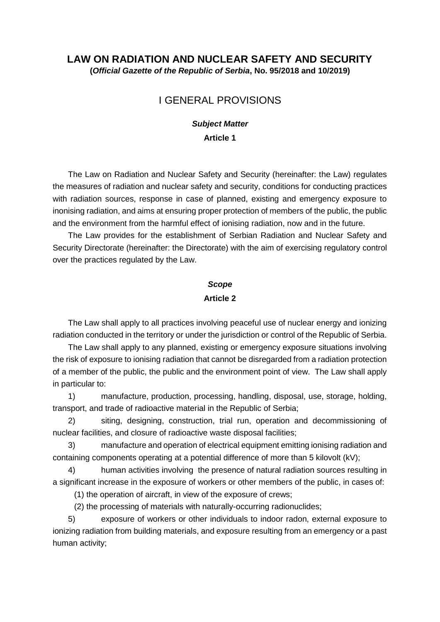### **LAW ON RADIATION AND NUCLEAR SAFETY AND SECURITY (***Official Gazette of the Republic of Serbia***, No. 95/2018 and 10/2019)**

## I GENERAL PROVISIONS

#### *Subject Matter*

**Article 1** 

The Law on Radiation and Nuclear Safety and Security (hereinafter: the Law) regulates the measures of radiation and nuclear safety and security, conditions for conducting practices with radiation sources, response in case of planned, existing and emergency exposure to inonising radiation, and aims at ensuring proper protection of members of the public, the public and the environment from the harmful effect of ionising radiation, now and in the future.

The Law provides for the establishment of Serbian Radiation and Nuclear Safety and Security Directorate (hereinafter: the Directorate) with the aim of exercising regulatory control over the practices regulated by the Law.

#### *Scope*

#### **Article 2**

The Law shall apply to all practices involving peaceful use of nuclear energy and ionizing radiation conducted in the territory or under the jurisdiction or control of the Republic of Serbia.

The Law shall apply to any planned, existing or emergency exposure situations involving the risk of exposure to ionising radiation that cannot be disregarded from a radiation protection of a member of the public, the public and the environment point of view. The Law shall apply in particular to:

1) manufacture, production, processing, handling, disposal, use, storage, holding, transport, and trade of radioactive material in the Republic of Serbia;

2) siting, designing, construction, trial run, operation and decommissioning of nuclear facilities, and closure of radioactive waste disposal facilities;

3) manufacture and operation of electrical equipment emitting ionising radiation and containing components operating at a potential difference of more than 5 kilovolt (kV);

4) human activities involving the presence of natural radiation sources resulting in a significant increase in the exposure of workers or other members of the public, in cases of:

(1) the operation of aircraft, in view of the exposure of crews;

(2) the processing of materials with naturally-occurring radionuclides;

5) exposure of workers or other individuals to indoor radon, external exposure to ionizing radiation from building materials, and exposure resulting from an emergency or a past human activity;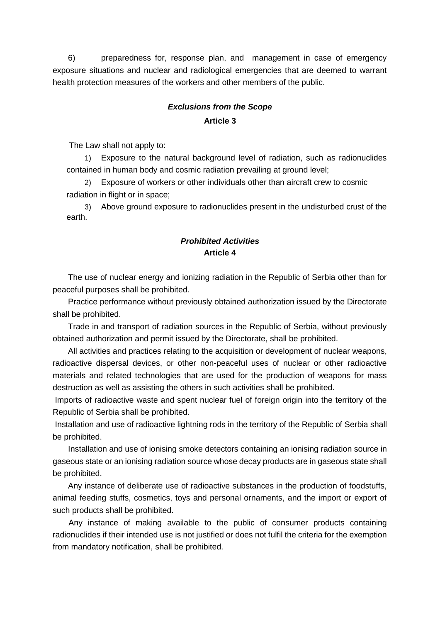6) preparedness for, response plan, and management in case of emergency exposure situations and nuclear and radiological emergencies that are deemed to warrant health protection measures of the workers and other members of the public.

# *Exclusions from the Scope*  **Article 3**

The Law shall not apply to:

1) Exposure to the natural background level of radiation, such as radionuclides contained in human body and cosmic radiation prevailing at ground level;

2) Exposure of workers or other individuals other than aircraft crew to cosmic radiation in flight or in space;

3) Above ground exposure to radionuclides present in the undisturbed crust of the earth.

### *Prohibited Activities*  **Article 4**

The use of nuclear energy and ionizing radiation in the Republic of Serbia other than for peaceful purposes shall be prohibited.

Practice performance without previously obtained authorization issued by the Directorate shall be prohibited.

Trade in and transport of radiation sources in the Republic of Serbia, without previously obtained authorization and permit issued by the Directorate, shall be prohibited.

All activities and practices relating to the acquisition or development of nuclear weapons, radioactive dispersal devices, or other non-peaceful uses of nuclear or other radioactive materials and related technologies that are used for the production of weapons for mass destruction as well as assisting the others in such activities shall be prohibited.

Imports of radioactive waste and spent nuclear fuel of foreign origin into the territory of the Republic of Serbia shall be prohibited.

Installation and use of radioactive lightning rods in the territory of the Republic of Serbia shall be prohibited.

Installation and use of ionising smoke detectors containing an ionising radiation source in gaseous state or an ionising radiation source whose decay products are in gaseous state shall be prohibited.

Any instance of deliberate use of radioactive substances in the production of foodstuffs, animal feeding stuffs, cosmetics, toys and personal ornaments, and the import or export of such products shall be prohibited.

 Any instance of making available to the public of consumer products containing radionuclides if their intended use is not justified or does not fulfil the criteria for the exemption from mandatory notification, shall be prohibited.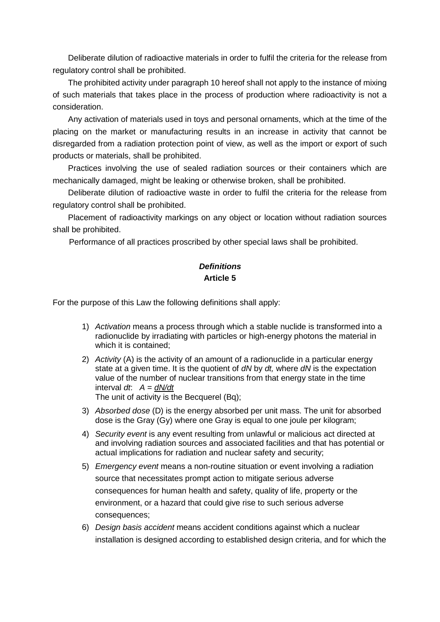Deliberate dilution of radioactive materials in order to fulfil the criteria for the release from regulatory control shall be prohibited.

The prohibited activity under paragraph 10 hereof shall not apply to the instance of mixing of such materials that takes place in the process of production where radioactivity is not a consideration.

Any activation of materials used in toys and personal ornaments, which at the time of the placing on the market or manufacturing results in an increase in activity that cannot be disregarded from a radiation protection point of view, as well as the import or export of such products or materials, shall be prohibited.

Practices involving the use of sealed radiation sources or their containers which are mechanically damaged, might be leaking or otherwise broken, shall be prohibited.

Deliberate dilution of radioactive waste in order to fulfil the criteria for the release from regulatory control shall be prohibited.

Placement of radioactivity markings on any object or location without radiation sources shall be prohibited.

Performance of all practices proscribed by other special laws shall be prohibited.

# *Definitions*  **Article 5**

For the purpose of this Law the following definitions shall apply:

- 1) *Activation* means a process through which a stable nuclide is transformed into a radionuclide by irradiating with particles or high-energy photons the material in which it is contained;
- 2) *Activity* (A) is the activity of an amount of a radionuclide in a particular energy state at a given time. It is the quotient of *dN* by *dt,* where *dN* is the expectation value of the number of nuclear transitions from that energy state in the time interval *dt*: *A = dN/dt*  The unit of activity is the Becquerel (Bq);
- 3) *Absorbed dose* (D) is the energy absorbed per unit mass. The unit for absorbed dose is the Gray (Gy) where one Gray is equal to one joule per kilogram;
- 4) *Security event* is any event resulting from unlawful or malicious act directed at and involving radiation sources and associated facilities and that has potential or actual implications for radiation and nuclear safety and security;
- 5) *Emergency event* means a non-routine situation or event involving a radiation source that necessitates prompt action to mitigate serious adverse consequences for human health and safety, quality of life, property or the environment, or a hazard that could give rise to such serious adverse consequences;
- 6) *Design basis accident* means accident conditions against which a nuclear installation is designed according to established design criteria, and for which the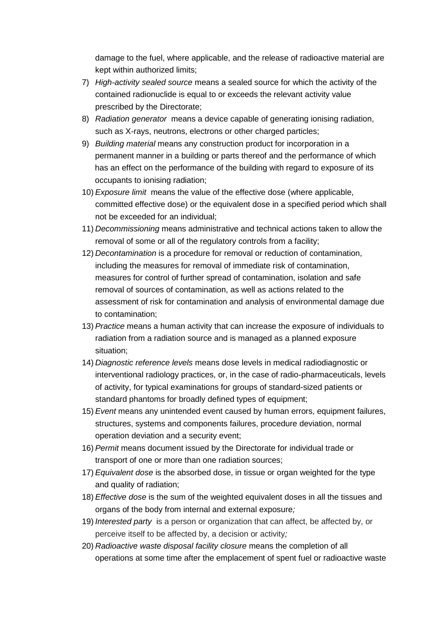damage to the fuel, where applicable, and the release of radioactive material are kept within authorized limits;

- 7) *High-activity sealed source* means a sealed source for which the activity of the contained radionuclide is equal to or exceeds the relevant activity value prescribed by the Directorate;
- 8) *Radiation generator* means a device capable of generating ionising radiation, such as X-rays, neutrons, electrons or other charged particles;
- 9) *Building material* means any construction product for incorporation in a permanent manner in a building or parts thereof and the performance of which has an effect on the performance of the building with regard to exposure of its occupants to ionising radiation;
- 10) *Exposure limit* means the value of the effective dose (where applicable, committed effective dose) or the equivalent dose in a specified period which shall not be exceeded for an individual;
- 11) *Decommissioning* means administrative and technical actions taken to allow the removal of some or all of the regulatory controls from a facility;
- 12) *Decontamination* is a procedure for removal or reduction of contamination, including the measures for removal of immediate risk of contamination, measures for control of further spread of contamination, isolation and safe removal of sources of contamination, as well as actions related to the assessment of risk for contamination and analysis of environmental damage due to contamination;
- 13) *Practice* means a human activity that can increase the exposure of individuals to radiation from a radiation source and is managed as a planned exposure situation;
- 14) *Diagnostic reference levels* means dose levels in medical radiodiagnostic or interventional radiology practices, or, in the case of radio-pharmaceuticals, levels of activity, for typical examinations for groups of standard-sized patients or standard phantoms for broadly defined types of equipment;
- 15) *Event* means any unintended event caused by human errors, equipment failures, structures, systems and components failures, procedure deviation, normal operation deviation and a security event;
- 16) *Permit* means document issued by the Directorate for individual trade or transport of one or more than one radiation sources;
- 17) *Equivalent dose* is the absorbed dose, in tissue or organ weighted for the type and quality of radiation;
- 18) *Effective dose* is the sum of the weighted equivalent doses in all the tissues and organs of the body from internal and external exposure*;*
- 19) *Interested party* is a person or organization that can affect, be affected by, or perceive itself to be affected by, a decision or activity*;*
- 20) *Radioactive waste disposal facility closure* means the completion of all operations at some time after the emplacement of spent fuel or radioactive waste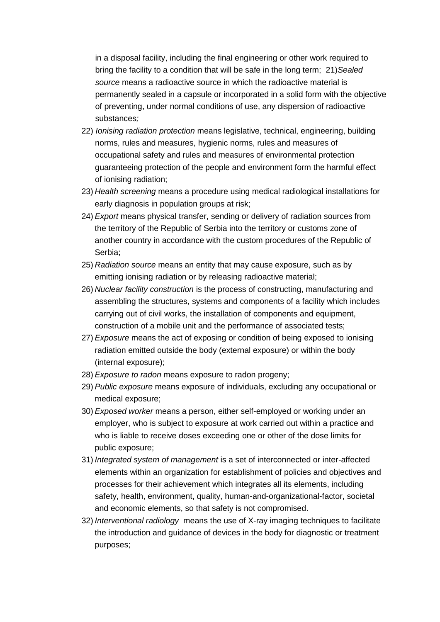in a disposal facility, including the final engineering or other work required to bring the facility to a condition that will be safe in the long term; 21)*Sealed source* means a radioactive source in which the radioactive material is permanently sealed in a capsule or incorporated in a solid form with the objective of preventing, under normal conditions of use, any dispersion of radioactive substances*;* 

- 22) *Ionising radiation protection* means legislative, technical, engineering, building norms, rules and measures, hygienic norms, rules and measures of occupational safety and rules and measures of environmental protection guaranteeing protection of the people and environment form the harmful effect of ionising radiation;
- 23) *Health screening* means a procedure using medical radiological installations for early diagnosis in population groups at risk;
- 24) *Export* means physical transfer, sending or delivery of radiation sources from the territory of the Republic of Serbia into the territory or customs zone of another country in accordance with the custom procedures of the Republic of Serbia;
- 25) *Radiation source* means an entity that may cause exposure, such as by emitting ionising radiation or by releasing radioactive material;
- 26) *Nuclear facility construction* is the process of constructing, manufacturing and assembling the structures, systems and components of a facility which includes carrying out of civil works, the installation of components and equipment, construction of a mobile unit and the performance of associated tests;
- 27) *Exposure* means the act of exposing or condition of being exposed to ionising radiation emitted outside the body (external exposure) or within the body (internal exposure);
- 28) *Exposure to radon* means exposure to radon progeny;
- 29) *Public exposure* means exposure of individuals, excluding any occupational or medical exposure;
- 30) *Exposed worker* means a person, either self-employed or working under an employer, who is subject to exposure at work carried out within a practice and who is liable to receive doses exceeding one or other of the dose limits for public exposure;
- 31) *Integrated system of management* is a set of interconnected or inter-affected elements within an organization for establishment of policies and objectives and processes for their achievement which integrates all its elements, including safety, health, environment, quality, human-and-organizational-factor, societal and economic elements, so that safety is not compromised.
- 32) *Interventional radiology* means the use of X-ray imaging techniques to facilitate the introduction and guidance of devices in the body for diagnostic or treatment purposes;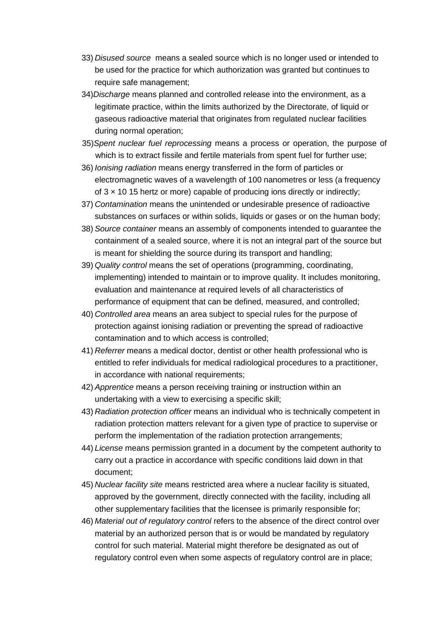- 33) *Disused source* means a sealed source which is no longer used or intended to be used for the practice for which authorization was granted but continues to require safe management;
- 34)*Discharge* means planned and controlled release into the environment, as a legitimate practice, within the limits authorized by the Directorate, of liquid or gaseous radioactive material that originates from regulated nuclear facilities during normal operation;
- 35)*Spent nuclear fuel reprocessing* means a process or operation, the purpose of which is to extract fissile and fertile materials from spent fuel for further use;
- 36) *Ionising radiation* means energy transferred in the form of particles or electromagnetic waves of a wavelength of 100 nanometres or less (a frequency of  $3 \times 10$  15 hertz or more) capable of producing ions directly or indirectly;
- 37) *Contamination* means the unintended or undesirable presence of radioactive substances on surfaces or within solids, liquids or gases or on the human body;
- 38) *Source container* means an assembly of components intended to guarantee the containment of a sealed source, where it is not an integral part of the source but is meant for shielding the source during its transport and handling;
- 39) *Quality control* means the set of operations (programming, coordinating, implementing) intended to maintain or to improve quality. It includes monitoring, evaluation and maintenance at required levels of all characteristics of performance of equipment that can be defined, measured, and controlled;
- 40) *Controlled area* means an area subject to special rules for the purpose of protection against ionising radiation or preventing the spread of radioactive contamination and to which access is controlled;
- 41) *Referrer* means a medical doctor, dentist or other health professional who is entitled to refer individuals for medical radiological procedures to a practitioner, in accordance with national requirements;
- 42) *Apprentice* means a person receiving training or instruction within an undertaking with a view to exercising a specific skill;
- 43) *Radiation protection officer* means an individual who is technically competent in radiation protection matters relevant for a given type of practice to supervise or perform the implementation of the radiation protection arrangements;
- 44) *License* means permission granted in a document by the competent authority to carry out a practice in accordance with specific conditions laid down in that document;
- 45) *Nuclear facility site* means restricted area where a nuclear facility is situated, approved by the government, directly connected with the facility, including all other supplementary facilities that the licensee is primarily responsible for;
- 46) *Material out of regulatory control* refers to the absence of the direct control over material by an authorized person that is or would be mandated by regulatory control for such material. Material might therefore be designated as out of regulatory control even when some aspects of regulatory control are in place;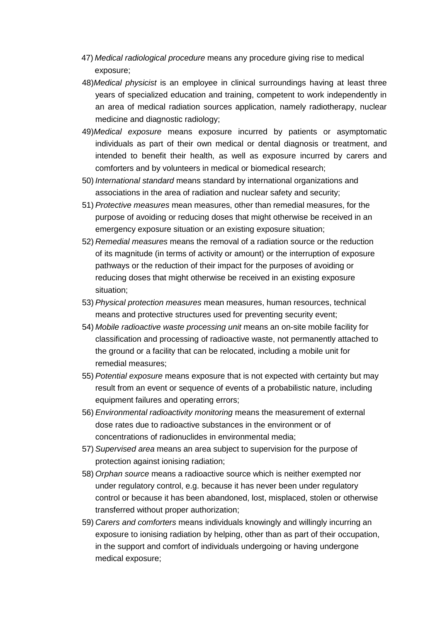- 47) *Medical radiological procedure* means any procedure giving rise to medical exposure;
- 48)*Medical physicist* is an employee in clinical surroundings having at least three years of specialized education and training, competent to work independently in an area of medical radiation sources application, namely radiotherapy, nuclear medicine and diagnostic radiology;
- 49)*Medical exposure* means exposure incurred by patients or asymptomatic individuals as part of their own medical or dental diagnosis or treatment, and intended to benefit their health, as well as exposure incurred by carers and comforters and by volunteers in medical or biomedical research;
- 50) *International standard* means standard by international organizations and associations in the area of radiation and nuclear safety and security;
- 51) *Protective measures* mean measures, other than remedial measures, for the purpose of avoiding or reducing doses that might otherwise be received in an emergency exposure situation or an existing exposure situation;
- 52) *Remedial measures* means the removal of a radiation source or the reduction of its magnitude (in terms of activity or amount) or the interruption of exposure pathways or the reduction of their impact for the purposes of avoiding or reducing doses that might otherwise be received in an existing exposure situation;
- 53) *Physical protection measures* mean measures, human resources, technical means and protective structures used for preventing security event;
- 54) *Mobile radioactive waste processing unit* means an on-site mobile facility for classification and processing of radioactive waste, not permanently attached to the ground or a facility that can be relocated, including a mobile unit for remedial measures;
- 55) *Potential exposure* means exposure that is not expected with certainty but may result from an event or sequence of events of a probabilistic nature, including equipment failures and operating errors;
- 56) *Environmental radioactivity monitoring* means the measurement of external dose rates due to radioactive substances in the environment or of concentrations of radionuclides in environmental media;
- 57) *Supervised area* means an area subject to supervision for the purpose of protection against ionising radiation;
- 58) *Orphan source* means a radioactive source which is neither exempted nor under regulatory control, e.g. because it has never been under regulatory control or because it has been abandoned, lost, misplaced, stolen or otherwise transferred without proper authorization;
- 59) *Carers and comforters* means individuals knowingly and willingly incurring an exposure to ionising radiation by helping, other than as part of their occupation, in the support and comfort of individuals undergoing or having undergone medical exposure;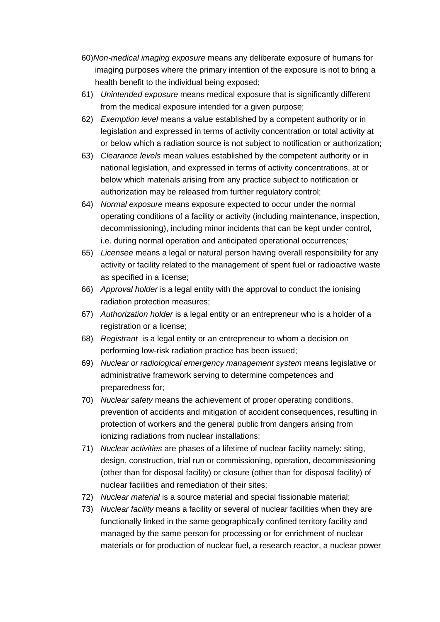- 60)*Non-medical imaging exposure* means any deliberate exposure of humans for imaging purposes where the primary intention of the exposure is not to bring a health benefit to the individual being exposed;
- 61) *Unintended exposure* means medical exposure that is significantly different from the medical exposure intended for a given purpose;
- 62) *Exemption level* means a value established by a competent authority or in legislation and expressed in terms of activity concentration or total activity at or below which a radiation source is not subject to notification or authorization;
- 63) *Clearance levels* mean values established by the competent authority or in national legislation, and expressed in terms of activity concentrations, at or below which materials arising from any practice subject to notification or authorization may be released from further regulatory control;
- 64) *Normal exposure* means exposure expected to occur under the normal operating conditions of a facility or activity (including maintenance, inspection, decommissioning), including minor incidents that can be kept under control, i.e. during normal operation and anticipated operational occurrences*;*
- 65) *Licensee* means a legal or natural person having overall responsibility for any activity or facility related to the management of spent fuel or radioactive waste as specified in a license;
- 66) *Approval holder* is a legal entity with the approval to conduct the ionising radiation protection measures;
- 67) *Authorization holder* is a legal entity or an entrepreneur who is a holder of a registration or a license;
- 68) *Registrant* is a legal entity or an entrepreneur to whom a decision on performing low-risk radiation practice has been issued;
- 69) *Nuclear or radiological emergency management system* means legislative or administrative framework serving to determine competences and preparedness for;
- 70) *Nuclear safety* means the achievement of proper operating conditions, prevention of accidents and mitigation of accident consequences, resulting in protection of workers and the general public from dangers arising from ionizing radiations from nuclear installations;
- 71) *Nuclear activities* are phases of a lifetime of nuclear facility namely: siting, design, construction, trial run or commissioning, operation, decommissioning (other than for disposal facility) or closure (other than for disposal facility) of nuclear facilities and remediation of their sites;
- 72) *Nuclear material* is a source material and special fissionable material;
- 73) *Nuclear facility* means a facility or several of nuclear facilities when they are functionally linked in the same geographically confined territory facility and managed by the same person for processing or for enrichment of nuclear materials or for production of nuclear fuel, a research reactor, a nuclear power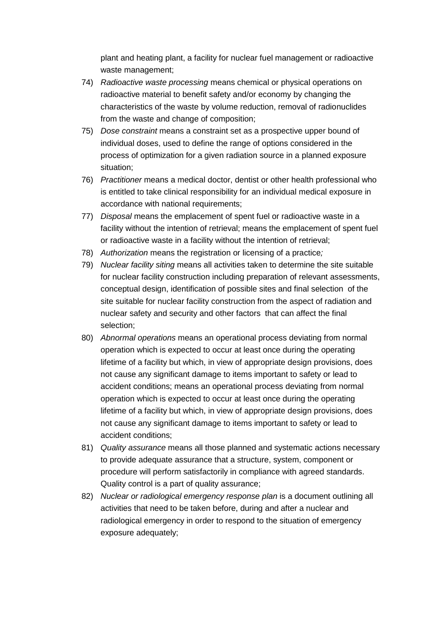plant and heating plant, a facility for nuclear fuel management or radioactive waste management;

- 74) *Radioactive waste processing* means chemical or physical operations on radioactive material to benefit safety and/or economy by changing the characteristics of the waste by volume reduction, removal of radionuclides from the waste and change of composition;
- 75) *Dose constraint* means a constraint set as a prospective upper bound of individual doses, used to define the range of options considered in the process of optimization for a given radiation source in a planned exposure situation;
- 76) *Practitioner* means a medical doctor, dentist or other health professional who is entitled to take clinical responsibility for an individual medical exposure in accordance with national requirements;
- 77) *Disposal* means the emplacement of spent fuel or radioactive waste in a facility without the intention of retrieval; means the emplacement of spent fuel or radioactive waste in a facility without the intention of retrieval;
- 78) *Authorization* means the registration or licensing of a practice*;*
- 79) *Nuclear facility siting* means all activities taken to determine the site suitable for nuclear facility construction including preparation of relevant assessments, conceptual design, identification of possible sites and final selection of the site suitable for nuclear facility construction from the aspect of radiation and nuclear safety and security and other factors that can affect the final selection;
- 80) *Abnormal operations* means an operational process deviating from normal operation which is expected to occur at least once during the operating lifetime of a facility but which, in view of appropriate design provisions, does not cause any significant damage to items important to safety or lead to accident conditions; means an operational process deviating from normal operation which is expected to occur at least once during the operating lifetime of a facility but which, in view of appropriate design provisions, does not cause any significant damage to items important to safety or lead to accident conditions;
- 81) *Quality assurance* means all those planned and systematic actions necessary to provide adequate assurance that a structure, system, component or procedure will perform satisfactorily in compliance with agreed standards. Quality control is a part of quality assurance;
- 82) *Nuclear or radiological emergency response plan* is a document outlining all activities that need to be taken before, during and after a nuclear and radiological emergency in order to respond to the situation of emergency exposure adequately;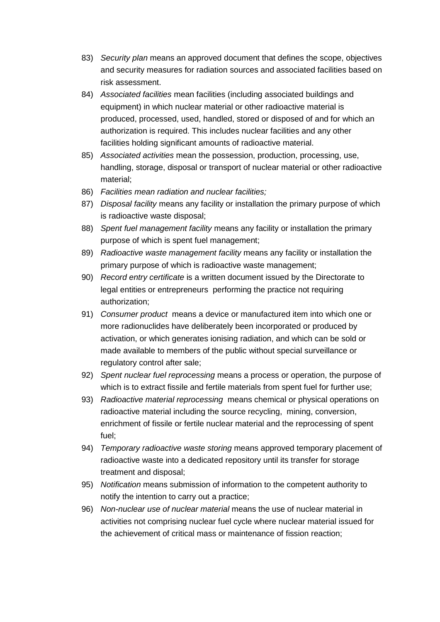- 83) *Security plan* means an approved document that defines the scope, objectives and security measures for radiation sources and associated facilities based on risk assessment.
- 84) *Associated facilities* mean facilities (including associated buildings and equipment) in which nuclear material or other radioactive material is produced, processed, used, handled, stored or disposed of and for which an authorization is required. This includes nuclear facilities and any other facilities holding significant amounts of radioactive material.
- 85) *Associated activities* mean the possession, production, processing, use, handling, storage, disposal or transport of nuclear material or other radioactive material;
- 86) *Facilities mean radiation and nuclear facilities;*
- 87) *Disposal facility* means any facility or installation the primary purpose of which is radioactive waste disposal;
- 88) *Spent fuel management facility* means any facility or installation the primary purpose of which is spent fuel management;
- 89) *Radioactive waste management facility* means any facility or installation the primary purpose of which is radioactive waste management;
- 90) *Record entry certificate* is a written document issued by the Directorate to legal entities or entrepreneurs performing the practice not requiring authorization;
- 91) *Consumer product* means a device or manufactured item into which one or more radionuclides have deliberately been incorporated or produced by activation, or which generates ionising radiation, and which can be sold or made available to members of the public without special surveillance or regulatory control after sale;
- 92) *Spent nuclear fuel reprocessing* means a process or operation, the purpose of which is to extract fissile and fertile materials from spent fuel for further use;
- 93) *Radioactive material reprocessing* means chemical or physical operations on radioactive material including the source recycling, mining, conversion, enrichment of fissile or fertile nuclear material and the reprocessing of spent fuel;
- 94) *Temporary radioactive waste storing* means approved temporary placement of radioactive waste into a dedicated repository until its transfer for storage treatment and disposal;
- 95) *Notification* means submission of information to the competent authority to notify the intention to carry out a practice;
- 96) *Non-nuclear use of nuclear material* means the use of nuclear material in activities not comprising nuclear fuel cycle where nuclear material issued for the achievement of critical mass or maintenance of fission reaction;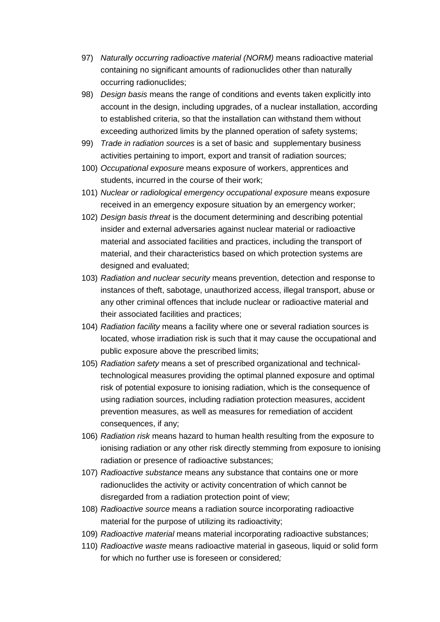- 97) *Naturally occurring radioactive material (NORM)* means radioactive material containing no significant amounts of radionuclides other than naturally occurring radionuclides;
- 98) *Design basis* means the range of conditions and events taken explicitly into account in the design, including upgrades, of a nuclear installation, according to established criteria, so that the installation can withstand them without exceeding authorized limits by the planned operation of safety systems;
- 99) *Trade in radiation sources* is a set of basic and supplementary business activities pertaining to import, export and transit of radiation sources;
- 100) *Occupational exposure* means exposure of workers, apprentices and students, incurred in the course of their work;
- 101) *Nuclear or radiological emergency occupational exposure* means exposure received in an emergency exposure situation by an emergency worker;
- 102) *Design basis threat* is the document determining and describing potential insider and external adversaries against nuclear material or radioactive material and associated facilities and practices, including the transport of material, and their characteristics based on which protection systems are designed and evaluated;
- 103) *Radiation and nuclear security* means prevention, detection and response to instances of theft, sabotage, unauthorized access, illegal transport, abuse or any other criminal offences that include nuclear or radioactive material and their associated facilities and practices;
- 104) *Radiation facility* means a facility where one or several radiation sources is located, whose irradiation risk is such that it may cause the occupational and public exposure above the prescribed limits;
- 105) *Radiation safety* means a set of prescribed organizational and technicaltechnological measures providing the optimal planned exposure and optimal risk of potential exposure to ionising radiation, which is the consequence of using radiation sources, including radiation protection measures, accident prevention measures, as well as measures for remediation of accident consequences, if any;
- 106) *Radiation risk* means hazard to human health resulting from the exposure to ionising radiation or any other risk directly stemming from exposure to ionising radiation or presence of radioactive substances;
- 107) *Radioactive substance* means any substance that contains one or more radionuclides the activity or activity concentration of which cannot be disregarded from a radiation protection point of view;
- 108) *Radioactive source* means a radiation source incorporating radioactive material for the purpose of utilizing its radioactivity;
- 109) *Radioactive material* means material incorporating radioactive substances;
- 110) *Radioactive waste* means radioactive material in gaseous, liquid or solid form for which no further use is foreseen or considered*;*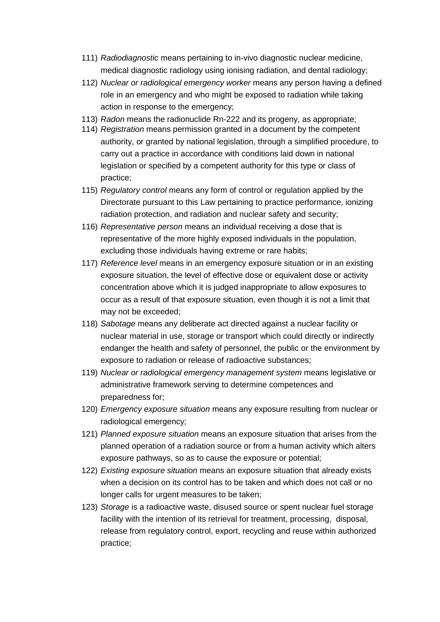- 111) *Radiodiagnostic* means pertaining to in-vivo diagnostic nuclear medicine, medical diagnostic radiology using ionising radiation, and dental radiology;
- 112) *Nuclear or radiological emergency worker* means any person having a defined role in an emergency and who might be exposed to radiation while taking action in response to the emergency;
- 113) *Radon* means the radionuclide Rn-222 and its progeny, as appropriate;
- 114) *Registration* means permission granted in a document by the competent authority, or granted by national legislation, through a simplified procedure, to carry out a practice in accordance with conditions laid down in national legislation or specified by a competent authority for this type or class of practice;
- 115) *Regulatory control* means any form of control or regulation applied by the Directorate pursuant to this Law pertaining to practice performance, ionizing radiation protection, and radiation and nuclear safety and security;
- 116) *Representative person* means an individual receiving a dose that is representative of the more highly exposed individuals in the population, excluding those individuals having extreme or rare habits;
- 117) *Reference level* means in an emergency exposure situation or in an existing exposure situation, the level of effective dose or equivalent dose or activity concentration above which it is judged inappropriate to allow exposures to occur as a result of that exposure situation, even though it is not a limit that may not be exceeded;
- 118) *Sabotage* means any deliberate act directed against a nuclear facility or nuclear material in use, storage or transport which could directly or indirectly endanger the health and safety of personnel, the public or the environment by exposure to radiation or release of radioactive substances;
- 119) *Nuclear or radiological emergency management system* means legislative or administrative framework serving to determine competences and preparedness for;
- 120) *Emergency exposure situation* means any exposure resulting from nuclear or radiological emergency;
- 121) *Planned exposure situation* means an exposure situation that arises from the planned operation of a radiation source or from a human activity which alters exposure pathways, so as to cause the exposure or potential;
- 122) *Existing exposure situation* means an exposure situation that already exists when a decision on its control has to be taken and which does not call or no longer calls for urgent measures to be taken;
- 123) *Storage* is a radioactive waste, disused source or spent nuclear fuel storage facility with the intention of its retrieval for treatment, processing, disposal, release from regulatory control, export, recycling and reuse within authorized practice;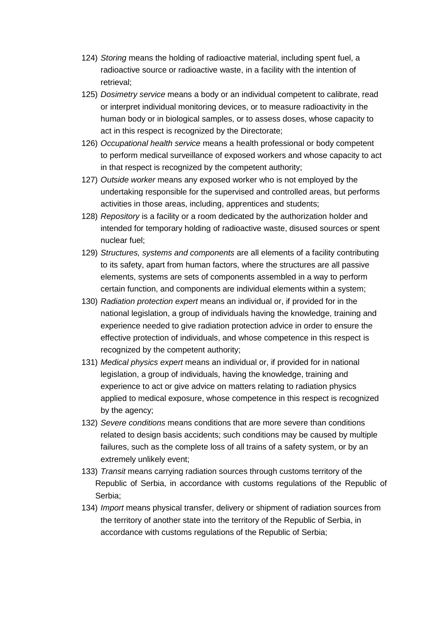- 124) *Storing* means the holding of radioactive material, including spent fuel, a radioactive source or radioactive waste, in a facility with the intention of retrieval;
- 125) *Dosimetry service* means a body or an individual competent to calibrate, read or interpret individual monitoring devices, or to measure radioactivity in the human body or in biological samples, or to assess doses, whose capacity to act in this respect is recognized by the Directorate;
- 126) *Occupational health service* means a health professional or body competent to perform medical surveillance of exposed workers and whose capacity to act in that respect is recognized by the competent authority;
- 127) *Outside worker* means any exposed worker who is not employed by the undertaking responsible for the supervised and controlled areas, but performs activities in those areas, including, apprentices and students;
- 128) *Repository* is a facility or a room dedicated by the authorization holder and intended for temporary holding of radioactive waste, disused sources or spent nuclear fuel;
- 129) *Structures, systems and components* are all elements of a facility contributing to its safety, apart from human factors, where the structures are all passive elements, systems are sets of components assembled in a way to perform certain function, and components are individual elements within a system;
- 130) *Radiation protection expert* means an individual or, if provided for in the national legislation, a group of individuals having the knowledge, training and experience needed to give radiation protection advice in order to ensure the effective protection of individuals, and whose competence in this respect is recognized by the competent authority;
- 131) *Medical physics expert* means an individual or, if provided for in national legislation, a group of individuals, having the knowledge, training and experience to act or give advice on matters relating to radiation physics applied to medical exposure, whose competence in this respect is recognized by the agency;
- 132) *Severe conditions* means conditions that are more severe than conditions related to design basis accidents; such conditions may be caused by multiple failures, such as the complete loss of all trains of a safety system, or by an extremely unlikely event;
- 133) *Transit* means carrying radiation sources through customs territory of the Republic of Serbia, in accordance with customs regulations of the Republic of Serbia;
- 134) *Import* means physical transfer, delivery or shipment of radiation sources from the territory of another state into the territory of the Republic of Serbia, in accordance with customs regulations of the Republic of Serbia;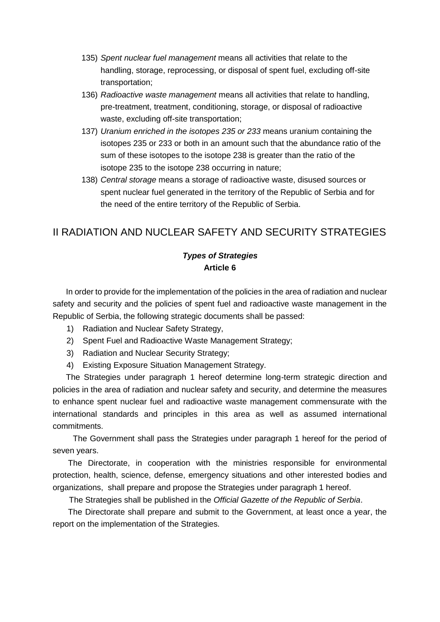- 135) *Spent nuclear fuel management* means all activities that relate to the handling, storage, reprocessing, or disposal of spent fuel, excluding off-site transportation;
- 136) *Radioactive waste management* means all activities that relate to handling, pre-treatment, treatment, conditioning, storage, or disposal of radioactive waste, excluding off-site transportation;
- 137) *Uranium enriched in the isotopes 235 or 233* means uranium containing the isotopes 235 or 233 or both in an amount such that the abundance ratio of the sum of these isotopes to the isotope 238 is greater than the ratio of the isotope 235 to the isotope 238 occurring in nature;
- 138) *Central storage* means a storage of radioactive waste, disused sources or spent nuclear fuel generated in the territory of the Republic of Serbia and for the need of the entire territory of the Republic of Serbia.

# II RADIATION AND NUCLEAR SAFETY AND SECURITY STRATEGIES

### *Types of Strategies*  **Article 6**

In order to provide for the implementation of the policies in the area of radiation and nuclear safety and security and the policies of spent fuel and radioactive waste management in the Republic of Serbia, the following strategic documents shall be passed:

- 1) Radiation and Nuclear Safety Strategy,
- 2) Spent Fuel and Radioactive Waste Management Strategy;
- 3) Radiation and Nuclear Security Strategy;
- 4) Existing Exposure Situation Management Strategy.

The Strategies under paragraph 1 hereof determine long-term strategic direction and policies in the area of radiation and nuclear safety and security, and determine the measures to enhance spent nuclear fuel and radioactive waste management commensurate with the international standards and principles in this area as well as assumed international commitments.

 The Government shall pass the Strategies under paragraph 1 hereof for the period of seven years.

The Directorate, in cooperation with the ministries responsible for environmental protection, health, science, defense, emergency situations and other interested bodies and organizations, shall prepare and propose the Strategies under paragraph 1 hereof.

The Strategies shall be published in the *Official Gazette of the Republic of Serbia*.

The Directorate shall prepare and submit to the Government, at least once a year, the report on the implementation of the Strategies.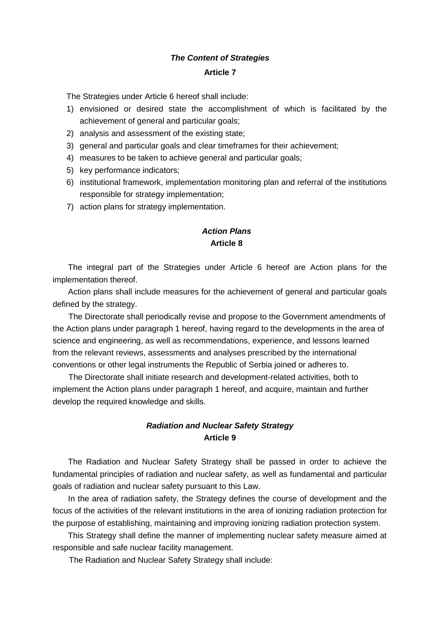# *The Content of Strategies*  **Article 7**

The Strategies under Article 6 hereof shall include:

- 1) envisioned or desired state the accomplishment of which is facilitated by the achievement of general and particular goals;
- 2) analysis and assessment of the existing state;
- 3) general and particular goals and clear timeframes for their achievement;
- 4) measures to be taken to achieve general and particular goals;
- 5) key performance indicators;
- 6) institutional framework, implementation monitoring plan and referral of the institutions responsible for strategy implementation;
- 7) action plans for strategy implementation.

### *Action Plans*  **Article 8**

The integral part of the Strategies under Article 6 hereof are Action plans for the implementation thereof.

Action plans shall include measures for the achievement of general and particular goals defined by the strategy.

The Directorate shall periodically revise and propose to the Government amendments of the Action plans under paragraph 1 hereof, having regard to the developments in the area of science and engineering, as well as recommendations, experience, and lessons learned from the relevant reviews, assessments and analyses prescribed by the international conventions or other legal instruments the Republic of Serbia joined or adheres to.

The Directorate shall initiate research and development-related activities, both to implement the Action plans under paragraph 1 hereof, and acquire, maintain and further develop the required knowledge and skills.

#### *Radiation and Nuclear Safety Strategy*  **Article 9**

The Radiation and Nuclear Safety Strategy shall be passed in order to achieve the fundamental principles of radiation and nuclear safety, as well as fundamental and particular goals of radiation and nuclear safety pursuant to this Law.

In the area of radiation safety, the Strategy defines the course of development and the focus of the activities of the relevant institutions in the area of ionizing radiation protection for the purpose of establishing, maintaining and improving ionizing radiation protection system.

This Strategy shall define the manner of implementing nuclear safety measure aimed at responsible and safe nuclear facility management.

The Radiation and Nuclear Safety Strategy shall include: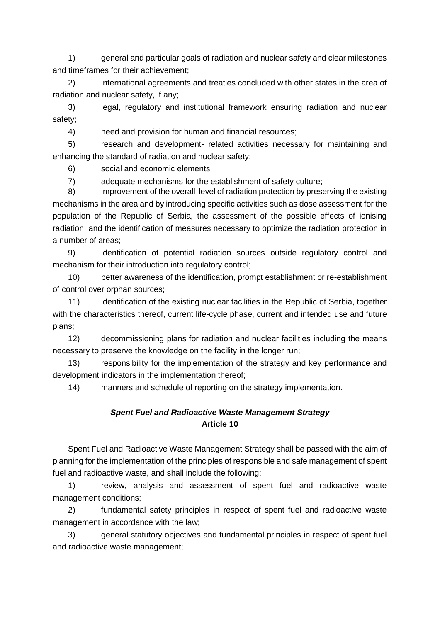1) general and particular goals of radiation and nuclear safety and clear milestones and timeframes for their achievement;

2) international agreements and treaties concluded with other states in the area of radiation and nuclear safety, if any;

3) legal, regulatory and institutional framework ensuring radiation and nuclear safety;

4) need and provision for human and financial resources;

5) research and development- related activities necessary for maintaining and enhancing the standard of radiation and nuclear safety;

6) social and economic elements;

7) adequate mechanisms for the establishment of safety culture;

8) improvement of the overall level of radiation protection by preserving the existing mechanisms in the area and by introducing specific activities such as dose assessment for the population of the Republic of Serbia, the assessment of the possible effects of ionising radiation, and the identification of measures necessary to optimize the radiation protection in a number of areas;

9) identification of potential radiation sources outside regulatory control and mechanism for their introduction into regulatory control;

10) better awareness of the identification, prompt establishment or re-establishment of control over orphan sources;

11) identification of the existing nuclear facilities in the Republic of Serbia, together with the characteristics thereof, current life-cycle phase, current and intended use and future plans;

12) decommissioning plans for radiation and nuclear facilities including the means necessary to preserve the knowledge on the facility in the longer run;

13) responsibility for the implementation of the strategy and key performance and development indicators in the implementation thereof;

14) manners and schedule of reporting on the strategy implementation.

# *Spent Fuel and Radioactive Waste Management Strategy* **Article 10**

Spent Fuel and Radioactive Waste Management Strategy shall be passed with the aim of planning for the implementation of the principles of responsible and safe management of spent fuel and radioactive waste, and shall include the following:

1) review, analysis and assessment of spent fuel and radioactive waste management conditions;

2) fundamental safety principles in respect of spent fuel and radioactive waste management in accordance with the law;

3) general statutory objectives and fundamental principles in respect of spent fuel and radioactive waste management;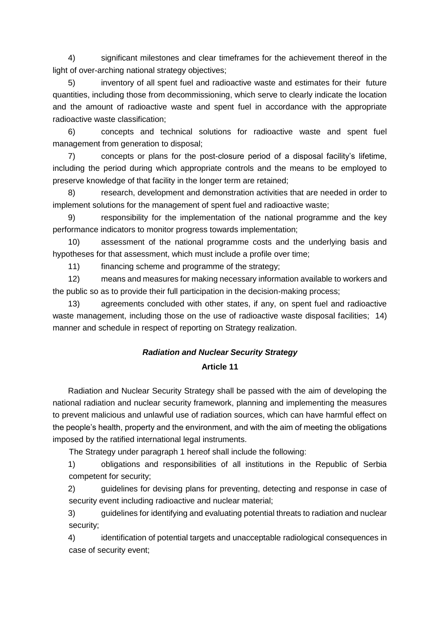4) significant milestones and clear timeframes for the achievement thereof in the light of over-arching national strategy objectives;

5) inventory of all spent fuel and radioactive waste and estimates for their future quantities, including those from decommissioning, which serve to clearly indicate the location and the amount of radioactive waste and spent fuel in accordance with the appropriate radioactive waste classification;

6) concepts and technical solutions for radioactive waste and spent fuel management from generation to disposal;

7) concepts or plans for the post-closure period of a disposal facility's lifetime, including the period during which appropriate controls and the means to be employed to preserve knowledge of that facility in the longer term are retained;

8) research, development and demonstration activities that are needed in order to implement solutions for the management of spent fuel and radioactive waste;

9) responsibility for the implementation of the national programme and the key performance indicators to monitor progress towards implementation;

10) assessment of the national programme costs and the underlying basis and hypotheses for that assessment, which must include a profile over time;

11) financing scheme and programme of the strategy;

12) means and measures for making necessary information available to workers and the public so as to provide their full participation in the decision-making process;

13) agreements concluded with other states, if any, on spent fuel and radioactive waste management, including those on the use of radioactive waste disposal facilities; 14) manner and schedule in respect of reporting on Strategy realization.

# *Radiation and Nuclear Security Strategy*  **Article 11**

Radiation and Nuclear Security Strategy shall be passed with the aim of developing the national radiation and nuclear security framework, planning and implementing the measures to prevent malicious and unlawful use of radiation sources, which can have harmful effect on the people's health, property and the environment, and with the aim of meeting the obligations imposed by the ratified international legal instruments.

The Strategy under paragraph 1 hereof shall include the following:

1) obligations and responsibilities of all institutions in the Republic of Serbia competent for security;

2) guidelines for devising plans for preventing, detecting and response in case of security event including radioactive and nuclear material;

3) guidelines for identifying and evaluating potential threats to radiation and nuclear security;

4) identification of potential targets and unacceptable radiological consequences in case of security event;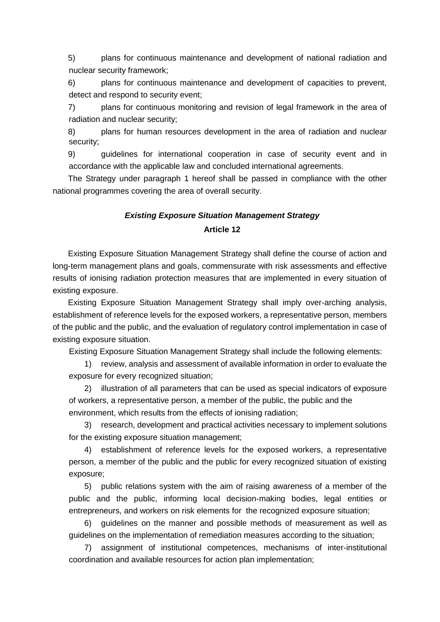5) plans for continuous maintenance and development of national radiation and nuclear security framework;

6) plans for continuous maintenance and development of capacities to prevent, detect and respond to security event;

7) plans for continuous monitoring and revision of legal framework in the area of radiation and nuclear security;

8) plans for human resources development in the area of radiation and nuclear security;

9) guidelines for international cooperation in case of security event and in accordance with the applicable law and concluded international agreements.

The Strategy under paragraph 1 hereof shall be passed in compliance with the other national programmes covering the area of overall security.

### *Existing Exposure Situation Management Strategy*

#### **Article 12**

Existing Exposure Situation Management Strategy shall define the course of action and long-term management plans and goals, commensurate with risk assessments and effective results of ionising radiation protection measures that are implemented in every situation of existing exposure.

Existing Exposure Situation Management Strategy shall imply over-arching analysis, establishment of reference levels for the exposed workers, a representative person, members of the public and the public, and the evaluation of regulatory control implementation in case of existing exposure situation.

Existing Exposure Situation Management Strategy shall include the following elements:

1) review, analysis and assessment of available information in order to evaluate the exposure for every recognized situation;

2) illustration of all parameters that can be used as special indicators of exposure of workers, a representative person, a member of the public, the public and the environment, which results from the effects of ionising radiation;

3) research, development and practical activities necessary to implement solutions for the existing exposure situation management;

4) establishment of reference levels for the exposed workers, a representative person, a member of the public and the public for every recognized situation of existing exposure;

5) public relations system with the aim of raising awareness of a member of the public and the public, informing local decision-making bodies, legal entities or entrepreneurs, and workers on risk elements for the recognized exposure situation;

6) guidelines on the manner and possible methods of measurement as well as guidelines on the implementation of remediation measures according to the situation;

7) assignment of institutional competences, mechanisms of inter-institutional coordination and available resources for action plan implementation;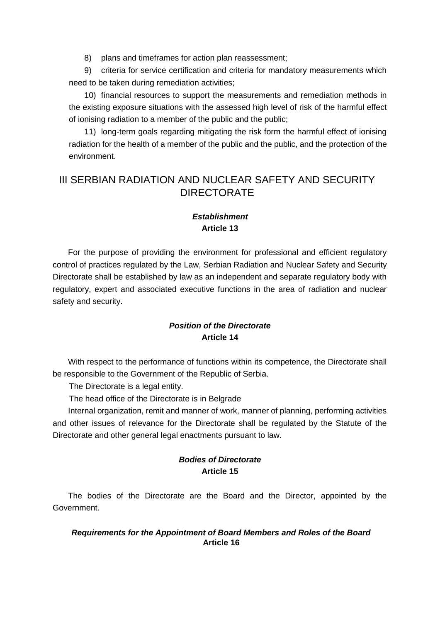8) plans and timeframes for action plan reassessment;

9) criteria for service certification and criteria for mandatory measurements which need to be taken during remediation activities;

10) financial resources to support the measurements and remediation methods in the existing exposure situations with the assessed high level of risk of the harmful effect of ionising radiation to a member of the public and the public;

11) long-term goals regarding mitigating the risk form the harmful effect of ionising radiation for the health of a member of the public and the public, and the protection of the environment.

# III SERBIAN RADIATION AND NUCLEAR SAFETY AND SECURITY DIRECTORATE

## *Establishment*  **Article 13**

For the purpose of providing the environment for professional and efficient regulatory control of practices regulated by the Law, Serbian Radiation and Nuclear Safety and Security Directorate shall be established by law as an independent and separate regulatory body with regulatory, expert and associated executive functions in the area of radiation and nuclear safety and security.

# *Position of the Directorate*  **Article 14**

With respect to the performance of functions within its competence, the Directorate shall be responsible to the Government of the Republic of Serbia.

The Directorate is a legal entity.

The head office of the Directorate is in Belgrade

Internal organization, remit and manner of work, manner of planning, performing activities and other issues of relevance for the Directorate shall be regulated by the Statute of the Directorate and other general legal enactments pursuant to law.

### *Bodies of Directorate*  **Article 15**

The bodies of the Directorate are the Board and the Director, appointed by the Government.

#### *Requirements for the Appointment of Board Members and Roles of the Board*  **Article 16**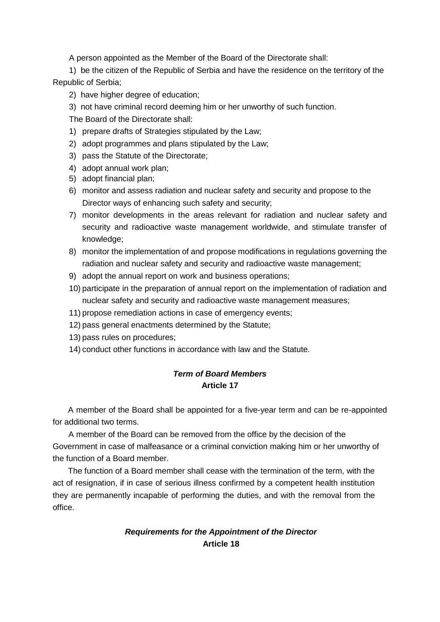A person appointed as the Member of the Board of the Directorate shall:

1) be the citizen of the Republic of Serbia and have the residence on the territory of the Republic of Serbia;

- 2) have higher degree of education:
- 3) not have criminal record deeming him or her unworthy of such function.

The Board of the Directorate shall:

- 1) prepare drafts of Strategies stipulated by the Law;
- 2) adopt programmes and plans stipulated by the Law;
- 3) pass the Statute of the Directorate;
- 4) adopt annual work plan;
- 5) adopt financial plan;
- 6) monitor and assess radiation and nuclear safety and security and propose to the Director ways of enhancing such safety and security;
- 7) monitor developments in the areas relevant for radiation and nuclear safety and security and radioactive waste management worldwide, and stimulate transfer of knowledge;
- 8) monitor the implementation of and propose modifications in regulations governing the radiation and nuclear safety and security and radioactive waste management;
- 9) adopt the annual report on work and business operations;
- 10) participate in the preparation of annual report on the implementation of radiation and nuclear safety and security and radioactive waste management measures;
- 11) propose remediation actions in case of emergency events;
- 12) pass general enactments determined by the Statute;
- 13) pass rules on procedures;
- 14) conduct other functions in accordance with law and the Statute.

### *Term of Board Members*  **Article 17**

A member of the Board shall be appointed for a five-year term and can be re-appointed for additional two terms.

A member of the Board can be removed from the office by the decision of the Government in case of malfeasance or a criminal conviction making him or her unworthy of the function of a Board member.

The function of a Board member shall cease with the termination of the term, with the act of resignation, if in case of serious illness confirmed by a competent health institution they are permanently incapable of performing the duties, and with the removal from the office.

### *Requirements for the Appointment of the Director*  **Article 18**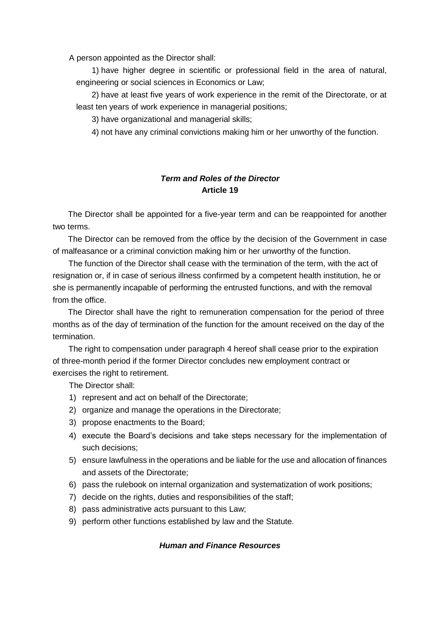A person appointed as the Director shall:

1) have higher degree in scientific or professional field in the area of natural, engineering or social sciences in Economics or Law;

2) have at least five years of work experience in the remit of the Directorate, or at least ten years of work experience in managerial positions;

3) have organizational and managerial skills;

4) not have any criminal convictions making him or her unworthy of the function.

# *Term and Roles of the Director*  **Article 19**

The Director shall be appointed for a five-year term and can be reappointed for another two terms.

The Director can be removed from the office by the decision of the Government in case of malfeasance or a criminal conviction making him or her unworthy of the function.

The function of the Director shall cease with the termination of the term, with the act of resignation or, if in case of serious illness confirmed by a competent health institution, he or she is permanently incapable of performing the entrusted functions, and with the removal from the office.

The Director shall have the right to remuneration compensation for the period of three months as of the day of termination of the function for the amount received on the day of the termination.

The right to compensation under paragraph 4 hereof shall cease prior to the expiration of three-month period if the former Director concludes new employment contract or exercises the right to retirement.

The Director shall:

- 1) represent and act on behalf of the Directorate;
- 2) organize and manage the operations in the Directorate;
- 3) propose enactments to the Board;
- 4) execute the Board's decisions and take steps necessary for the implementation of such decisions;
- 5) ensure lawfulness in the operations and be liable for the use and allocation of finances and assets of the Directorate;
- 6) pass the rulebook on internal organization and systematization of work positions;
- 7) decide on the rights, duties and responsibilities of the staff;
- 8) pass administrative acts pursuant to this Law;
- 9) perform other functions established by law and the Statute.

#### *Human and Finance Resources*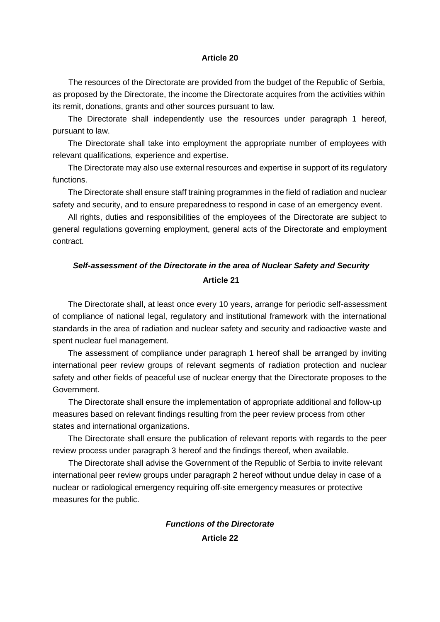#### **Article 20**

The resources of the Directorate are provided from the budget of the Republic of Serbia, as proposed by the Directorate, the income the Directorate acquires from the activities within its remit, donations, grants and other sources pursuant to law.

The Directorate shall independently use the resources under paragraph 1 hereof, pursuant to law.

The Directorate shall take into employment the appropriate number of employees with relevant qualifications, experience and expertise.

The Directorate may also use external resources and expertise in support of its regulatory functions.

The Directorate shall ensure staff training programmes in the field of radiation and nuclear safety and security, and to ensure preparedness to respond in case of an emergency event.

All rights, duties and responsibilities of the employees of the Directorate are subject to general regulations governing employment, general acts of the Directorate and employment contract.

# *Self-assessment of the Directorate in the area of Nuclear Safety and Security*  **Article 21**

The Directorate shall, at least once every 10 years, arrange for periodic self-assessment of compliance of national legal, regulatory and institutional framework with the international standards in the area of radiation and nuclear safety and security and radioactive waste and spent nuclear fuel management.

The assessment of compliance under paragraph 1 hereof shall be arranged by inviting international peer review groups of relevant segments of radiation protection and nuclear safety and other fields of peaceful use of nuclear energy that the Directorate proposes to the Government.

The Directorate shall ensure the implementation of appropriate additional and follow-up measures based on relevant findings resulting from the peer review process from other states and international organizations.

The Directorate shall ensure the publication of relevant reports with regards to the peer review process under paragraph 3 hereof and the findings thereof, when available.

The Directorate shall advise the Government of the Republic of Serbia to invite relevant international peer review groups under paragraph 2 hereof without undue delay in case of a nuclear or radiological emergency requiring off-site emergency measures or protective measures for the public.

# *Functions of the Directorate*  **Article 22**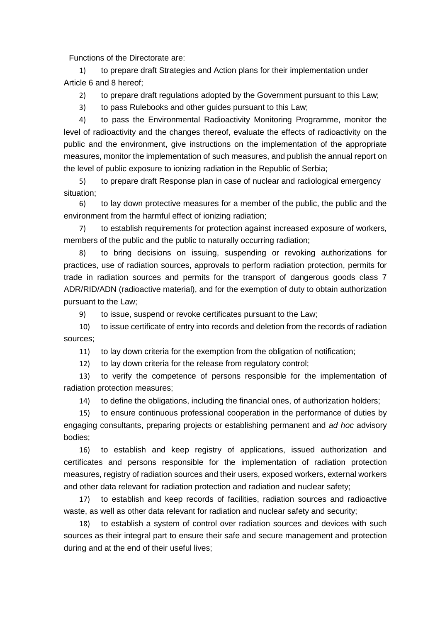Functions of the Directorate are:

1) to prepare draft Strategies and Action plans for their implementation under Article 6 and 8 hereof;

2) to prepare draft regulations adopted by the Government pursuant to this Law;

3) to pass Rulebooks and other guides pursuant to this Law;

4) to pass the Environmental Radioactivity Monitoring Programme, monitor the level of radioactivity and the changes thereof, evaluate the effects of radioactivity on the public and the environment, give instructions on the implementation of the appropriate measures, monitor the implementation of such measures, and publish the annual report on the level of public exposure to ionizing radiation in the Republic of Serbia;

5) to prepare draft Response plan in case of nuclear and radiological emergency situation;

6) to lay down protective measures for a member of the public, the public and the environment from the harmful effect of ionizing radiation;

7) to establish requirements for protection against increased exposure of workers, members of the public and the public to naturally occurring radiation;

8) to bring decisions on issuing, suspending or revoking authorizations for practices, use of radiation sources, approvals to perform radiation protection, permits for trade in radiation sources and permits for the transport of dangerous goods class 7 ADR/RID/ADN (radioactive material), and for the exemption of duty to obtain authorization pursuant to the Law;

9) to issue, suspend or revoke certificates pursuant to the Law;

10) to issue certificate of entry into records and deletion from the records of radiation sources;

11) to lay down criteria for the exemption from the obligation of notification;

12) to lay down criteria for the release from regulatory control;

13) to verify the competence of persons responsible for the implementation of radiation protection measures;

14) to define the obligations, including the financial ones, of authorization holders;

15) to ensure continuous professional cooperation in the performance of duties by engaging consultants, preparing projects or establishing permanent and *ad hoc* advisory bodies;

16) to establish and keep registry of applications, issued authorization and certificates and persons responsible for the implementation of radiation protection measures, registry of radiation sources and their users, exposed workers, external workers and other data relevant for radiation protection and radiation and nuclear safety;

17) to establish and keep records of facilities, radiation sources and radioactive waste, as well as other data relevant for radiation and nuclear safety and security;

18) to establish a system of control over radiation sources and devices with such sources as their integral part to ensure their safe and secure management and protection during and at the end of their useful lives;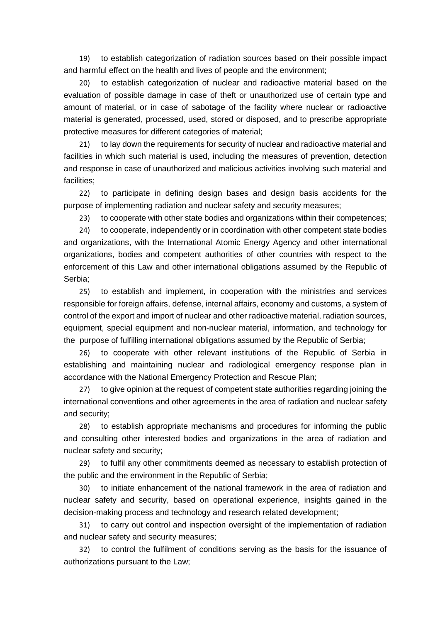19) to establish categorization of radiation sources based on their possible impact and harmful effect on the health and lives of people and the environment;

20) to establish categorization of nuclear and radioactive material based on the evaluation of possible damage in case of theft or unauthorized use of certain type and amount of material, or in case of sabotage of the facility where nuclear or radioactive material is generated, processed, used, stored or disposed, and to prescribe appropriate protective measures for different categories of material;

21) to lay down the requirements for security of nuclear and radioactive material and facilities in which such material is used, including the measures of prevention, detection and response in case of unauthorized and malicious activities involving such material and facilities;

22) to participate in defining design bases and design basis accidents for the purpose of implementing radiation and nuclear safety and security measures;

23) to cooperate with other state bodies and organizations within their competences;

24) to cooperate, independently or in coordination with other competent state bodies and organizations, with the International Atomic Energy Agency and other international organizations, bodies and competent authorities of other countries with respect to the enforcement of this Law and other international obligations assumed by the Republic of Serbia;

25) to establish and implement, in cooperation with the ministries and services responsible for foreign affairs, defense, internal affairs, economy and customs, a system of control of the export and import of nuclear and other radioactive material, radiation sources, equipment, special equipment and non-nuclear material, information, and technology for the purpose of fulfilling international obligations assumed by the Republic of Serbia;

26) to cooperate with other relevant institutions of the Republic of Serbia in establishing and maintaining nuclear and radiological emergency response plan in accordance with the National Emergency Protection and Rescue Plan;

27) to give opinion at the request of competent state authorities regarding joining the international conventions and other agreements in the area of radiation and nuclear safety and security;

28) to establish appropriate mechanisms and procedures for informing the public and consulting other interested bodies and organizations in the area of radiation and nuclear safety and security;

29) to fulfil any other commitments deemed as necessary to establish protection of the public and the environment in the Republic of Serbia;

30) to initiate enhancement of the national framework in the area of radiation and nuclear safety and security, based on operational experience, insights gained in the decision-making process and technology and research related development;

31) to carry out control and inspection oversight of the implementation of radiation and nuclear safety and security measures;

32) to control the fulfilment of conditions serving as the basis for the issuance of authorizations pursuant to the Law;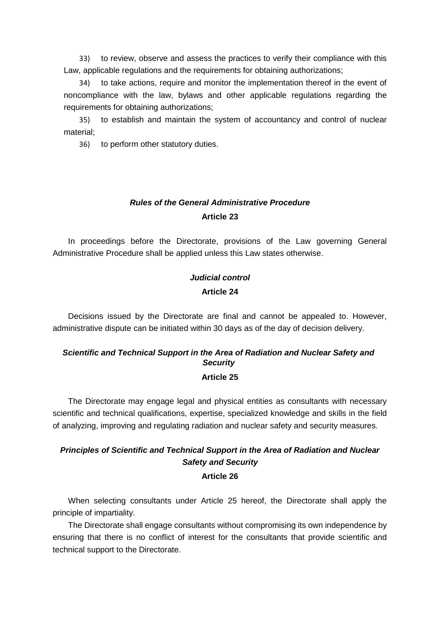33) to review, observe and assess the practices to verify their compliance with this Law, applicable regulations and the requirements for obtaining authorizations;

34) to take actions, require and monitor the implementation thereof in the event of noncompliance with the law, bylaws and other applicable regulations regarding the requirements for obtaining authorizations;

35) to establish and maintain the system of accountancy and control of nuclear material;

36) to perform other statutory duties.

# *Rules of the General Administrative Procedure*  **Article 23**

In proceedings before the Directorate, provisions of the Law governing General Administrative Procedure shall be applied unless this Law states otherwise.

# *Judicial control*  **Article 24**

Decisions issued by the Directorate are final and cannot be appealed to. However, administrative dispute can be initiated within 30 days as of the day of decision delivery.

### *Scientific and Technical Support in the Area of Radiation and Nuclear Safety and Security*  **Article 25**

The Directorate may engage legal and physical entities as consultants with necessary scientific and technical qualifications, expertise, specialized knowledge and skills in the field of analyzing, improving and regulating radiation and nuclear safety and security measures.

# *Principles of Scientific and Technical Support in the Area of Radiation and Nuclear Safety and Security*  **Article 26**

When selecting consultants under Article 25 hereof, the Directorate shall apply the principle of impartiality.

The Directorate shall engage consultants without compromising its own independence by ensuring that there is no conflict of interest for the consultants that provide scientific and technical support to the Directorate.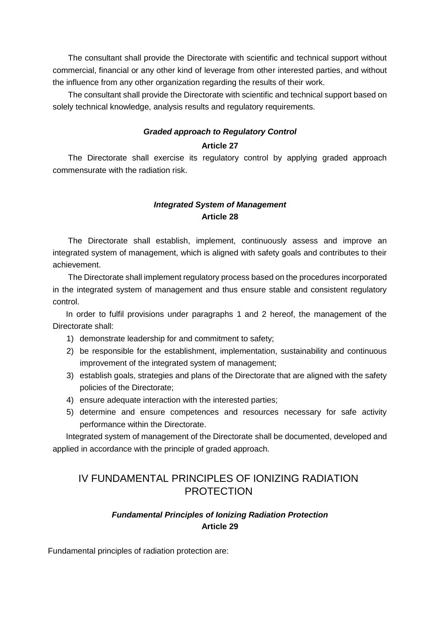The consultant shall provide the Directorate with scientific and technical support without commercial, financial or any other kind of leverage from other interested parties, and without the influence from any other organization regarding the results of their work.

The consultant shall provide the Directorate with scientific and technical support based on solely technical knowledge, analysis results and regulatory requirements.

### *Graded approach to Regulatory Control* **Article 27**

The Directorate shall exercise its regulatory control by applying graded approach commensurate with the radiation risk.

### *Integrated System of Management* **Article 28**

The Directorate shall establish, implement, continuously assess and improve an integrated system of management, which is aligned with safety goals and contributes to their achievement.

The Directorate shall implement regulatory process based on the procedures incorporated in the integrated system of management and thus ensure stable and consistent regulatory control.

In order to fulfil provisions under paragraphs 1 and 2 hereof, the management of the Directorate shall:

- 1) demonstrate leadership for and commitment to safety;
- 2) be responsible for the establishment, implementation, sustainability and continuous improvement of the integrated system of management;
- 3) establish goals, strategies and plans of the Directorate that are aligned with the safety policies of the Directorate;
- 4) ensure adequate interaction with the interested parties;
- 5) determine and ensure competences and resources necessary for safe activity performance within the Directorate.

Integrated system of management of the Directorate shall be documented, developed and applied in accordance with the principle of graded approach.

# IV FUNDAMENTAL PRINCIPLES OF IONIZING RADIATION **PROTECTION**

# *Fundamental Principles of Ionizing Radiation Protection*  **Article 29**

Fundamental principles of radiation protection are: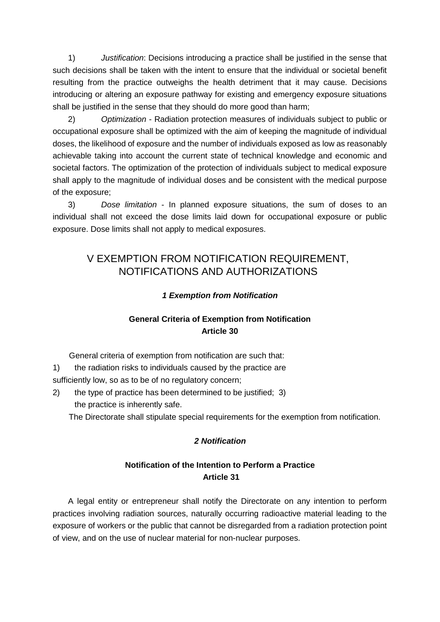1) *Justification*: Decisions introducing a practice shall be justified in the sense that such decisions shall be taken with the intent to ensure that the individual or societal benefit resulting from the practice outweighs the health detriment that it may cause. Decisions introducing or altering an exposure pathway for existing and emergency exposure situations shall be justified in the sense that they should do more good than harm;

2) *Optimization* - Radiation protection measures of individuals subject to public or occupational exposure shall be optimized with the aim of keeping the magnitude of individual doses, the likelihood of exposure and the number of individuals exposed as low as reasonably achievable taking into account the current state of technical knowledge and economic and societal factors. The optimization of the protection of individuals subject to medical exposure shall apply to the magnitude of individual doses and be consistent with the medical purpose of the exposure;

3) *Dose limitation* - In planned exposure situations, the sum of doses to an individual shall not exceed the dose limits laid down for occupational exposure or public exposure. Dose limits shall not apply to medical exposures.

# V EXEMPTION FROM NOTIFICATION REQUIREMENT, NOTIFICATIONS AND AUTHORIZATIONS

### *1 Exemption from Notification*

# **General Criteria of Exemption from Notification Article 30**

General criteria of exemption from notification are such that:

1) the radiation risks to individuals caused by the practice are sufficiently low, so as to be of no regulatory concern;

2) the type of practice has been determined to be justified; 3) the practice is inherently safe.

The Directorate shall stipulate special requirements for the exemption from notification.

### *2 Notification*

# **Notification of the Intention to Perform a Practice Article 31**

A legal entity or entrepreneur shall notify the Directorate on any intention to perform practices involving radiation sources, naturally occurring radioactive material leading to the exposure of workers or the public that cannot be disregarded from a radiation protection point of view, and on the use of nuclear material for non-nuclear purposes.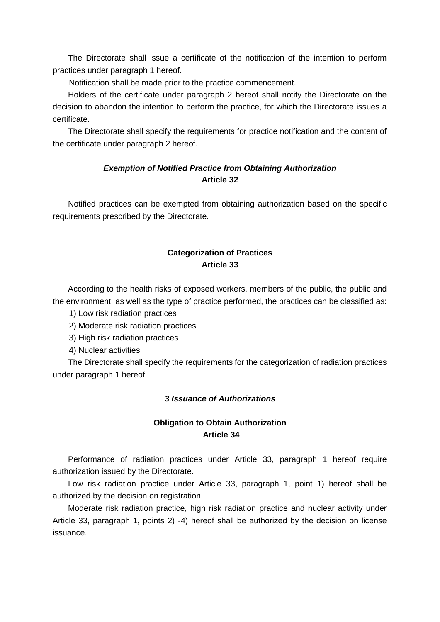The Directorate shall issue a certificate of the notification of the intention to perform practices under paragraph 1 hereof.

Notification shall be made prior to the practice commencement.

Holders of the certificate under paragraph 2 hereof shall notify the Directorate on the decision to abandon the intention to perform the practice, for which the Directorate issues a certificate.

The Directorate shall specify the requirements for practice notification and the content of the certificate under paragraph 2 hereof.

### *Exemption of Notified Practice from Obtaining Authorization*  **Article 32**

Notified practices can be exempted from obtaining authorization based on the specific requirements prescribed by the Directorate.

# **Categorization of Practices Article 33**

According to the health risks of exposed workers, members of the public, the public and the environment, as well as the type of practice performed, the practices can be classified as:

- 1) Low risk radiation practices
- 2) Moderate risk radiation practices
- 3) High risk radiation practices

4) Nuclear activities

The Directorate shall specify the requirements for the categorization of radiation practices under paragraph 1 hereof.

#### *3 Issuance of Authorizations*

### **Obligation to Obtain Authorization Article 34**

Performance of radiation practices under Article 33, paragraph 1 hereof require authorization issued by the Directorate.

Low risk radiation practice under Article 33, paragraph 1, point 1) hereof shall be authorized by the decision on registration.

Moderate risk radiation practice, high risk radiation practice and nuclear activity under Article 33, paragraph 1, points 2) -4) hereof shall be authorized by the decision on license issuance.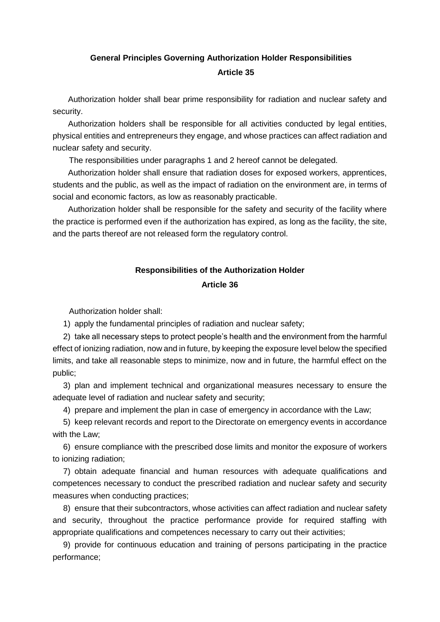# **General Principles Governing Authorization Holder Responsibilities Article 35**

Authorization holder shall bear prime responsibility for radiation and nuclear safety and security.

Authorization holders shall be responsible for all activities conducted by legal entities, physical entities and entrepreneurs they engage, and whose practices can affect radiation and nuclear safety and security.

The responsibilities under paragraphs 1 and 2 hereof cannot be delegated.

Authorization holder shall ensure that radiation doses for exposed workers, apprentices, students and the public, as well as the impact of radiation on the environment are, in terms of social and economic factors, as low as reasonably practicable.

Authorization holder shall be responsible for the safety and security of the facility where the practice is performed even if the authorization has expired, as long as the facility, the site, and the parts thereof are not released form the regulatory control.

# **Responsibilities of the Authorization Holder Article 36**

Authorization holder shall:

1) apply the fundamental principles of radiation and nuclear safety;

2) take all necessary steps to protect people's health and the environment from the harmful effect of ionizing radiation, now and in future, by keeping the exposure level below the specified limits, and take all reasonable steps to minimize, now and in future, the harmful effect on the public;

3) plan and implement technical and organizational measures necessary to ensure the adequate level of radiation and nuclear safety and security;

4) prepare and implement the plan in case of emergency in accordance with the Law;

5) keep relevant records and report to the Directorate on emergency events in accordance with the Law;

6) ensure compliance with the prescribed dose limits and monitor the exposure of workers to ionizing radiation;

7) obtain adequate financial and human resources with adequate qualifications and competences necessary to conduct the prescribed radiation and nuclear safety and security measures when conducting practices;

8) ensure that their subcontractors, whose activities can affect radiation and nuclear safety and security, throughout the practice performance provide for required staffing with appropriate qualifications and competences necessary to carry out their activities;

9) provide for continuous education and training of persons participating in the practice performance;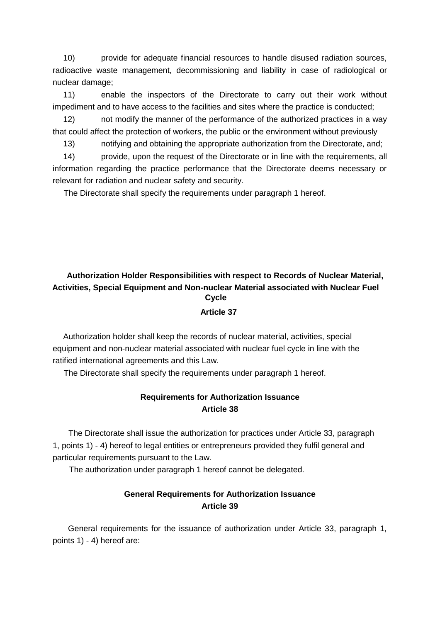10) provide for adequate financial resources to handle disused radiation sources, radioactive waste management, decommissioning and liability in case of radiological or nuclear damage;

11) enable the inspectors of the Directorate to carry out their work without impediment and to have access to the facilities and sites where the practice is conducted;

12) not modify the manner of the performance of the authorized practices in a way that could affect the protection of workers, the public or the environment without previously

13) notifying and obtaining the appropriate authorization from the Directorate, and;

14) provide, upon the request of the Directorate or in line with the requirements, all information regarding the practice performance that the Directorate deems necessary or relevant for radiation and nuclear safety and security.

The Directorate shall specify the requirements under paragraph 1 hereof.

# **Authorization Holder Responsibilities with respect to Records of Nuclear Material, Activities, Special Equipment and Non-nuclear Material associated with Nuclear Fuel Cycle Article 37**

Authorization holder shall keep the records of nuclear material, activities, special equipment and non-nuclear material associated with nuclear fuel cycle in line with the ratified international agreements and this Law.

The Directorate shall specify the requirements under paragraph 1 hereof.

### **Requirements for Authorization Issuance Article 38**

The Directorate shall issue the authorization for practices under Article 33, paragraph 1, points 1) - 4) hereof to legal entities or entrepreneurs provided they fulfil general and particular requirements pursuant to the Law.

The authorization under paragraph 1 hereof cannot be delegated.

### **General Requirements for Authorization Issuance Article 39**

General requirements for the issuance of authorization under Article 33, paragraph 1, points 1) - 4) hereof are: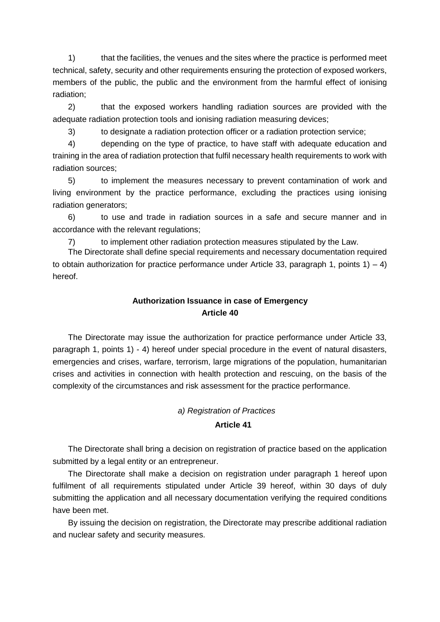1) that the facilities, the venues and the sites where the practice is performed meet technical, safety, security and other requirements ensuring the protection of exposed workers, members of the public, the public and the environment from the harmful effect of ionising radiation;

2) that the exposed workers handling radiation sources are provided with the adequate radiation protection tools and ionising radiation measuring devices;

3) to designate a radiation protection officer or a radiation protection service;

4) depending on the type of practice, to have staff with adequate education and training in the area of radiation protection that fulfil necessary health requirements to work with radiation sources;

5) to implement the measures necessary to prevent contamination of work and living environment by the practice performance, excluding the practices using ionising radiation generators;

6) to use and trade in radiation sources in a safe and secure manner and in accordance with the relevant regulations;

7) to implement other radiation protection measures stipulated by the Law.

The Directorate shall define special requirements and necessary documentation required to obtain authorization for practice performance under Article 33, paragraph 1, points  $1 - 4$ ) hereof.

# **Authorization Issuance in case of Emergency Article 40**

The Directorate may issue the authorization for practice performance under Article 33, paragraph 1, points 1) - 4) hereof under special procedure in the event of natural disasters, emergencies and crises, warfare, terrorism, large migrations of the population, humanitarian crises and activities in connection with health protection and rescuing, on the basis of the complexity of the circumstances and risk assessment for the practice performance.

### *a) Registration of Practices*  **Article 41**

The Directorate shall bring a decision on registration of practice based on the application submitted by a legal entity or an entrepreneur.

The Directorate shall make a decision on registration under paragraph 1 hereof upon fulfilment of all requirements stipulated under Article 39 hereof, within 30 days of duly submitting the application and all necessary documentation verifying the required conditions have been met.

By issuing the decision on registration, the Directorate may prescribe additional radiation and nuclear safety and security measures.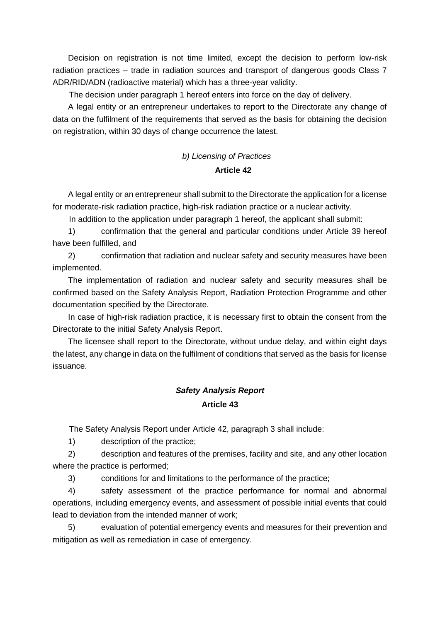Decision on registration is not time limited, except the decision to perform low-risk radiation practices – trade in radiation sources and transport of dangerous goods Class 7 ADR/RID/ADN (radioactive material) which has a three-year validity.

The decision under paragraph 1 hereof enters into force on the day of delivery.

A legal entity or an entrepreneur undertakes to report to the Directorate any change of data on the fulfilment of the requirements that served as the basis for obtaining the decision on registration, within 30 days of change occurrence the latest.

# *b) Licensing of Practices*  **Article 42**

A legal entity or an entrepreneur shall submit to the Directorate the application for a license for moderate-risk radiation practice, high-risk radiation practice or a nuclear activity.

In addition to the application under paragraph 1 hereof, the applicant shall submit:

1) confirmation that the general and particular conditions under Article 39 hereof have been fulfilled, and

2) confirmation that radiation and nuclear safety and security measures have been implemented.

The implementation of radiation and nuclear safety and security measures shall be confirmed based on the Safety Analysis Report, Radiation Protection Programme and other documentation specified by the Directorate.

In case of high-risk radiation practice, it is necessary first to obtain the consent from the Directorate to the initial Safety Analysis Report.

The licensee shall report to the Directorate, without undue delay, and within eight days the latest, any change in data on the fulfilment of conditions that served as the basis for license issuance.

# *Safety Analysis Report*  **Article 43**

The Safety Analysis Report under Article 42, paragraph 3 shall include:

1) description of the practice;

2) description and features of the premises, facility and site, and any other location where the practice is performed;

3) conditions for and limitations to the performance of the practice;

4) safety assessment of the practice performance for normal and abnormal operations, including emergency events, and assessment of possible initial events that could lead to deviation from the intended manner of work;

5) evaluation of potential emergency events and measures for their prevention and mitigation as well as remediation in case of emergency.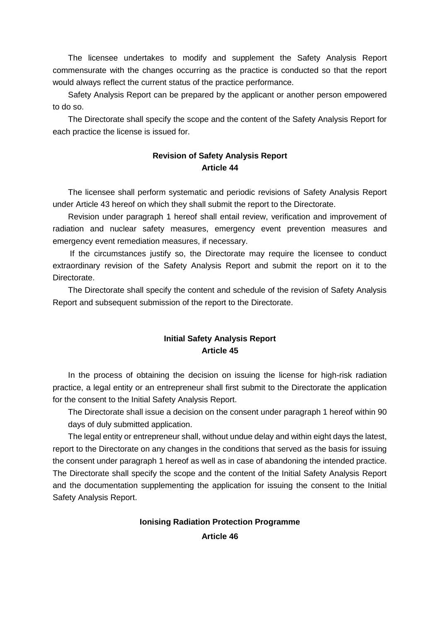The licensee undertakes to modify and supplement the Safety Analysis Report commensurate with the changes occurring as the practice is conducted so that the report would always reflect the current status of the practice performance.

Safety Analysis Report can be prepared by the applicant or another person empowered to do so.

The Directorate shall specify the scope and the content of the Safety Analysis Report for each practice the license is issued for.

### **Revision of Safety Analysis Report Article 44**

The licensee shall perform systematic and periodic revisions of Safety Analysis Report under Article 43 hereof on which they shall submit the report to the Directorate.

Revision under paragraph 1 hereof shall entail review, verification and improvement of radiation and nuclear safety measures, emergency event prevention measures and emergency event remediation measures, if necessary.

 If the circumstances justify so, the Directorate may require the licensee to conduct extraordinary revision of the Safety Analysis Report and submit the report on it to the Directorate.

The Directorate shall specify the content and schedule of the revision of Safety Analysis Report and subsequent submission of the report to the Directorate.

### **Initial Safety Analysis Report Article 45**

In the process of obtaining the decision on issuing the license for high-risk radiation practice, a legal entity or an entrepreneur shall first submit to the Directorate the application for the consent to the Initial Safety Analysis Report.

The Directorate shall issue a decision on the consent under paragraph 1 hereof within 90 days of duly submitted application.

The legal entity or entrepreneur shall, without undue delay and within eight days the latest, report to the Directorate on any changes in the conditions that served as the basis for issuing the consent under paragraph 1 hereof as well as in case of abandoning the intended practice. The Directorate shall specify the scope and the content of the Initial Safety Analysis Report and the documentation supplementing the application for issuing the consent to the Initial Safety Analysis Report.

# **Ionising Radiation Protection Programme Article 46**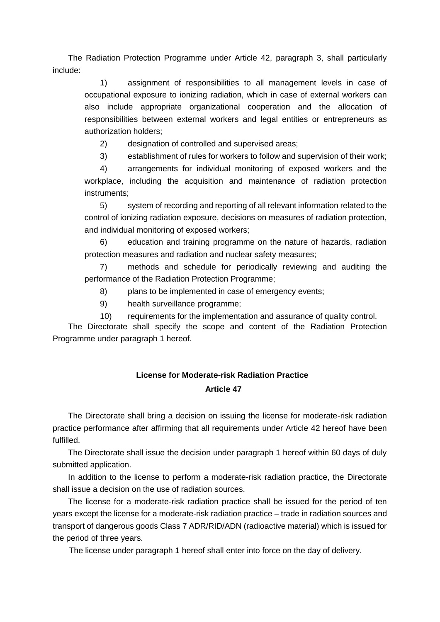The Radiation Protection Programme under Article 42, paragraph 3, shall particularly include:

1) assignment of responsibilities to all management levels in case of occupational exposure to ionizing radiation, which in case of external workers can also include appropriate organizational cooperation and the allocation of responsibilities between external workers and legal entities or entrepreneurs as authorization holders;

2) designation of controlled and supervised areas;

3) establishment of rules for workers to follow and supervision of their work;

4) arrangements for individual monitoring of exposed workers and the workplace, including the acquisition and maintenance of radiation protection instruments;

5) system of recording and reporting of all relevant information related to the control of ionizing radiation exposure, decisions on measures of radiation protection, and individual monitoring of exposed workers;

6) education and training programme on the nature of hazards, radiation protection measures and radiation and nuclear safety measures;

7) methods and schedule for periodically reviewing and auditing the performance of the Radiation Protection Programme;

8) plans to be implemented in case of emergency events;

9) health surveillance programme;

10) requirements for the implementation and assurance of quality control.

The Directorate shall specify the scope and content of the Radiation Protection Programme under paragraph 1 hereof.

# **License for Moderate-risk Radiation Practice Article 47**

The Directorate shall bring a decision on issuing the license for moderate-risk radiation practice performance after affirming that all requirements under Article 42 hereof have been fulfilled.

The Directorate shall issue the decision under paragraph 1 hereof within 60 days of duly submitted application.

In addition to the license to perform a moderate-risk radiation practice, the Directorate shall issue a decision on the use of radiation sources.

The license for a moderate-risk radiation practice shall be issued for the period of ten years except the license for a moderate-risk radiation practice – trade in radiation sources and transport of dangerous goods Class 7 ADR/RID/ADN (radioactive material) which is issued for the period of three years.

The license under paragraph 1 hereof shall enter into force on the day of delivery.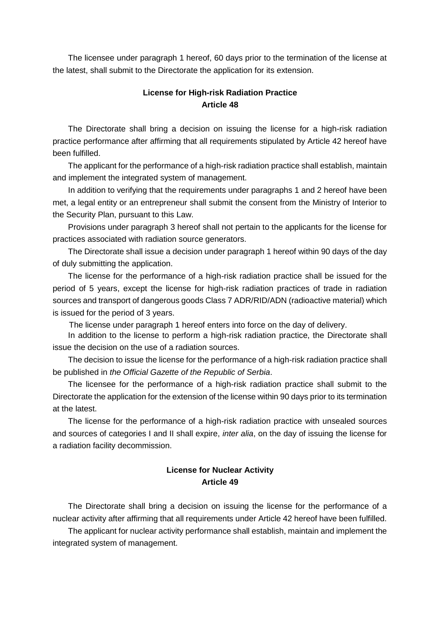The licensee under paragraph 1 hereof, 60 days prior to the termination of the license at the latest, shall submit to the Directorate the application for its extension.

### **License for High-risk Radiation Practice Article 48**

The Directorate shall bring a decision on issuing the license for a high-risk radiation practice performance after affirming that all requirements stipulated by Article 42 hereof have been fulfilled.

The applicant for the performance of a high-risk radiation practice shall establish, maintain and implement the integrated system of management.

In addition to verifying that the requirements under paragraphs 1 and 2 hereof have been met, a legal entity or an entrepreneur shall submit the consent from the Ministry of Interior to the Security Plan, pursuant to this Law.

Provisions under paragraph 3 hereof shall not pertain to the applicants for the license for practices associated with radiation source generators.

The Directorate shall issue a decision under paragraph 1 hereof within 90 days of the day of duly submitting the application.

The license for the performance of a high-risk radiation practice shall be issued for the period of 5 years, except the license for high-risk radiation practices of trade in radiation sources and transport of dangerous goods Class 7 ADR/RID/ADN (radioactive material) which is issued for the period of 3 years.

The license under paragraph 1 hereof enters into force on the day of delivery.

In addition to the license to perform a high-risk radiation practice, the Directorate shall issue the decision on the use of a radiation sources.

The decision to issue the license for the performance of a high-risk radiation practice shall be published in *the Official Gazette of the Republic of Serbia*.

The licensee for the performance of a high-risk radiation practice shall submit to the Directorate the application for the extension of the license within 90 days prior to its termination at the latest.

The license for the performance of a high-risk radiation practice with unsealed sources and sources of categories I and II shall expire, *inter alia*, on the day of issuing the license for a radiation facility decommission.

### **License for Nuclear Activity Article 49**

The Directorate shall bring a decision on issuing the license for the performance of a nuclear activity after affirming that all requirements under Article 42 hereof have been fulfilled.

The applicant for nuclear activity performance shall establish, maintain and implement the integrated system of management.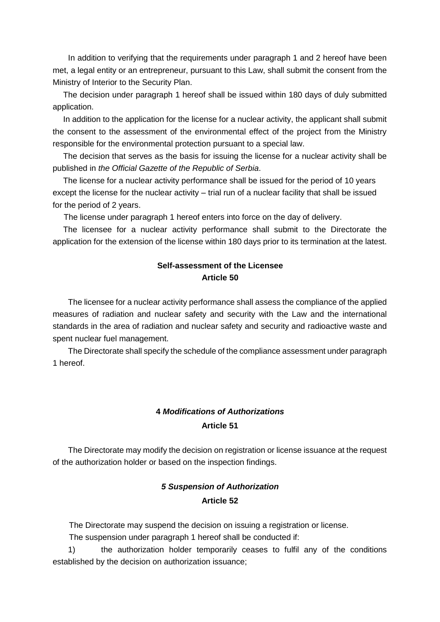In addition to verifying that the requirements under paragraph 1 and 2 hereof have been met, a legal entity or an entrepreneur, pursuant to this Law, shall submit the consent from the Ministry of Interior to the Security Plan.

The decision under paragraph 1 hereof shall be issued within 180 days of duly submitted application.

In addition to the application for the license for a nuclear activity, the applicant shall submit the consent to the assessment of the environmental effect of the project from the Ministry responsible for the environmental protection pursuant to a special law.

The decision that serves as the basis for issuing the license for a nuclear activity shall be published in *the Official Gazette of the Republic of Serbia*.

The license for a nuclear activity performance shall be issued for the period of 10 years except the license for the nuclear activity – trial run of a nuclear facility that shall be issued for the period of 2 years.

The license under paragraph 1 hereof enters into force on the day of delivery.

The licensee for a nuclear activity performance shall submit to the Directorate the application for the extension of the license within 180 days prior to its termination at the latest.

## **Self-assessment of the Licensee Article 50**

The licensee for a nuclear activity performance shall assess the compliance of the applied measures of radiation and nuclear safety and security with the Law and the international standards in the area of radiation and nuclear safety and security and radioactive waste and spent nuclear fuel management.

The Directorate shall specify the schedule of the compliance assessment under paragraph 1 hereof.

### **4** *Modifications of Authorizations* **Article 51**

The Directorate may modify the decision on registration or license issuance at the request of the authorization holder or based on the inspection findings.

## *5 Suspension of Authorization*  **Article 52**

The Directorate may suspend the decision on issuing a registration or license.

The suspension under paragraph 1 hereof shall be conducted if:

1) the authorization holder temporarily ceases to fulfil any of the conditions established by the decision on authorization issuance;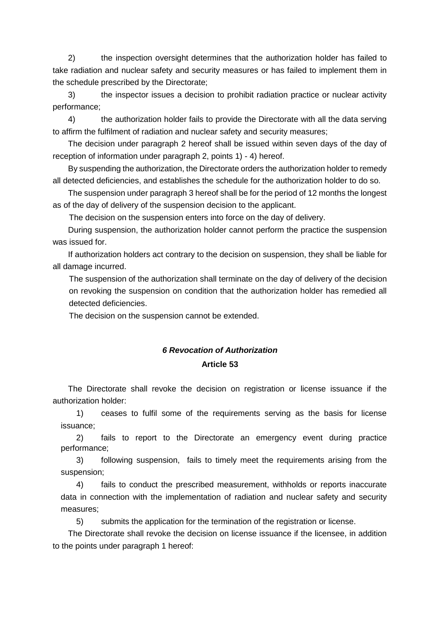2) the inspection oversight determines that the authorization holder has failed to take radiation and nuclear safety and security measures or has failed to implement them in the schedule prescribed by the Directorate;

3) the inspector issues a decision to prohibit radiation practice or nuclear activity performance;

4) the authorization holder fails to provide the Directorate with all the data serving to affirm the fulfilment of radiation and nuclear safety and security measures;

The decision under paragraph 2 hereof shall be issued within seven days of the day of reception of information under paragraph 2, points 1) - 4) hereof.

By suspending the authorization, the Directorate orders the authorization holder to remedy all detected deficiencies, and establishes the schedule for the authorization holder to do so.

The suspension under paragraph 3 hereof shall be for the period of 12 months the longest as of the day of delivery of the suspension decision to the applicant.

The decision on the suspension enters into force on the day of delivery.

During suspension, the authorization holder cannot perform the practice the suspension was issued for.

If authorization holders act contrary to the decision on suspension, they shall be liable for all damage incurred.

The suspension of the authorization shall terminate on the day of delivery of the decision on revoking the suspension on condition that the authorization holder has remedied all detected deficiencies.

The decision on the suspension cannot be extended.

# *6 Revocation of Authorization*  **Article 53**

The Directorate shall revoke the decision on registration or license issuance if the authorization holder:

1) ceases to fulfil some of the requirements serving as the basis for license issuance;

2) fails to report to the Directorate an emergency event during practice performance;

3) following suspension, fails to timely meet the requirements arising from the suspension;

4) fails to conduct the prescribed measurement, withholds or reports inaccurate data in connection with the implementation of radiation and nuclear safety and security measures;

5) submits the application for the termination of the registration or license.

The Directorate shall revoke the decision on license issuance if the licensee, in addition to the points under paragraph 1 hereof: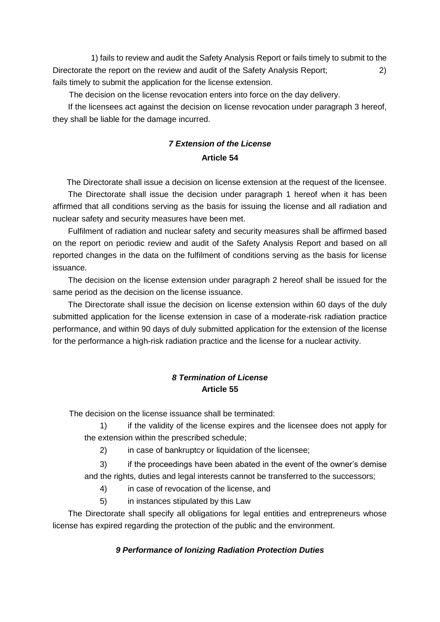1) fails to review and audit the Safety Analysis Report or fails timely to submit to the Directorate the report on the review and audit of the Safety Analysis Report; 2) fails timely to submit the application for the license extension.

The decision on the license revocation enters into force on the day delivery.

If the licensees act against the decision on license revocation under paragraph 3 hereof, they shall be liable for the damage incurred.

# *7 Extension of the License*  **Article 54**

The Directorate shall issue a decision on license extension at the request of the licensee. The Directorate shall issue the decision under paragraph 1 hereof when it has been affirmed that all conditions serving as the basis for issuing the license and all radiation and nuclear safety and security measures have been met.

Fulfilment of radiation and nuclear safety and security measures shall be affirmed based on the report on periodic review and audit of the Safety Analysis Report and based on all reported changes in the data on the fulfilment of conditions serving as the basis for license issuance.

The decision on the license extension under paragraph 2 hereof shall be issued for the same period as the decision on the license issuance.

The Directorate shall issue the decision on license extension within 60 days of the duly submitted application for the license extension in case of a moderate-risk radiation practice performance, and within 90 days of duly submitted application for the extension of the license for the performance a high-risk radiation practice and the license for a nuclear activity.

## *8 Termination of License* **Article 55**

The decision on the license issuance shall be terminated:

1) if the validity of the license expires and the licensee does not apply for the extension within the prescribed schedule;

2) in case of bankruptcy or liquidation of the licensee;

3) if the proceedings have been abated in the event of the owner's demise and the rights, duties and legal interests cannot be transferred to the successors;

4) in case of revocation of the license, and

5) in instances stipulated by this Law

The Directorate shall specify all obligations for legal entities and entrepreneurs whose license has expired regarding the protection of the public and the environment.

## *9 Performance of Ionizing Radiation Protection Duties*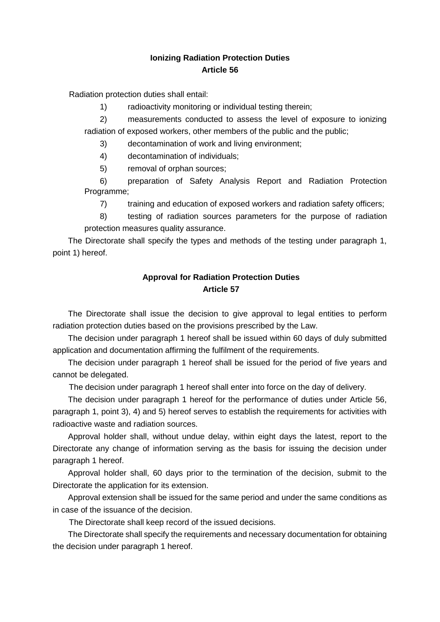#### **Ionizing Radiation Protection Duties Article 56**

Radiation protection duties shall entail:

1) radioactivity monitoring or individual testing therein;

2) measurements conducted to assess the level of exposure to ionizing radiation of exposed workers, other members of the public and the public;

3) decontamination of work and living environment;

4) decontamination of individuals;

5) removal of orphan sources;

6) preparation of Safety Analysis Report and Radiation Protection Programme;

7) training and education of exposed workers and radiation safety officers;

8) testing of radiation sources parameters for the purpose of radiation protection measures quality assurance.

The Directorate shall specify the types and methods of the testing under paragraph 1, point 1) hereof.

#### **Approval for Radiation Protection Duties Article 57**

The Directorate shall issue the decision to give approval to legal entities to perform radiation protection duties based on the provisions prescribed by the Law.

The decision under paragraph 1 hereof shall be issued within 60 days of duly submitted application and documentation affirming the fulfilment of the requirements.

The decision under paragraph 1 hereof shall be issued for the period of five years and cannot be delegated.

The decision under paragraph 1 hereof shall enter into force on the day of delivery.

The decision under paragraph 1 hereof for the performance of duties under Article 56, paragraph 1, point 3), 4) and 5) hereof serves to establish the requirements for activities with radioactive waste and radiation sources.

Approval holder shall, without undue delay, within eight days the latest, report to the Directorate any change of information serving as the basis for issuing the decision under paragraph 1 hereof.

Approval holder shall, 60 days prior to the termination of the decision, submit to the Directorate the application for its extension.

Approval extension shall be issued for the same period and under the same conditions as in case of the issuance of the decision.

The Directorate shall keep record of the issued decisions.

The Directorate shall specify the requirements and necessary documentation for obtaining the decision under paragraph 1 hereof.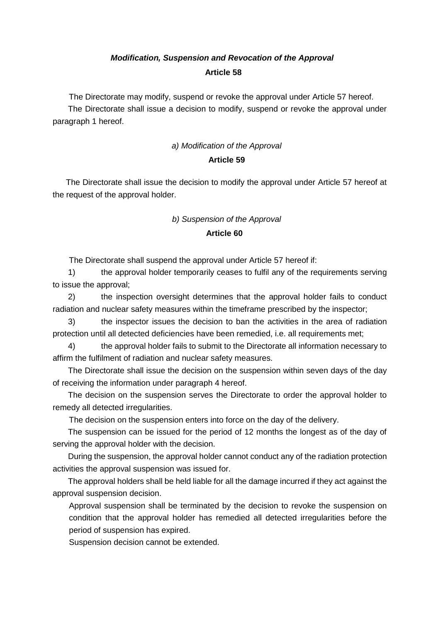# *Modification, Suspension and Revocation of the Approval*  **Article 58**

The Directorate may modify, suspend or revoke the approval under Article 57 hereof.

The Directorate shall issue a decision to modify, suspend or revoke the approval under paragraph 1 hereof.

#### *a) Modification of the Approval*

#### **Article 59**

The Directorate shall issue the decision to modify the approval under Article 57 hereof at the request of the approval holder.

#### *b) Suspension of the Approval*

#### **Article 60**

The Directorate shall suspend the approval under Article 57 hereof if:

1) the approval holder temporarily ceases to fulfil any of the requirements serving to issue the approval;

2) the inspection oversight determines that the approval holder fails to conduct radiation and nuclear safety measures within the timeframe prescribed by the inspector;

3) the inspector issues the decision to ban the activities in the area of radiation protection until all detected deficiencies have been remedied, i.e. all requirements met;

4) the approval holder fails to submit to the Directorate all information necessary to affirm the fulfilment of radiation and nuclear safety measures.

The Directorate shall issue the decision on the suspension within seven days of the day of receiving the information under paragraph 4 hereof.

The decision on the suspension serves the Directorate to order the approval holder to remedy all detected irregularities.

The decision on the suspension enters into force on the day of the delivery.

The suspension can be issued for the period of 12 months the longest as of the day of serving the approval holder with the decision.

During the suspension, the approval holder cannot conduct any of the radiation protection activities the approval suspension was issued for.

The approval holders shall be held liable for all the damage incurred if they act against the approval suspension decision.

Approval suspension shall be terminated by the decision to revoke the suspension on condition that the approval holder has remedied all detected irregularities before the period of suspension has expired.

Suspension decision cannot be extended.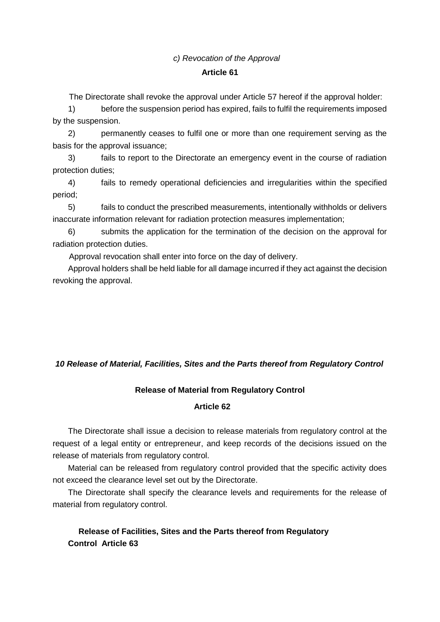#### *c) Revocation of the Approval*

#### **Article 61**

The Directorate shall revoke the approval under Article 57 hereof if the approval holder:

1) before the suspension period has expired, fails to fulfil the requirements imposed by the suspension.

2) permanently ceases to fulfil one or more than one requirement serving as the basis for the approval issuance;

3) fails to report to the Directorate an emergency event in the course of radiation protection duties;

4) fails to remedy operational deficiencies and irregularities within the specified period;

5) fails to conduct the prescribed measurements, intentionally withholds or delivers inaccurate information relevant for radiation protection measures implementation;

6) submits the application for the termination of the decision on the approval for radiation protection duties.

Approval revocation shall enter into force on the day of delivery.

Approval holders shall be held liable for all damage incurred if they act against the decision revoking the approval.

#### *10 Release of Material, Facilities, Sites and the Parts thereof from Regulatory Control*

#### **Release of Material from Regulatory Control**

#### **Article 62**

The Directorate shall issue a decision to release materials from regulatory control at the request of a legal entity or entrepreneur, and keep records of the decisions issued on the release of materials from regulatory control.

Material can be released from regulatory control provided that the specific activity does not exceed the clearance level set out by the Directorate.

The Directorate shall specify the clearance levels and requirements for the release of material from regulatory control.

#### **Release of Facilities, Sites and the Parts thereof from Regulatory Control Article 63**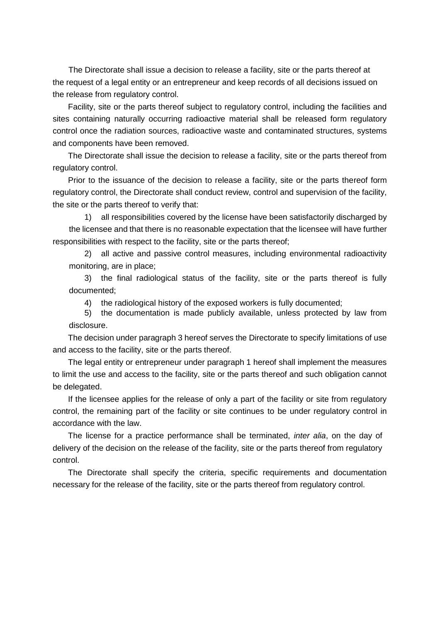The Directorate shall issue a decision to release a facility, site or the parts thereof at the request of a legal entity or an entrepreneur and keep records of all decisions issued on the release from regulatory control.

Facility, site or the parts thereof subject to regulatory control, including the facilities and sites containing naturally occurring radioactive material shall be released form regulatory control once the radiation sources, radioactive waste and contaminated structures, systems and components have been removed.

The Directorate shall issue the decision to release a facility, site or the parts thereof from regulatory control.

Prior to the issuance of the decision to release a facility, site or the parts thereof form regulatory control, the Directorate shall conduct review, control and supervision of the facility, the site or the parts thereof to verify that:

1) all responsibilities covered by the license have been satisfactorily discharged by the licensee and that there is no reasonable expectation that the licensee will have further responsibilities with respect to the facility, site or the parts thereof;

2) all active and passive control measures, including environmental radioactivity monitoring, are in place;

3) the final radiological status of the facility, site or the parts thereof is fully documented;

4) the radiological history of the exposed workers is fully documented;

5) the documentation is made publicly available, unless protected by law from disclosure.

The decision under paragraph 3 hereof serves the Directorate to specify limitations of use and access to the facility, site or the parts thereof.

The legal entity or entrepreneur under paragraph 1 hereof shall implement the measures to limit the use and access to the facility, site or the parts thereof and such obligation cannot be delegated.

If the licensee applies for the release of only a part of the facility or site from regulatory control, the remaining part of the facility or site continues to be under regulatory control in accordance with the law.

The license for a practice performance shall be terminated, *inter alia*, on the day of delivery of the decision on the release of the facility, site or the parts thereof from regulatory control.

The Directorate shall specify the criteria, specific requirements and documentation necessary for the release of the facility, site or the parts thereof from regulatory control.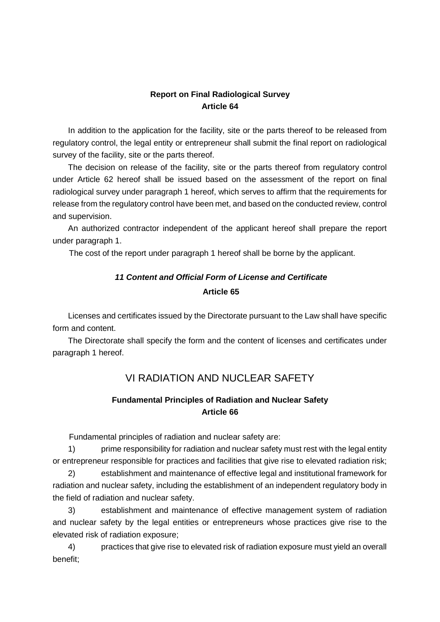### **Report on Final Radiological Survey Article 64**

In addition to the application for the facility, site or the parts thereof to be released from regulatory control, the legal entity or entrepreneur shall submit the final report on radiological survey of the facility, site or the parts thereof.

The decision on release of the facility, site or the parts thereof from regulatory control under Article 62 hereof shall be issued based on the assessment of the report on final radiological survey under paragraph 1 hereof, which serves to affirm that the requirements for release from the regulatory control have been met, and based on the conducted review, control and supervision.

An authorized contractor independent of the applicant hereof shall prepare the report under paragraph 1.

The cost of the report under paragraph 1 hereof shall be borne by the applicant.

# *11 Content and Official Form of License and Certificate*  **Article 65**

Licenses and certificates issued by the Directorate pursuant to the Law shall have specific form and content.

The Directorate shall specify the form and the content of licenses and certificates under paragraph 1 hereof.

# VI RADIATION AND NUCLEAR SAFETY

#### **Fundamental Principles of Radiation and Nuclear Safety Article 66**

Fundamental principles of radiation and nuclear safety are:

1) prime responsibility for radiation and nuclear safety must rest with the legal entity or entrepreneur responsible for practices and facilities that give rise to elevated radiation risk;

2) establishment and maintenance of effective legal and institutional framework for radiation and nuclear safety, including the establishment of an independent regulatory body in the field of radiation and nuclear safety.

3) establishment and maintenance of effective management system of radiation and nuclear safety by the legal entities or entrepreneurs whose practices give rise to the elevated risk of radiation exposure;

4) practices that give rise to elevated risk of radiation exposure must yield an overall benefit;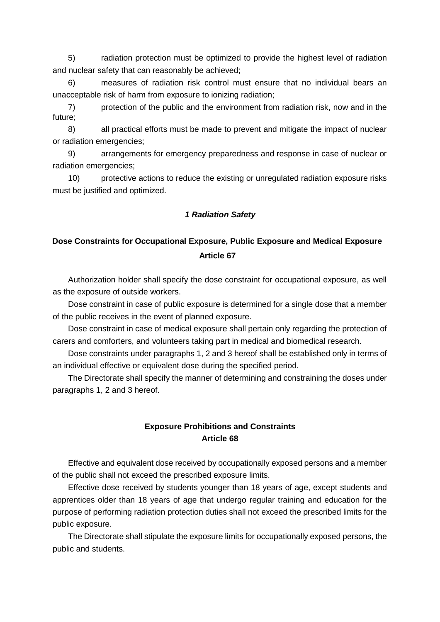5) radiation protection must be optimized to provide the highest level of radiation and nuclear safety that can reasonably be achieved;

6) measures of radiation risk control must ensure that no individual bears an unacceptable risk of harm from exposure to ionizing radiation;

7) protection of the public and the environment from radiation risk, now and in the future;

8) all practical efforts must be made to prevent and mitigate the impact of nuclear or radiation emergencies;

9) arrangements for emergency preparedness and response in case of nuclear or radiation emergencies;

10) protective actions to reduce the existing or unregulated radiation exposure risks must be justified and optimized.

#### *1 Radiation Safety*

# **Dose Constraints for Occupational Exposure, Public Exposure and Medical Exposure Article 67**

Authorization holder shall specify the dose constraint for occupational exposure, as well as the exposure of outside workers.

Dose constraint in case of public exposure is determined for a single dose that a member of the public receives in the event of planned exposure.

Dose constraint in case of medical exposure shall pertain only regarding the protection of carers and comforters, and volunteers taking part in medical and biomedical research.

Dose constraints under paragraphs 1, 2 and 3 hereof shall be established only in terms of an individual effective or equivalent dose during the specified period.

The Directorate shall specify the manner of determining and constraining the doses under paragraphs 1, 2 and 3 hereof.

#### **Exposure Prohibitions and Constraints Article 68**

Effective and equivalent dose received by occupationally exposed persons and a member of the public shall not exceed the prescribed exposure limits.

Effective dose received by students younger than 18 years of age, except students and apprentices older than 18 years of age that undergo regular training and education for the purpose of performing radiation protection duties shall not exceed the prescribed limits for the public exposure.

The Directorate shall stipulate the exposure limits for occupationally exposed persons, the public and students.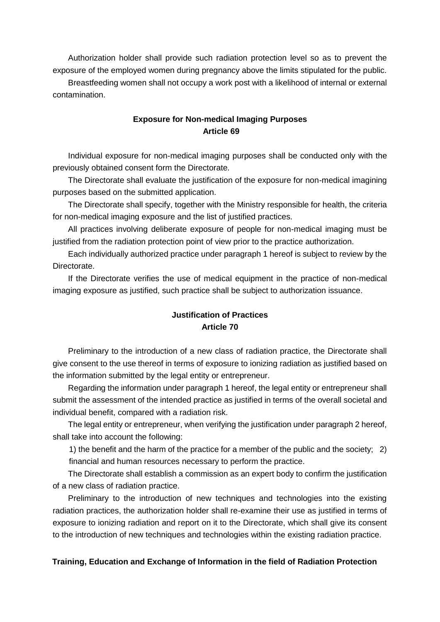Authorization holder shall provide such radiation protection level so as to prevent the exposure of the employed women during pregnancy above the limits stipulated for the public.

Breastfeeding women shall not occupy a work post with a likelihood of internal or external contamination.

#### **Exposure for Non-medical Imaging Purposes Article 69**

Individual exposure for non-medical imaging purposes shall be conducted only with the previously obtained consent form the Directorate.

The Directorate shall evaluate the justification of the exposure for non-medical imagining purposes based on the submitted application.

The Directorate shall specify, together with the Ministry responsible for health, the criteria for non-medical imaging exposure and the list of justified practices.

All practices involving deliberate exposure of people for non-medical imaging must be justified from the radiation protection point of view prior to the practice authorization.

Each individually authorized practice under paragraph 1 hereof is subject to review by the **Directorate** 

If the Directorate verifies the use of medical equipment in the practice of non-medical imaging exposure as justified, such practice shall be subject to authorization issuance.

#### **Justification of Practices Article 70**

Preliminary to the introduction of a new class of radiation practice, the Directorate shall give consent to the use thereof in terms of exposure to ionizing radiation as justified based on the information submitted by the legal entity or entrepreneur.

Regarding the information under paragraph 1 hereof, the legal entity or entrepreneur shall submit the assessment of the intended practice as justified in terms of the overall societal and individual benefit, compared with a radiation risk.

The legal entity or entrepreneur, when verifying the justification under paragraph 2 hereof, shall take into account the following:

1) the benefit and the harm of the practice for a member of the public and the society; 2) financial and human resources necessary to perform the practice.

The Directorate shall establish a commission as an expert body to confirm the justification of a new class of radiation practice.

Preliminary to the introduction of new techniques and technologies into the existing radiation practices, the authorization holder shall re-examine their use as justified in terms of exposure to ionizing radiation and report on it to the Directorate, which shall give its consent to the introduction of new techniques and technologies within the existing radiation practice.

#### **Training, Education and Exchange of Information in the field of Radiation Protection**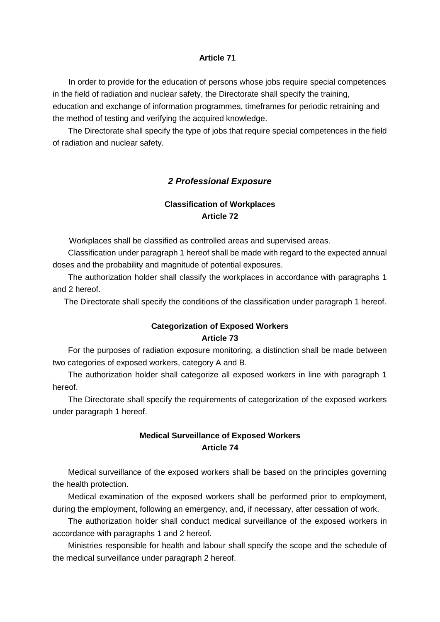#### **Article 71**

In order to provide for the education of persons whose jobs require special competences in the field of radiation and nuclear safety, the Directorate shall specify the training, education and exchange of information programmes, timeframes for periodic retraining and the method of testing and verifying the acquired knowledge.

The Directorate shall specify the type of jobs that require special competences in the field of radiation and nuclear safety.

#### *2 Professional Exposure*

### **Classification of Workplaces Article 72**

Workplaces shall be classified as controlled areas and supervised areas.

Classification under paragraph 1 hereof shall be made with regard to the expected annual doses and the probability and magnitude of potential exposures.

The authorization holder shall classify the workplaces in accordance with paragraphs 1 and 2 hereof.

The Directorate shall specify the conditions of the classification under paragraph 1 hereof.

#### **Categorization of Exposed Workers Article 73**

For the purposes of radiation exposure monitoring, a distinction shall be made between two categories of exposed workers, category A and B.

The authorization holder shall categorize all exposed workers in line with paragraph 1 hereof.

The Directorate shall specify the requirements of categorization of the exposed workers under paragraph 1 hereof.

#### **Medical Surveillance of Exposed Workers Article 74**

Medical surveillance of the exposed workers shall be based on the principles governing the health protection.

Medical examination of the exposed workers shall be performed prior to employment, during the employment, following an emergency, and, if necessary, after cessation of work.

The authorization holder shall conduct medical surveillance of the exposed workers in accordance with paragraphs 1 and 2 hereof.

Ministries responsible for health and labour shall specify the scope and the schedule of the medical surveillance under paragraph 2 hereof.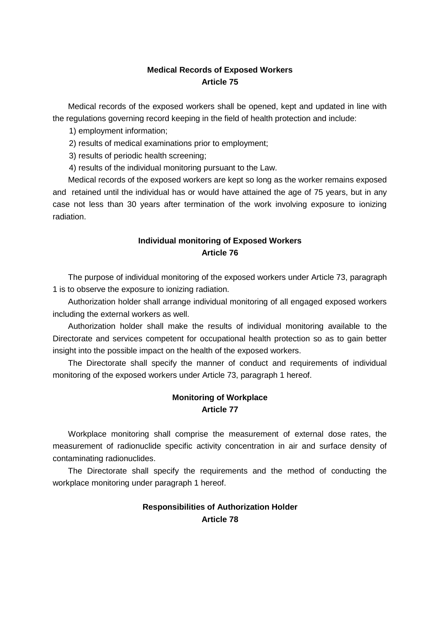#### **Medical Records of Exposed Workers Article 75**

Medical records of the exposed workers shall be opened, kept and updated in line with the regulations governing record keeping in the field of health protection and include:

1) employment information;

2) results of medical examinations prior to employment;

3) results of periodic health screening;

4) results of the individual monitoring pursuant to the Law.

Medical records of the exposed workers are kept so long as the worker remains exposed and retained until the individual has or would have attained the age of 75 years, but in any case not less than 30 years after termination of the work involving exposure to ionizing radiation.

## **Individual monitoring of Exposed Workers Article 76**

The purpose of individual monitoring of the exposed workers under Article 73, paragraph 1 is to observe the exposure to ionizing radiation.

Authorization holder shall arrange individual monitoring of all engaged exposed workers including the external workers as well.

Authorization holder shall make the results of individual monitoring available to the Directorate and services competent for occupational health protection so as to gain better insight into the possible impact on the health of the exposed workers.

The Directorate shall specify the manner of conduct and requirements of individual monitoring of the exposed workers under Article 73, paragraph 1 hereof.

## **Monitoring of Workplace Article 77**

Workplace monitoring shall comprise the measurement of external dose rates, the measurement of radionuclide specific activity concentration in air and surface density of contaminating radionuclides.

The Directorate shall specify the requirements and the method of conducting the workplace monitoring under paragraph 1 hereof.

## **Responsibilities of Authorization Holder Article 78**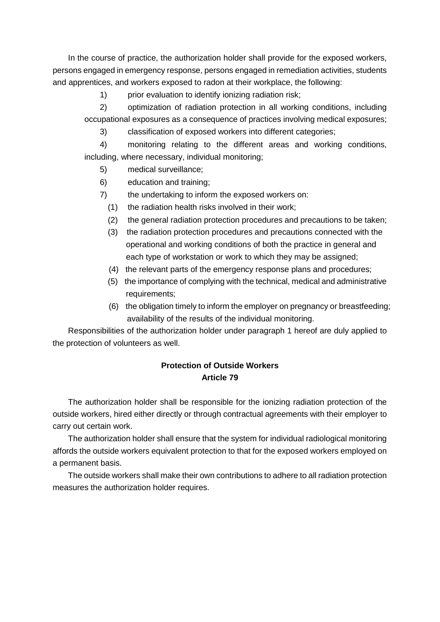In the course of practice, the authorization holder shall provide for the exposed workers, persons engaged in emergency response, persons engaged in remediation activities, students and apprentices, and workers exposed to radon at their workplace, the following:

1) prior evaluation to identify ionizing radiation risk:

2) optimization of radiation protection in all working conditions, including occupational exposures as a consequence of practices involving medical exposures;

3) classification of exposed workers into different categories;

4) monitoring relating to the different areas and working conditions, including, where necessary, individual monitoring;

5) medical surveillance;

6) education and training;

- 7) the undertaking to inform the exposed workers on:
	- (1) the radiation health risks involved in their work;
	- (2) the general radiation protection procedures and precautions to be taken;
	- (3) the radiation protection procedures and precautions connected with the operational and working conditions of both the practice in general and each type of workstation or work to which they may be assigned;
	- (4) the relevant parts of the emergency response plans and procedures;
	- (5) the importance of complying with the technical, medical and administrative requirements;
	- (6) the obligation timely to inform the employer on pregnancy or breastfeeding; availability of the results of the individual monitoring.

Responsibilities of the authorization holder under paragraph 1 hereof are duly applied to the protection of volunteers as well.

## **Protection of Outside Workers Article 79**

The authorization holder shall be responsible for the ionizing radiation protection of the outside workers, hired either directly or through contractual agreements with their employer to carry out certain work.

The authorization holder shall ensure that the system for individual radiological monitoring affords the outside workers equivalent protection to that for the exposed workers employed on a permanent basis.

The outside workers shall make their own contributions to adhere to all radiation protection measures the authorization holder requires.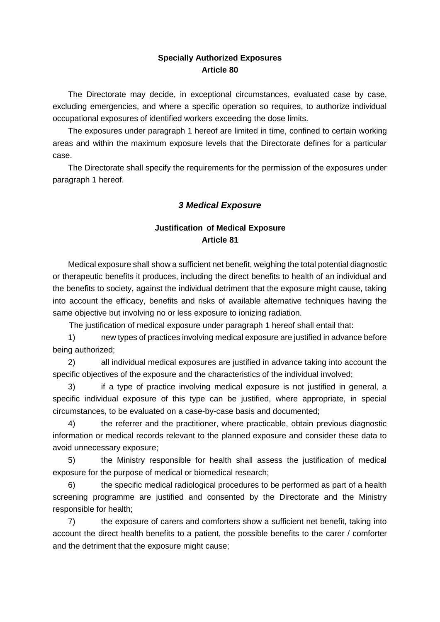#### **Specially Authorized Exposures Article 80**

The Directorate may decide, in exceptional circumstances, evaluated case by case, excluding emergencies, and where a specific operation so requires, to authorize individual occupational exposures of identified workers exceeding the dose limits.

The exposures under paragraph 1 hereof are limited in time, confined to certain working areas and within the maximum exposure levels that the Directorate defines for a particular case.

The Directorate shall specify the requirements for the permission of the exposures under paragraph 1 hereof.

## *3 Medical Exposure*

## **Justification of Medical Exposure Article 81**

Medical exposure shall show a sufficient net benefit, weighing the total potential diagnostic or therapeutic benefits it produces, including the direct benefits to health of an individual and the benefits to society, against the individual detriment that the exposure might cause, taking into account the efficacy, benefits and risks of available alternative techniques having the same objective but involving no or less exposure to ionizing radiation.

The justification of medical exposure under paragraph 1 hereof shall entail that:

1) new types of practices involving medical exposure are justified in advance before being authorized;

2) all individual medical exposures are justified in advance taking into account the specific objectives of the exposure and the characteristics of the individual involved;

3) if a type of practice involving medical exposure is not justified in general, a specific individual exposure of this type can be justified, where appropriate, in special circumstances, to be evaluated on a case-by-case basis and documented;

4) the referrer and the practitioner, where practicable, obtain previous diagnostic information or medical records relevant to the planned exposure and consider these data to avoid unnecessary exposure;

5) the Ministry responsible for health shall assess the justification of medical exposure for the purpose of medical or biomedical research;

6) the specific medical radiological procedures to be performed as part of a health screening programme are justified and consented by the Directorate and the Ministry responsible for health;

7) the exposure of carers and comforters show a sufficient net benefit, taking into account the direct health benefits to a patient, the possible benefits to the carer / comforter and the detriment that the exposure might cause;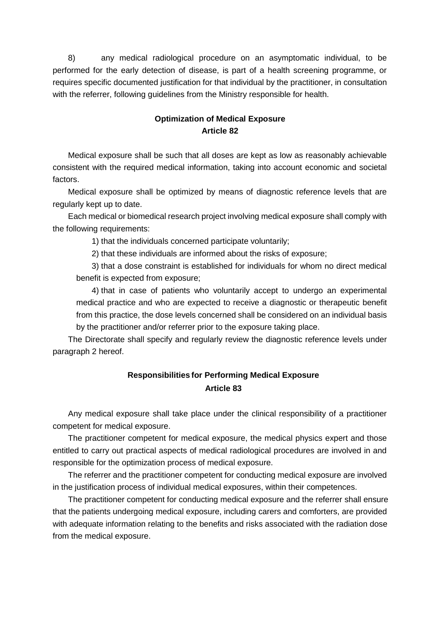8) any medical radiological procedure on an asymptomatic individual, to be performed for the early detection of disease, is part of a health screening programme, or requires specific documented justification for that individual by the practitioner, in consultation with the referrer, following guidelines from the Ministry responsible for health.

#### **Optimization of Medical Exposure Article 82**

Medical exposure shall be such that all doses are kept as low as reasonably achievable consistent with the required medical information, taking into account economic and societal factors.

Medical exposure shall be optimized by means of diagnostic reference levels that are regularly kept up to date.

Each medical or biomedical research project involving medical exposure shall comply with the following requirements:

1) that the individuals concerned participate voluntarily;

2) that these individuals are informed about the risks of exposure;

3) that a dose constraint is established for individuals for whom no direct medical benefit is expected from exposure;

4) that in case of patients who voluntarily accept to undergo an experimental medical practice and who are expected to receive a diagnostic or therapeutic benefit from this practice, the dose levels concerned shall be considered on an individual basis by the practitioner and/or referrer prior to the exposure taking place.

The Directorate shall specify and regularly review the diagnostic reference levels under paragraph 2 hereof.

## **Responsibilities for Performing Medical Exposure Article 83**

Any medical exposure shall take place under the clinical responsibility of a practitioner competent for medical exposure.

The practitioner competent for medical exposure, the medical physics expert and those entitled to carry out practical aspects of medical radiological procedures are involved in and responsible for the optimization process of medical exposure.

The referrer and the practitioner competent for conducting medical exposure are involved in the justification process of individual medical exposures, within their competences.

The practitioner competent for conducting medical exposure and the referrer shall ensure that the patients undergoing medical exposure, including carers and comforters, are provided with adequate information relating to the benefits and risks associated with the radiation dose from the medical exposure.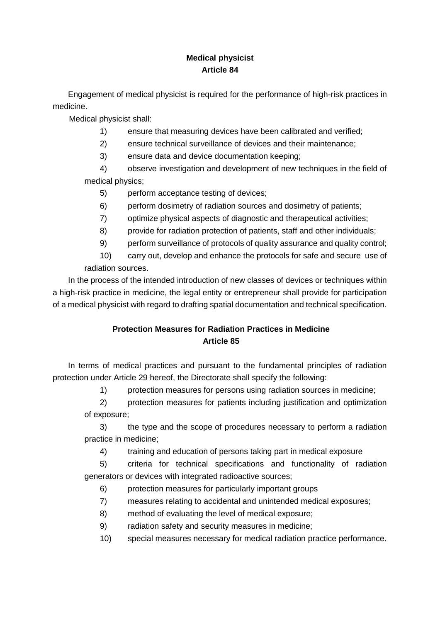# **Medical physicist Article 84**

Engagement of medical physicist is required for the performance of high-risk practices in medicine.

Medical physicist shall:

- 1) ensure that measuring devices have been calibrated and verified;
- 2) ensure technical surveillance of devices and their maintenance;
- 3) ensure data and device documentation keeping;

4) observe investigation and development of new techniques in the field of medical physics;

- 5) perform acceptance testing of devices;
- 6) perform dosimetry of radiation sources and dosimetry of patients;
- 7) optimize physical aspects of diagnostic and therapeutical activities;
- 8) provide for radiation protection of patients, staff and other individuals;
- 9) perform surveillance of protocols of quality assurance and quality control;
- 10) carry out, develop and enhance the protocols for safe and secure use of radiation sources.

In the process of the intended introduction of new classes of devices or techniques within a high-risk practice in medicine, the legal entity or entrepreneur shall provide for participation of a medical physicist with regard to drafting spatial documentation and technical specification.

# **Protection Measures for Radiation Practices in Medicine Article 85**

In terms of medical practices and pursuant to the fundamental principles of radiation protection under Article 29 hereof, the Directorate shall specify the following:

1) protection measures for persons using radiation sources in medicine;

2) protection measures for patients including justification and optimization of exposure;

3) the type and the scope of procedures necessary to perform a radiation practice in medicine;

4) training and education of persons taking part in medical exposure

5) criteria for technical specifications and functionality of radiation generators or devices with integrated radioactive sources;

- 6) protection measures for particularly important groups
- 7) measures relating to accidental and unintended medical exposures;
- 8) method of evaluating the level of medical exposure;
- 9) radiation safety and security measures in medicine;
- 10) special measures necessary for medical radiation practice performance.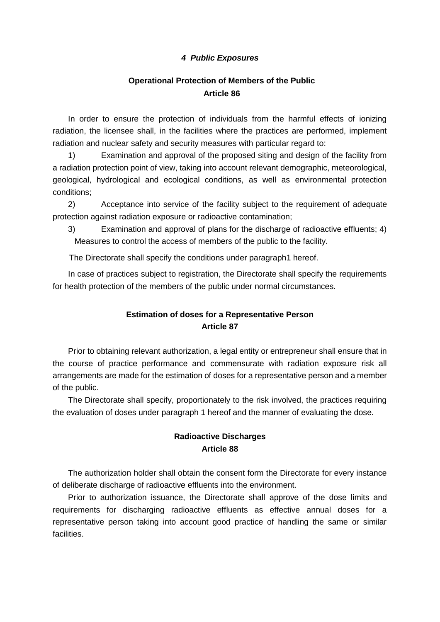#### *4 Public Exposures*

### **Operational Protection of Members of the Public Article 86**

In order to ensure the protection of individuals from the harmful effects of ionizing radiation, the licensee shall, in the facilities where the practices are performed, implement radiation and nuclear safety and security measures with particular regard to:

1) Examination and approval of the proposed siting and design of the facility from a radiation protection point of view, taking into account relevant demographic, meteorological, geological, hydrological and ecological conditions, as well as environmental protection conditions;

2) Acceptance into service of the facility subject to the requirement of adequate protection against radiation exposure or radioactive contamination;

3) Examination and approval of plans for the discharge of radioactive effluents; 4) Measures to control the access of members of the public to the facility.

The Directorate shall specify the conditions under paragraph1 hereof.

In case of practices subject to registration, the Directorate shall specify the requirements for health protection of the members of the public under normal circumstances.

## **Estimation of doses for a Representative Person Article 87**

Prior to obtaining relevant authorization, a legal entity or entrepreneur shall ensure that in the course of practice performance and commensurate with radiation exposure risk all arrangements are made for the estimation of doses for a representative person and a member of the public.

The Directorate shall specify, proportionately to the risk involved, the practices requiring the evaluation of doses under paragraph 1 hereof and the manner of evaluating the dose.

#### **Radioactive Discharges Article 88**

The authorization holder shall obtain the consent form the Directorate for every instance of deliberate discharge of radioactive effluents into the environment.

Prior to authorization issuance, the Directorate shall approve of the dose limits and requirements for discharging radioactive effluents as effective annual doses for a representative person taking into account good practice of handling the same or similar facilities.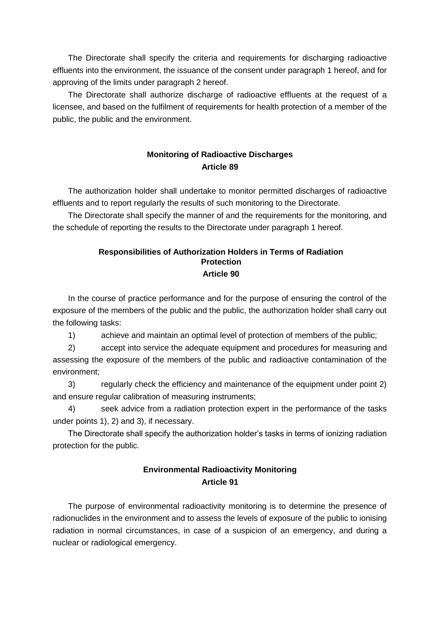The Directorate shall specify the criteria and requirements for discharging radioactive effluents into the environment, the issuance of the consent under paragraph 1 hereof, and for approving of the limits under paragraph 2 hereof.

The Directorate shall authorize discharge of radioactive effluents at the request of a licensee, and based on the fulfilment of requirements for health protection of a member of the public, the public and the environment.

#### **Monitoring of Radioactive Discharges Article 89**

The authorization holder shall undertake to monitor permitted discharges of radioactive effluents and to report regularly the results of such monitoring to the Directorate.

The Directorate shall specify the manner of and the requirements for the monitoring, and the schedule of reporting the results to the Directorate under paragraph 1 hereof.

#### **Responsibilities of Authorization Holders in Terms of Radiation Protection Article 90**

In the course of practice performance and for the purpose of ensuring the control of the exposure of the members of the public and the public, the authorization holder shall carry out the following tasks:

1) achieve and maintain an optimal level of protection of members of the public;

2) accept into service the adequate equipment and procedures for measuring and assessing the exposure of the members of the public and radioactive contamination of the environment;

3) regularly check the efficiency and maintenance of the equipment under point 2) and ensure regular calibration of measuring instruments;

4) seek advice from a radiation protection expert in the performance of the tasks under points 1), 2) and 3), if necessary.

The Directorate shall specify the authorization holder's tasks in terms of ionizing radiation protection for the public.

## **Environmental Radioactivity Monitoring Article 91**

The purpose of environmental radioactivity monitoring is to determine the presence of radionuclides in the environment and to assess the levels of exposure of the public to ionising radiation in normal circumstances, in case of a suspicion of an emergency, and during a nuclear or radiological emergency.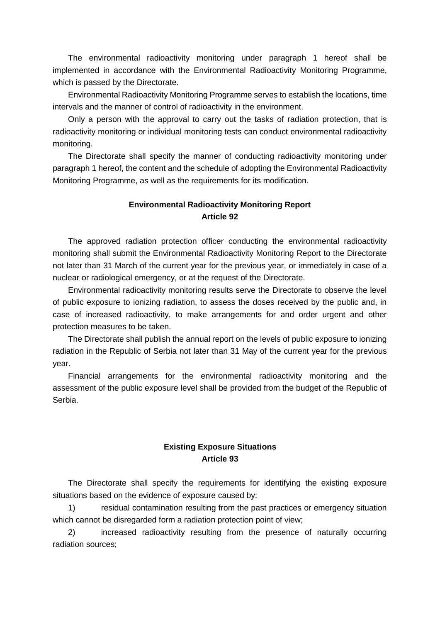The environmental radioactivity monitoring under paragraph 1 hereof shall be implemented in accordance with the Environmental Radioactivity Monitoring Programme, which is passed by the Directorate.

Environmental Radioactivity Monitoring Programme serves to establish the locations, time intervals and the manner of control of radioactivity in the environment.

Only a person with the approval to carry out the tasks of radiation protection, that is radioactivity monitoring or individual monitoring tests can conduct environmental radioactivity monitoring.

The Directorate shall specify the manner of conducting radioactivity monitoring under paragraph 1 hereof, the content and the schedule of adopting the Environmental Radioactivity Monitoring Programme, as well as the requirements for its modification.

#### **Environmental Radioactivity Monitoring Report Article 92**

The approved radiation protection officer conducting the environmental radioactivity monitoring shall submit the Environmental Radioactivity Monitoring Report to the Directorate not later than 31 March of the current year for the previous year, or immediately in case of a nuclear or radiological emergency, or at the request of the Directorate.

Environmental radioactivity monitoring results serve the Directorate to observe the level of public exposure to ionizing radiation, to assess the doses received by the public and, in case of increased radioactivity, to make arrangements for and order urgent and other protection measures to be taken.

The Directorate shall publish the annual report on the levels of public exposure to ionizing radiation in the Republic of Serbia not later than 31 May of the current year for the previous year.

Financial arrangements for the environmental radioactivity monitoring and the assessment of the public exposure level shall be provided from the budget of the Republic of Serbia.

#### **Existing Exposure Situations Article 93**

The Directorate shall specify the requirements for identifying the existing exposure situations based on the evidence of exposure caused by:

1) residual contamination resulting from the past practices or emergency situation which cannot be disregarded form a radiation protection point of view;

2) increased radioactivity resulting from the presence of naturally occurring radiation sources;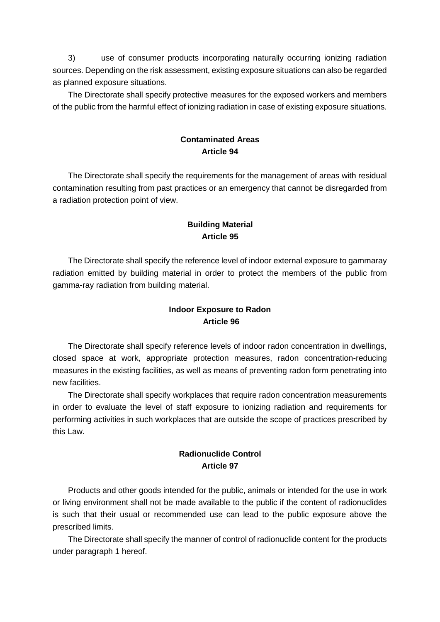3) use of consumer products incorporating naturally occurring ionizing radiation sources. Depending on the risk assessment, existing exposure situations can also be regarded as planned exposure situations.

The Directorate shall specify protective measures for the exposed workers and members of the public from the harmful effect of ionizing radiation in case of existing exposure situations.

#### **Contaminated Areas Article 94**

The Directorate shall specify the requirements for the management of areas with residual contamination resulting from past practices or an emergency that cannot be disregarded from a radiation protection point of view.

### **Building Material Article 95**

The Directorate shall specify the reference level of indoor external exposure to gammaray radiation emitted by building material in order to protect the members of the public from gamma-ray radiation from building material.

## **Indoor Exposure to Radon Article 96**

The Directorate shall specify reference levels of indoor radon concentration in dwellings, closed space at work, appropriate protection measures, radon concentration-reducing measures in the existing facilities, as well as means of preventing radon form penetrating into new facilities.

The Directorate shall specify workplaces that require radon concentration measurements in order to evaluate the level of staff exposure to ionizing radiation and requirements for performing activities in such workplaces that are outside the scope of practices prescribed by this Law.

## **Radionuclide Control Article 97**

Products and other goods intended for the public, animals or intended for the use in work or living environment shall not be made available to the public if the content of radionuclides is such that their usual or recommended use can lead to the public exposure above the prescribed limits.

The Directorate shall specify the manner of control of radionuclide content for the products under paragraph 1 hereof.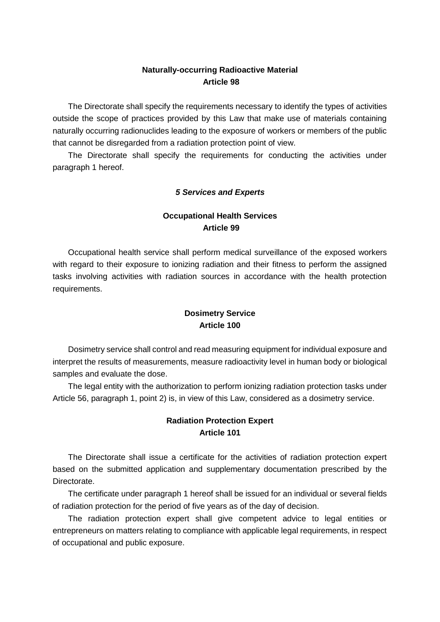#### **Naturally-occurring Radioactive Material Article 98**

The Directorate shall specify the requirements necessary to identify the types of activities outside the scope of practices provided by this Law that make use of materials containing naturally occurring radionuclides leading to the exposure of workers or members of the public that cannot be disregarded from a radiation protection point of view.

The Directorate shall specify the requirements for conducting the activities under paragraph 1 hereof.

#### *5 Services and Experts*

### **Occupational Health Services Article 99**

Occupational health service shall perform medical surveillance of the exposed workers with regard to their exposure to ionizing radiation and their fitness to perform the assigned tasks involving activities with radiation sources in accordance with the health protection requirements.

### **Dosimetry Service Article 100**

Dosimetry service shall control and read measuring equipment for individual exposure and interpret the results of measurements, measure radioactivity level in human body or biological samples and evaluate the dose.

The legal entity with the authorization to perform ionizing radiation protection tasks under Article 56, paragraph 1, point 2) is, in view of this Law, considered as a dosimetry service.

#### **Radiation Protection Expert Article 101**

The Directorate shall issue a certificate for the activities of radiation protection expert based on the submitted application and supplementary documentation prescribed by the Directorate.

The certificate under paragraph 1 hereof shall be issued for an individual or several fields of radiation protection for the period of five years as of the day of decision.

The radiation protection expert shall give competent advice to legal entities or entrepreneurs on matters relating to compliance with applicable legal requirements, in respect of occupational and public exposure.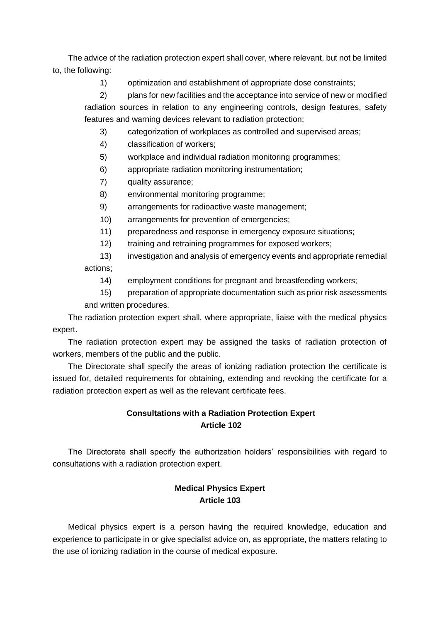The advice of the radiation protection expert shall cover, where relevant, but not be limited to, the following:

1) optimization and establishment of appropriate dose constraints;

2) plans for new facilities and the acceptance into service of new or modified radiation sources in relation to any engineering controls, design features, safety features and warning devices relevant to radiation protection;

3) categorization of workplaces as controlled and supervised areas;

- 4) classification of workers;
- 5) workplace and individual radiation monitoring programmes;
- 6) appropriate radiation monitoring instrumentation;
- 7) quality assurance;
- 8) environmental monitoring programme;
- 9) arrangements for radioactive waste management;
- 10) arrangements for prevention of emergencies;
- 11) preparedness and response in emergency exposure situations;
- 12) training and retraining programmes for exposed workers;
- 13) investigation and analysis of emergency events and appropriate remedial actions;
	- 14) employment conditions for pregnant and breastfeeding workers;
- 15) preparation of appropriate documentation such as prior risk assessments and written procedures.

The radiation protection expert shall, where appropriate, liaise with the medical physics expert.

The radiation protection expert may be assigned the tasks of radiation protection of workers, members of the public and the public.

The Directorate shall specify the areas of ionizing radiation protection the certificate is issued for, detailed requirements for obtaining, extending and revoking the certificate for a radiation protection expert as well as the relevant certificate fees.

# **Consultations with a Radiation Protection Expert Article 102**

The Directorate shall specify the authorization holders' responsibilities with regard to consultations with a radiation protection expert.

## **Medical Physics Expert Article 103**

Medical physics expert is a person having the required knowledge, education and experience to participate in or give specialist advice on, as appropriate, the matters relating to the use of ionizing radiation in the course of medical exposure.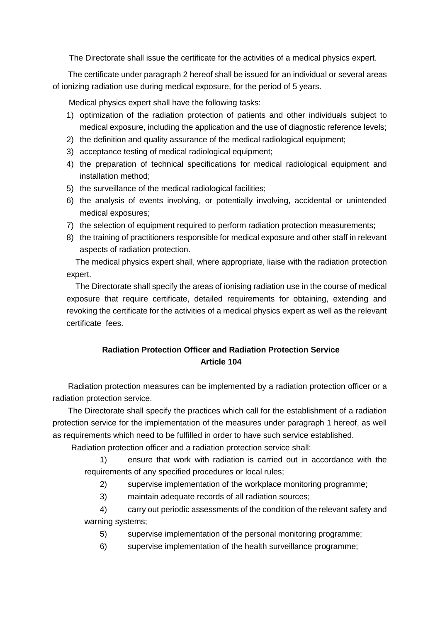The Directorate shall issue the certificate for the activities of a medical physics expert.

The certificate under paragraph 2 hereof shall be issued for an individual or several areas of ionizing radiation use during medical exposure, for the period of 5 years.

Medical physics expert shall have the following tasks:

- 1) optimization of the radiation protection of patients and other individuals subject to medical exposure, including the application and the use of diagnostic reference levels;
- 2) the definition and quality assurance of the medical radiological equipment;
- 3) acceptance testing of medical radiological equipment;
- 4) the preparation of technical specifications for medical radiological equipment and installation method;
- 5) the surveillance of the medical radiological facilities;
- 6) the analysis of events involving, or potentially involving, accidental or unintended medical exposures;
- 7) the selection of equipment required to perform radiation protection measurements;
- 8) the training of practitioners responsible for medical exposure and other staff in relevant aspects of radiation protection.

 The medical physics expert shall, where appropriate, liaise with the radiation protection expert.

 The Directorate shall specify the areas of ionising radiation use in the course of medical exposure that require certificate, detailed requirements for obtaining, extending and revoking the certificate for the activities of a medical physics expert as well as the relevant certificate fees.

# **Radiation Protection Officer and Radiation Protection Service Article 104**

Radiation protection measures can be implemented by a radiation protection officer or a radiation protection service.

The Directorate shall specify the practices which call for the establishment of a radiation protection service for the implementation of the measures under paragraph 1 hereof, as well as requirements which need to be fulfilled in order to have such service established.

Radiation protection officer and a radiation protection service shall:

1) ensure that work with radiation is carried out in accordance with the requirements of any specified procedures or local rules;

2) supervise implementation of the workplace monitoring programme;

3) maintain adequate records of all radiation sources;

4) carry out periodic assessments of the condition of the relevant safety and warning systems;

5) supervise implementation of the personal monitoring programme;

6) supervise implementation of the health surveillance programme;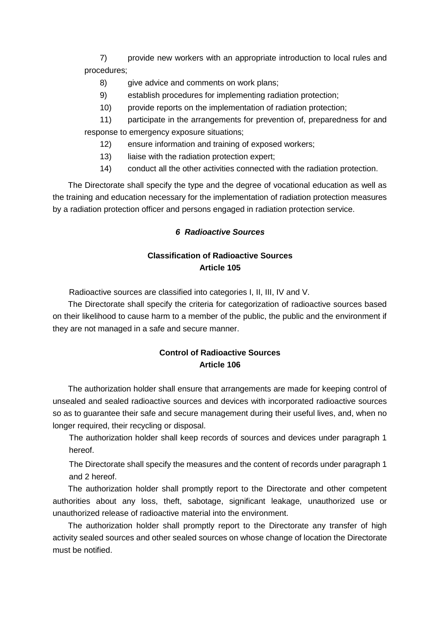7) provide new workers with an appropriate introduction to local rules and procedures;

- 8) give advice and comments on work plans;
- 9) establish procedures for implementing radiation protection;
- 10) provide reports on the implementation of radiation protection;

11) participate in the arrangements for prevention of, preparedness for and response to emergency exposure situations;

- 12) ensure information and training of exposed workers;
- 13) liaise with the radiation protection expert;
- 14) conduct all the other activities connected with the radiation protection.

The Directorate shall specify the type and the degree of vocational education as well as the training and education necessary for the implementation of radiation protection measures by a radiation protection officer and persons engaged in radiation protection service.

#### *6 Radioactive Sources*

## **Classification of Radioactive Sources Article 105**

Radioactive sources are classified into categories I, II, III, IV and V.

The Directorate shall specify the criteria for categorization of radioactive sources based on their likelihood to cause harm to a member of the public, the public and the environment if they are not managed in a safe and secure manner.

# **Control of Radioactive Sources Article 106**

The authorization holder shall ensure that arrangements are made for keeping control of unsealed and sealed radioactive sources and devices with incorporated radioactive sources so as to guarantee their safe and secure management during their useful lives, and, when no longer required, their recycling or disposal.

The authorization holder shall keep records of sources and devices under paragraph 1 hereof.

The Directorate shall specify the measures and the content of records under paragraph 1 and 2 hereof.

The authorization holder shall promptly report to the Directorate and other competent authorities about any loss, theft, sabotage, significant leakage, unauthorized use or unauthorized release of radioactive material into the environment.

The authorization holder shall promptly report to the Directorate any transfer of high activity sealed sources and other sealed sources on whose change of location the Directorate must be notified.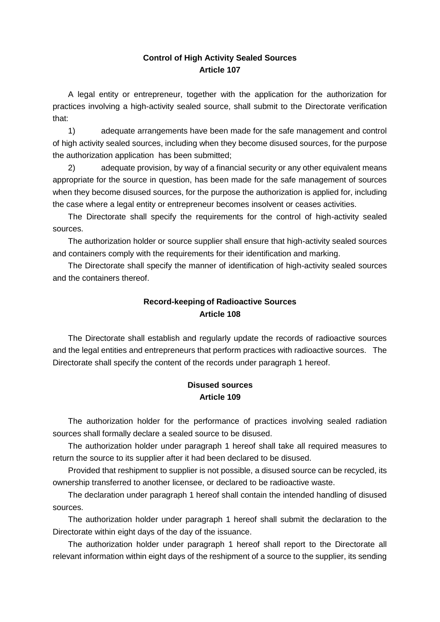#### **Control of High Activity Sealed Sources Article 107**

A legal entity or entrepreneur, together with the application for the authorization for practices involving a high-activity sealed source, shall submit to the Directorate verification that:

1) adequate arrangements have been made for the safe management and control of high activity sealed sources, including when they become disused sources, for the purpose the authorization application has been submitted;

2) adequate provision, by way of a financial security or any other equivalent means appropriate for the source in question, has been made for the safe management of sources when they become disused sources, for the purpose the authorization is applied for, including the case where a legal entity or entrepreneur becomes insolvent or ceases activities.

The Directorate shall specify the requirements for the control of high-activity sealed sources.

The authorization holder or source supplier shall ensure that high-activity sealed sources and containers comply with the requirements for their identification and marking.

The Directorate shall specify the manner of identification of high-activity sealed sources and the containers thereof.

# **Record-keeping of Radioactive Sources Article 108**

The Directorate shall establish and regularly update the records of radioactive sources and the legal entities and entrepreneurs that perform practices with radioactive sources. The Directorate shall specify the content of the records under paragraph 1 hereof.

## **Disused sources Article 109**

The authorization holder for the performance of practices involving sealed radiation sources shall formally declare a sealed source to be disused.

The authorization holder under paragraph 1 hereof shall take all required measures to return the source to its supplier after it had been declared to be disused.

Provided that reshipment to supplier is not possible, a disused source can be recycled, its ownership transferred to another licensee, or declared to be radioactive waste.

The declaration under paragraph 1 hereof shall contain the intended handling of disused sources.

The authorization holder under paragraph 1 hereof shall submit the declaration to the Directorate within eight days of the day of the issuance.

The authorization holder under paragraph 1 hereof shall report to the Directorate all relevant information within eight days of the reshipment of a source to the supplier, its sending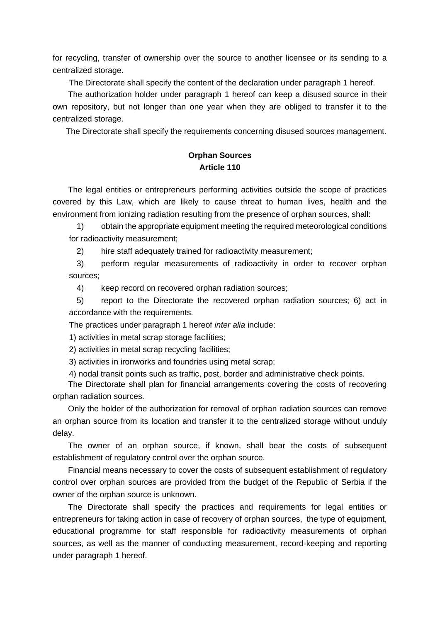for recycling, transfer of ownership over the source to another licensee or its sending to a centralized storage.

The Directorate shall specify the content of the declaration under paragraph 1 hereof.

The authorization holder under paragraph 1 hereof can keep a disused source in their own repository, but not longer than one year when they are obliged to transfer it to the centralized storage.

The Directorate shall specify the requirements concerning disused sources management.

#### **Orphan Sources Article 110**

The legal entities or entrepreneurs performing activities outside the scope of practices covered by this Law, which are likely to cause threat to human lives, health and the environment from ionizing radiation resulting from the presence of orphan sources, shall:

1) obtain the appropriate equipment meeting the required meteorological conditions for radioactivity measurement;

2) hire staff adequately trained for radioactivity measurement;

3) perform regular measurements of radioactivity in order to recover orphan sources;

4) keep record on recovered orphan radiation sources;

5) report to the Directorate the recovered orphan radiation sources; 6) act in accordance with the requirements.

The practices under paragraph 1 hereof *inter alia* include:

1) activities in metal scrap storage facilities;

2) activities in metal scrap recycling facilities;

3) activities in ironworks and foundries using metal scrap;

4) nodal transit points such as traffic, post, border and administrative check points.

The Directorate shall plan for financial arrangements covering the costs of recovering orphan radiation sources.

Only the holder of the authorization for removal of orphan radiation sources can remove an orphan source from its location and transfer it to the centralized storage without unduly delay.

The owner of an orphan source, if known, shall bear the costs of subsequent establishment of regulatory control over the orphan source.

Financial means necessary to cover the costs of subsequent establishment of regulatory control over orphan sources are provided from the budget of the Republic of Serbia if the owner of the orphan source is unknown.

The Directorate shall specify the practices and requirements for legal entities or entrepreneurs for taking action in case of recovery of orphan sources, the type of equipment, educational programme for staff responsible for radioactivity measurements of orphan sources, as well as the manner of conducting measurement, record-keeping and reporting under paragraph 1 hereof.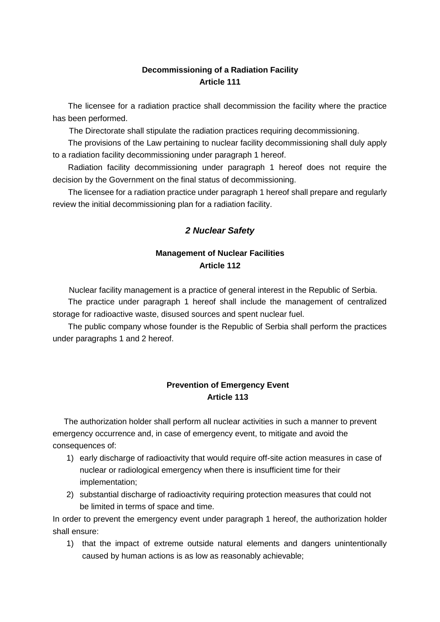#### **Decommissioning of a Radiation Facility Article 111**

The licensee for a radiation practice shall decommission the facility where the practice has been performed.

The Directorate shall stipulate the radiation practices requiring decommissioning.

The provisions of the Law pertaining to nuclear facility decommissioning shall duly apply to a radiation facility decommissioning under paragraph 1 hereof.

Radiation facility decommissioning under paragraph 1 hereof does not require the decision by the Government on the final status of decommissioning.

The licensee for a radiation practice under paragraph 1 hereof shall prepare and regularly review the initial decommissioning plan for a radiation facility.

#### *2 Nuclear Safety*

## **Management of Nuclear Facilities Article 112**

Nuclear facility management is a practice of general interest in the Republic of Serbia. The practice under paragraph 1 hereof shall include the management of centralized

storage for radioactive waste, disused sources and spent nuclear fuel.

The public company whose founder is the Republic of Serbia shall perform the practices under paragraphs 1 and 2 hereof.

## **Prevention of Emergency Event Article 113**

 The authorization holder shall perform all nuclear activities in such a manner to prevent emergency occurrence and, in case of emergency event, to mitigate and avoid the consequences of:

- 1) early discharge of radioactivity that would require off-site action measures in case of nuclear or radiological emergency when there is insufficient time for their implementation;
- 2) substantial discharge of radioactivity requiring protection measures that could not be limited in terms of space and time.

In order to prevent the emergency event under paragraph 1 hereof, the authorization holder shall ensure:

1) that the impact of extreme outside natural elements and dangers unintentionally caused by human actions is as low as reasonably achievable;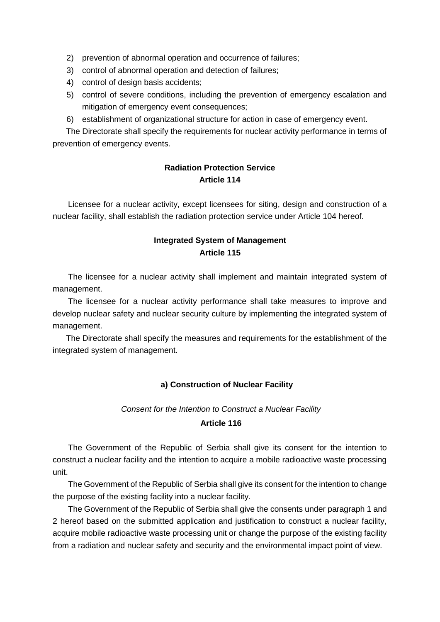- 2) prevention of abnormal operation and occurrence of failures;
- 3) control of abnormal operation and detection of failures;
- 4) control of design basis accidents;
- 5) control of severe conditions, including the prevention of emergency escalation and mitigation of emergency event consequences;
- 6) establishment of organizational structure for action in case of emergency event.

The Directorate shall specify the requirements for nuclear activity performance in terms of prevention of emergency events.

#### **Radiation Protection Service Article 114**

Licensee for a nuclear activity, except licensees for siting, design and construction of a nuclear facility, shall establish the radiation protection service under Article 104 hereof.

#### **Integrated System of Management Article 115**

The licensee for a nuclear activity shall implement and maintain integrated system of management.

The licensee for a nuclear activity performance shall take measures to improve and develop nuclear safety and nuclear security culture by implementing the integrated system of management.

The Directorate shall specify the measures and requirements for the establishment of the integrated system of management.

#### **a) Construction of Nuclear Facility**

#### *Consent for the Intention to Construct a Nuclear Facility*  **Article 116**

The Government of the Republic of Serbia shall give its consent for the intention to construct a nuclear facility and the intention to acquire a mobile radioactive waste processing unit.

The Government of the Republic of Serbia shall give its consent for the intention to change the purpose of the existing facility into a nuclear facility.

The Government of the Republic of Serbia shall give the consents under paragraph 1 and 2 hereof based on the submitted application and justification to construct a nuclear facility, acquire mobile radioactive waste processing unit or change the purpose of the existing facility from a radiation and nuclear safety and security and the environmental impact point of view.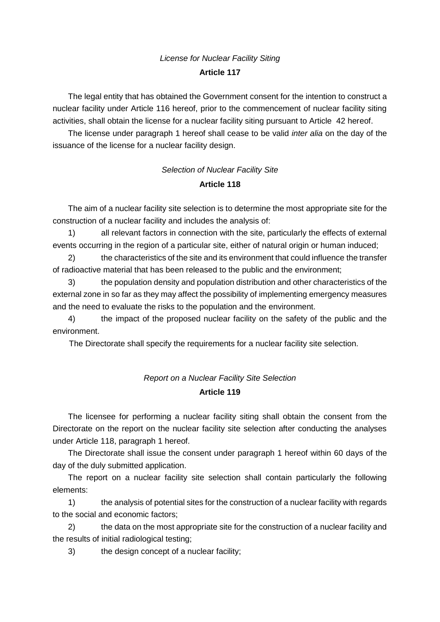# *License for Nuclear Facility Siting*  **Article 117**

The legal entity that has obtained the Government consent for the intention to construct a nuclear facility under Article 116 hereof, prior to the commencement of nuclear facility siting activities, shall obtain the license for a nuclear facility siting pursuant to Article 42 hereof.

The license under paragraph 1 hereof shall cease to be valid *inter alia* on the day of the issuance of the license for a nuclear facility design.

# *Selection of Nuclear Facility Site*  **Article 118**

The aim of a nuclear facility site selection is to determine the most appropriate site for the construction of a nuclear facility and includes the analysis of:

1) all relevant factors in connection with the site, particularly the effects of external events occurring in the region of a particular site, either of natural origin or human induced;

2) the characteristics of the site and its environment that could influence the transfer of radioactive material that has been released to the public and the environment;

3) the population density and population distribution and other characteristics of the external zone in so far as they may affect the possibility of implementing emergency measures and the need to evaluate the risks to the population and the environment.

4) the impact of the proposed nuclear facility on the safety of the public and the environment.

The Directorate shall specify the requirements for a nuclear facility site selection.

# *Report on a Nuclear Facility Site Selection*  **Article 119**

The licensee for performing a nuclear facility siting shall obtain the consent from the Directorate on the report on the nuclear facility site selection after conducting the analyses under Article 118, paragraph 1 hereof.

The Directorate shall issue the consent under paragraph 1 hereof within 60 days of the day of the duly submitted application.

The report on a nuclear facility site selection shall contain particularly the following elements:

1) the analysis of potential sites for the construction of a nuclear facility with regards to the social and economic factors;

2) the data on the most appropriate site for the construction of a nuclear facility and the results of initial radiological testing;

3) the design concept of a nuclear facility;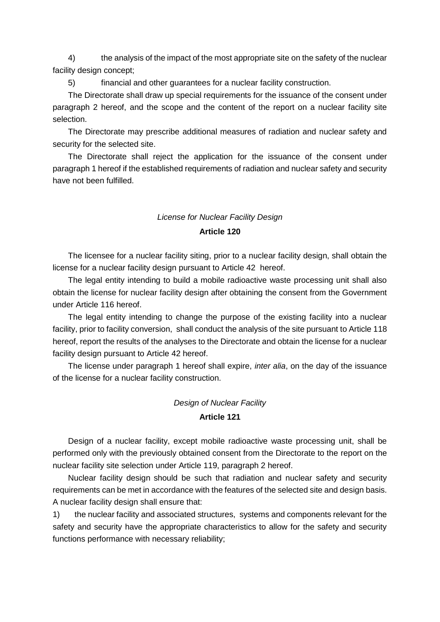4) the analysis of the impact of the most appropriate site on the safety of the nuclear facility design concept;

5) financial and other guarantees for a nuclear facility construction.

The Directorate shall draw up special requirements for the issuance of the consent under paragraph 2 hereof, and the scope and the content of the report on a nuclear facility site selection.

The Directorate may prescribe additional measures of radiation and nuclear safety and security for the selected site.

The Directorate shall reject the application for the issuance of the consent under paragraph 1 hereof if the established requirements of radiation and nuclear safety and security have not been fulfilled.

# *License for Nuclear Facility Design*

#### **Article 120**

The licensee for a nuclear facility siting, prior to a nuclear facility design, shall obtain the license for a nuclear facility design pursuant to Article 42 hereof.

The legal entity intending to build a mobile radioactive waste processing unit shall also obtain the license for nuclear facility design after obtaining the consent from the Government under Article 116 hereof.

The legal entity intending to change the purpose of the existing facility into a nuclear facility, prior to facility conversion, shall conduct the analysis of the site pursuant to Article 118 hereof, report the results of the analyses to the Directorate and obtain the license for a nuclear facility design pursuant to Article 42 hereof.

The license under paragraph 1 hereof shall expire, *inter alia*, on the day of the issuance of the license for a nuclear facility construction.

#### *Design of Nuclear Facility*

#### **Article 121**

Design of a nuclear facility, except mobile radioactive waste processing unit, shall be performed only with the previously obtained consent from the Directorate to the report on the nuclear facility site selection under Article 119, paragraph 2 hereof.

Nuclear facility design should be such that radiation and nuclear safety and security requirements can be met in accordance with the features of the selected site and design basis. A nuclear facility design shall ensure that:

1) the nuclear facility and associated structures, systems and components relevant for the safety and security have the appropriate characteristics to allow for the safety and security functions performance with necessary reliability;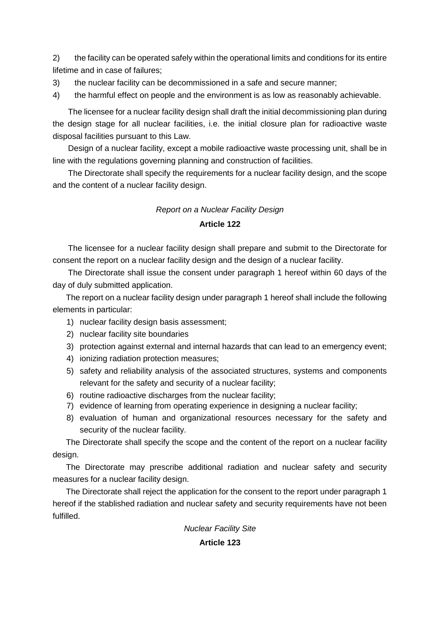2) the facility can be operated safely within the operational limits and conditions for its entire lifetime and in case of failures;

3) the nuclear facility can be decommissioned in a safe and secure manner;

4) the harmful effect on people and the environment is as low as reasonably achievable.

The licensee for a nuclear facility design shall draft the initial decommissioning plan during the design stage for all nuclear facilities, i.e. the initial closure plan for radioactive waste disposal facilities pursuant to this Law.

Design of a nuclear facility, except a mobile radioactive waste processing unit, shall be in line with the regulations governing planning and construction of facilities.

The Directorate shall specify the requirements for a nuclear facility design, and the scope and the content of a nuclear facility design.

# *Report on a Nuclear Facility Design*  **Article 122**

The licensee for a nuclear facility design shall prepare and submit to the Directorate for consent the report on a nuclear facility design and the design of a nuclear facility.

The Directorate shall issue the consent under paragraph 1 hereof within 60 days of the day of duly submitted application.

The report on a nuclear facility design under paragraph 1 hereof shall include the following elements in particular:

1) nuclear facility design basis assessment;

- 2) nuclear facility site boundaries
- 3) protection against external and internal hazards that can lead to an emergency event;
- 4) ionizing radiation protection measures;
- 5) safety and reliability analysis of the associated structures, systems and components relevant for the safety and security of a nuclear facility;
- 6) routine radioactive discharges from the nuclear facility;
- 7) evidence of learning from operating experience in designing a nuclear facility;
- 8) evaluation of human and organizational resources necessary for the safety and security of the nuclear facility.

The Directorate shall specify the scope and the content of the report on a nuclear facility design.

The Directorate may prescribe additional radiation and nuclear safety and security measures for a nuclear facility design.

The Directorate shall reject the application for the consent to the report under paragraph 1 hereof if the stablished radiation and nuclear safety and security requirements have not been fulfilled.

*Nuclear Facility Site* 

**Article 123**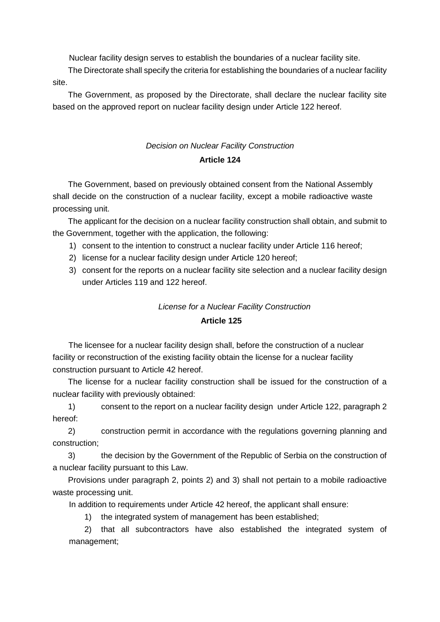Nuclear facility design serves to establish the boundaries of a nuclear facility site.

The Directorate shall specify the criteria for establishing the boundaries of a nuclear facility site.

The Government, as proposed by the Directorate, shall declare the nuclear facility site based on the approved report on nuclear facility design under Article 122 hereof.

# *Decision on Nuclear Facility Construction*  **Article 124**

The Government, based on previously obtained consent from the National Assembly shall decide on the construction of a nuclear facility, except a mobile radioactive waste processing unit.

The applicant for the decision on a nuclear facility construction shall obtain, and submit to the Government, together with the application, the following:

- 1) consent to the intention to construct a nuclear facility under Article 116 hereof;
- 2) license for a nuclear facility design under Article 120 hereof;
- 3) consent for the reports on a nuclear facility site selection and a nuclear facility design under Articles 119 and 122 hereof.

#### *License for a Nuclear Facility Construction*

#### **Article 125**

The licensee for a nuclear facility design shall, before the construction of a nuclear facility or reconstruction of the existing facility obtain the license for a nuclear facility construction pursuant to Article 42 hereof.

The license for a nuclear facility construction shall be issued for the construction of a nuclear facility with previously obtained:

1) consent to the report on a nuclear facility design under Article 122, paragraph 2 hereof:

2) construction permit in accordance with the regulations governing planning and construction;

3) the decision by the Government of the Republic of Serbia on the construction of a nuclear facility pursuant to this Law.

Provisions under paragraph 2, points 2) and 3) shall not pertain to a mobile radioactive waste processing unit.

In addition to requirements under Article 42 hereof, the applicant shall ensure:

1) the integrated system of management has been established;

2) that all subcontractors have also established the integrated system of management;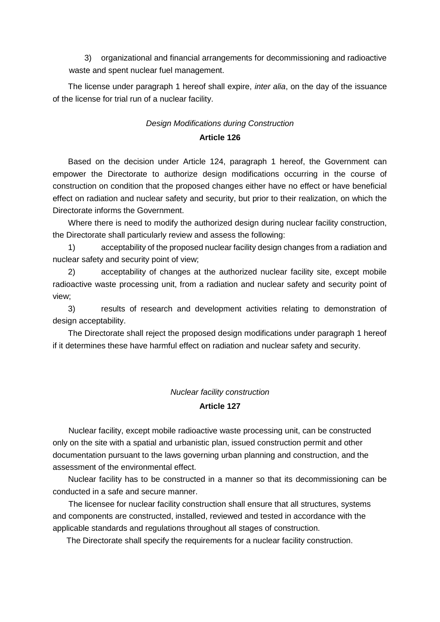3) organizational and financial arrangements for decommissioning and radioactive waste and spent nuclear fuel management.

The license under paragraph 1 hereof shall expire, *inter alia*, on the day of the issuance of the license for trial run of a nuclear facility.

### *Design Modifications during Construction*  **Article 126**

Based on the decision under Article 124, paragraph 1 hereof, the Government can empower the Directorate to authorize design modifications occurring in the course of construction on condition that the proposed changes either have no effect or have beneficial effect on radiation and nuclear safety and security, but prior to their realization, on which the Directorate informs the Government.

Where there is need to modify the authorized design during nuclear facility construction, the Directorate shall particularly review and assess the following:

1) acceptability of the proposed nuclear facility design changes from a radiation and nuclear safety and security point of view;

2) acceptability of changes at the authorized nuclear facility site, except mobile radioactive waste processing unit, from a radiation and nuclear safety and security point of view;

3) results of research and development activities relating to demonstration of design acceptability.

The Directorate shall reject the proposed design modifications under paragraph 1 hereof if it determines these have harmful effect on radiation and nuclear safety and security.

#### *Nuclear facility construction*

#### **Article 127**

Nuclear facility, except mobile radioactive waste processing unit, can be constructed only on the site with a spatial and urbanistic plan, issued construction permit and other documentation pursuant to the laws governing urban planning and construction, and the assessment of the environmental effect.

Nuclear facility has to be constructed in a manner so that its decommissioning can be conducted in a safe and secure manner.

The licensee for nuclear facility construction shall ensure that all structures, systems and components are constructed, installed, reviewed and tested in accordance with the applicable standards and regulations throughout all stages of construction.

The Directorate shall specify the requirements for a nuclear facility construction.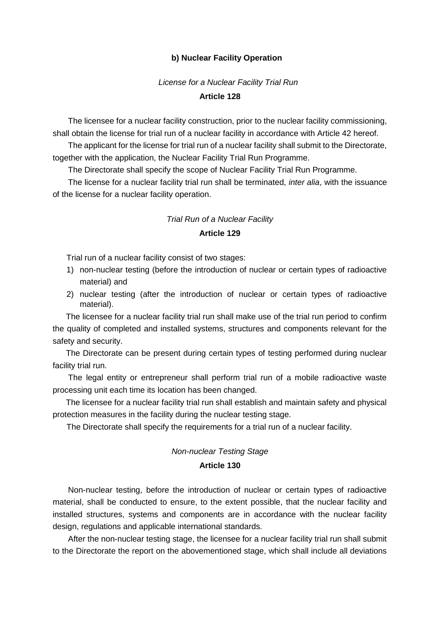#### **b) Nuclear Facility Operation**

#### *License for a Nuclear Facility Trial Run*

#### **Article 128**

The licensee for a nuclear facility construction, prior to the nuclear facility commissioning, shall obtain the license for trial run of a nuclear facility in accordance with Article 42 hereof.

The applicant for the license for trial run of a nuclear facility shall submit to the Directorate, together with the application, the Nuclear Facility Trial Run Programme.

The Directorate shall specify the scope of Nuclear Facility Trial Run Programme.

The license for a nuclear facility trial run shall be terminated, *inter alia*, with the issuance of the license for a nuclear facility operation.

# *Trial Run of a Nuclear Facility*  **Article 129**

Trial run of a nuclear facility consist of two stages:

- 1) non-nuclear testing (before the introduction of nuclear or certain types of radioactive material) and
- 2) nuclear testing (after the introduction of nuclear or certain types of radioactive material).

The licensee for a nuclear facility trial run shall make use of the trial run period to confirm the quality of completed and installed systems, structures and components relevant for the safety and security.

The Directorate can be present during certain types of testing performed during nuclear facility trial run.

The legal entity or entrepreneur shall perform trial run of a mobile radioactive waste processing unit each time its location has been changed.

The licensee for a nuclear facility trial run shall establish and maintain safety and physical protection measures in the facility during the nuclear testing stage.

The Directorate shall specify the requirements for a trial run of a nuclear facility.

# *Non-nuclear Testing Stage*

#### **Article 130**

Non-nuclear testing, before the introduction of nuclear or certain types of radioactive material, shall be conducted to ensure, to the extent possible, that the nuclear facility and installed structures, systems and components are in accordance with the nuclear facility design, regulations and applicable international standards.

After the non-nuclear testing stage, the licensee for a nuclear facility trial run shall submit to the Directorate the report on the abovementioned stage, which shall include all deviations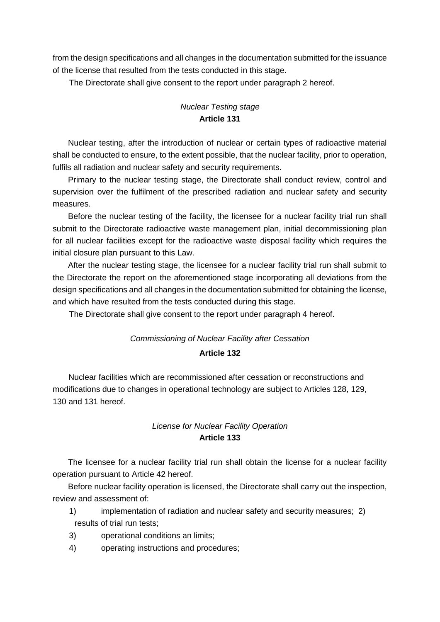from the design specifications and all changes in the documentation submitted for the issuance of the license that resulted from the tests conducted in this stage.

The Directorate shall give consent to the report under paragraph 2 hereof.

## *Nuclear Testing stage*  **Article 131**

Nuclear testing, after the introduction of nuclear or certain types of radioactive material shall be conducted to ensure, to the extent possible, that the nuclear facility, prior to operation, fulfils all radiation and nuclear safety and security requirements.

Primary to the nuclear testing stage, the Directorate shall conduct review, control and supervision over the fulfilment of the prescribed radiation and nuclear safety and security measures.

Before the nuclear testing of the facility, the licensee for a nuclear facility trial run shall submit to the Directorate radioactive waste management plan, initial decommissioning plan for all nuclear facilities except for the radioactive waste disposal facility which requires the initial closure plan pursuant to this Law.

After the nuclear testing stage, the licensee for a nuclear facility trial run shall submit to the Directorate the report on the aforementioned stage incorporating all deviations from the design specifications and all changes in the documentation submitted for obtaining the license, and which have resulted from the tests conducted during this stage.

The Directorate shall give consent to the report under paragraph 4 hereof.

# *Commissioning of Nuclear Facility after Cessation*  **Article 132**

Nuclear facilities which are recommissioned after cessation or reconstructions and modifications due to changes in operational technology are subject to Articles 128, 129, 130 and 131 hereof.

#### *License for Nuclear Facility Operation*  **Article 133**

The licensee for a nuclear facility trial run shall obtain the license for a nuclear facility operation pursuant to Article 42 hereof.

Before nuclear facility operation is licensed, the Directorate shall carry out the inspection, review and assessment of:

- 1) implementation of radiation and nuclear safety and security measures; 2) results of trial run tests;
- 3) operational conditions an limits;
- 4) operating instructions and procedures;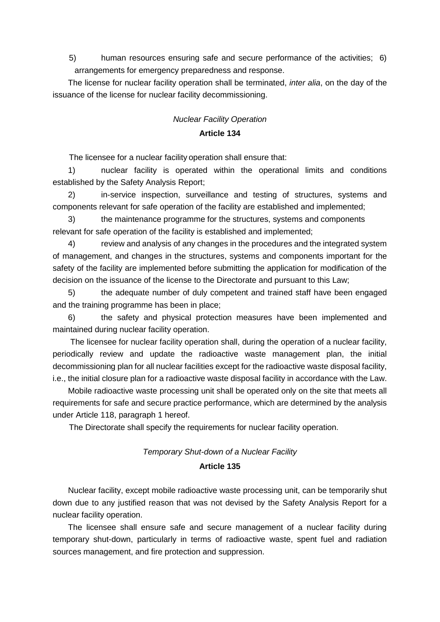5) human resources ensuring safe and secure performance of the activities; 6) arrangements for emergency preparedness and response.

The license for nuclear facility operation shall be terminated, *inter alia*, on the day of the issuance of the license for nuclear facility decommissioning.

## *Nuclear Facility Operation*  **Article 134**

The licensee for a nuclear facility operation shall ensure that:

1) nuclear facility is operated within the operational limits and conditions established by the Safety Analysis Report;

2) in-service inspection, surveillance and testing of structures, systems and components relevant for safe operation of the facility are established and implemented;

3) the maintenance programme for the structures, systems and components relevant for safe operation of the facility is established and implemented;

4) review and analysis of any changes in the procedures and the integrated system of management, and changes in the structures, systems and components important for the safety of the facility are implemented before submitting the application for modification of the decision on the issuance of the license to the Directorate and pursuant to this Law;

5) the adequate number of duly competent and trained staff have been engaged and the training programme has been in place;

6) the safety and physical protection measures have been implemented and maintained during nuclear facility operation.

The licensee for nuclear facility operation shall, during the operation of a nuclear facility, periodically review and update the radioactive waste management plan, the initial decommissioning plan for all nuclear facilities except for the radioactive waste disposal facility, i.e., the initial closure plan for a radioactive waste disposal facility in accordance with the Law.

Mobile radioactive waste processing unit shall be operated only on the site that meets all requirements for safe and secure practice performance, which are determined by the analysis under Article 118, paragraph 1 hereof.

The Directorate shall specify the requirements for nuclear facility operation.

# *Temporary Shut-down of a Nuclear Facility*  **Article 135**

Nuclear facility, except mobile radioactive waste processing unit, can be temporarily shut down due to any justified reason that was not devised by the Safety Analysis Report for a nuclear facility operation.

The licensee shall ensure safe and secure management of a nuclear facility during temporary shut-down, particularly in terms of radioactive waste, spent fuel and radiation sources management, and fire protection and suppression.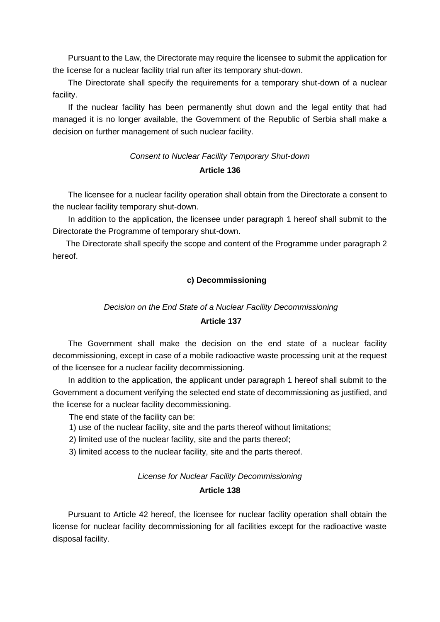Pursuant to the Law, the Directorate may require the licensee to submit the application for the license for a nuclear facility trial run after its temporary shut-down.

The Directorate shall specify the requirements for a temporary shut-down of a nuclear facility.

If the nuclear facility has been permanently shut down and the legal entity that had managed it is no longer available, the Government of the Republic of Serbia shall make a decision on further management of such nuclear facility.

# *Consent to Nuclear Facility Temporary Shut-down*  **Article 136**

The licensee for a nuclear facility operation shall obtain from the Directorate a consent to the nuclear facility temporary shut-down.

In addition to the application, the licensee under paragraph 1 hereof shall submit to the Directorate the Programme of temporary shut-down.

The Directorate shall specify the scope and content of the Programme under paragraph 2 hereof.

#### **c) Decommissioning**

#### *Decision on the End State of a Nuclear Facility Decommissioning*

#### **Article 137**

The Government shall make the decision on the end state of a nuclear facility decommissioning, except in case of a mobile radioactive waste processing unit at the request of the licensee for a nuclear facility decommissioning.

In addition to the application, the applicant under paragraph 1 hereof shall submit to the Government a document verifying the selected end state of decommissioning as justified, and the license for a nuclear facility decommissioning.

The end state of the facility can be:

- 1) use of the nuclear facility, site and the parts thereof without limitations;
- 2) limited use of the nuclear facility, site and the parts thereof;

3) limited access to the nuclear facility, site and the parts thereof.

#### *License for Nuclear Facility Decommissioning*

#### **Article 138**

Pursuant to Article 42 hereof, the licensee for nuclear facility operation shall obtain the license for nuclear facility decommissioning for all facilities except for the radioactive waste disposal facility.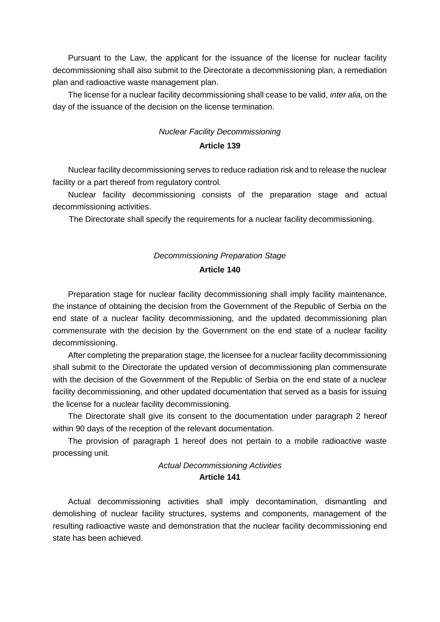Pursuant to the Law, the applicant for the issuance of the license for nuclear facility decommissioning shall also submit to the Directorate a decommissioning plan, a remediation plan and radioactive waste management plan.

The license for a nuclear facility decommissioning shall cease to be valid, *inter alia*, on the day of the issuance of the decision on the license termination.

# *Nuclear Facility Decommissioning*  **Article 139**

Nuclear facility decommissioning serves to reduce radiation risk and to release the nuclear facility or a part thereof from regulatory control.

Nuclear facility decommissioning consists of the preparation stage and actual decommissioning activities.

The Directorate shall specify the requirements for a nuclear facility decommissioning.

### *Decommissioning Preparation Stage*  **Article 140**

Preparation stage for nuclear facility decommissioning shall imply facility maintenance, the instance of obtaining the decision from the Government of the Republic of Serbia on the end state of a nuclear facility decommissioning, and the updated decommissioning plan commensurate with the decision by the Government on the end state of a nuclear facility decommissioning.

After completing the preparation stage, the licensee for a nuclear facility decommissioning shall submit to the Directorate the updated version of decommissioning plan commensurate with the decision of the Government of the Republic of Serbia on the end state of a nuclear facility decommissioning, and other updated documentation that served as a basis for issuing the license for a nuclear facility decommissioning.

The Directorate shall give its consent to the documentation under paragraph 2 hereof within 90 days of the reception of the relevant documentation.

The provision of paragraph 1 hereof does not pertain to a mobile radioactive waste processing unit.

# *Actual Decommissioning Activities*  **Article 141**

Actual decommissioning activities shall imply decontamination, dismantling and demolishing of nuclear facility structures, systems and components, management of the resulting radioactive waste and demonstration that the nuclear facility decommissioning end state has been achieved.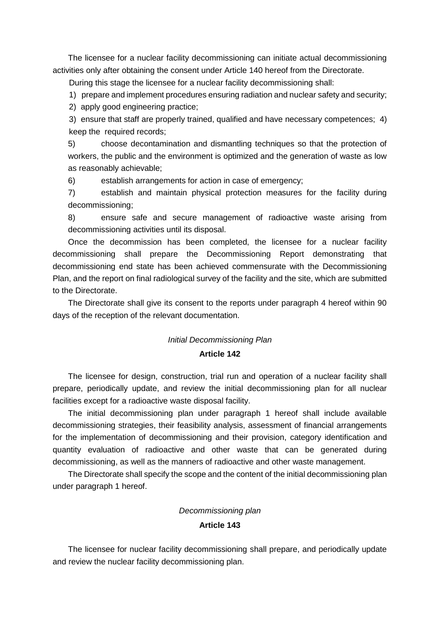The licensee for a nuclear facility decommissioning can initiate actual decommissioning activities only after obtaining the consent under Article 140 hereof from the Directorate.

During this stage the licensee for a nuclear facility decommissioning shall:

1) prepare and implement procedures ensuring radiation and nuclear safety and security;

2) apply good engineering practice;

3) ensure that staff are properly trained, qualified and have necessary competences; 4) keep the required records;

5) choose decontamination and dismantling techniques so that the protection of workers, the public and the environment is optimized and the generation of waste as low as reasonably achievable;

6) establish arrangements for action in case of emergency;

7) establish and maintain physical protection measures for the facility during decommissioning;

8) ensure safe and secure management of radioactive waste arising from decommissioning activities until its disposal.

Once the decommission has been completed, the licensee for a nuclear facility decommissioning shall prepare the Decommissioning Report demonstrating that decommissioning end state has been achieved commensurate with the Decommissioning Plan, and the report on final radiological survey of the facility and the site, which are submitted to the Directorate.

The Directorate shall give its consent to the reports under paragraph 4 hereof within 90 days of the reception of the relevant documentation.

#### *Initial Decommissioning Plan*

#### **Article 142**

The licensee for design, construction, trial run and operation of a nuclear facility shall prepare, periodically update, and review the initial decommissioning plan for all nuclear facilities except for a radioactive waste disposal facility.

The initial decommissioning plan under paragraph 1 hereof shall include available decommissioning strategies, their feasibility analysis, assessment of financial arrangements for the implementation of decommissioning and their provision, category identification and quantity evaluation of radioactive and other waste that can be generated during decommissioning, as well as the manners of radioactive and other waste management.

The Directorate shall specify the scope and the content of the initial decommissioning plan under paragraph 1 hereof.

#### *Decommissioning plan*

#### **Article 143**

The licensee for nuclear facility decommissioning shall prepare, and periodically update and review the nuclear facility decommissioning plan.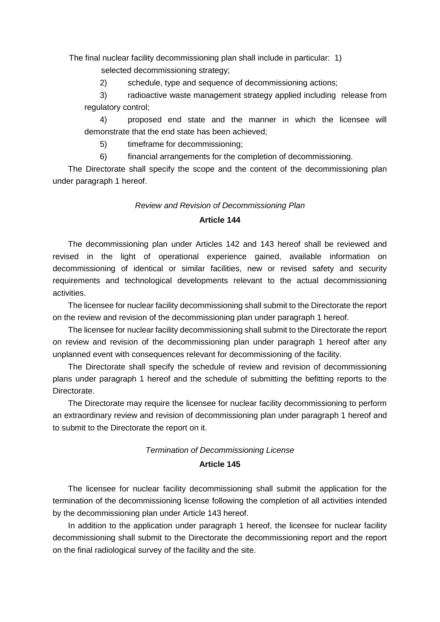The final nuclear facility decommissioning plan shall include in particular: 1)

selected decommissioning strategy;

2) schedule, type and sequence of decommissioning actions;

3) radioactive waste management strategy applied including release from regulatory control;

4) proposed end state and the manner in which the licensee will demonstrate that the end state has been achieved;

5) timeframe for decommissioning;

6) financial arrangements for the completion of decommissioning.

The Directorate shall specify the scope and the content of the decommissioning plan under paragraph 1 hereof.

# *Review and Revision of Decommissioning Plan*

#### **Article 144**

The decommissioning plan under Articles 142 and 143 hereof shall be reviewed and revised in the light of operational experience gained, available information on decommissioning of identical or similar facilities, new or revised safety and security requirements and technological developments relevant to the actual decommissioning activities.

The licensee for nuclear facility decommissioning shall submit to the Directorate the report on the review and revision of the decommissioning plan under paragraph 1 hereof.

The licensee for nuclear facility decommissioning shall submit to the Directorate the report on review and revision of the decommissioning plan under paragraph 1 hereof after any unplanned event with consequences relevant for decommissioning of the facility.

The Directorate shall specify the schedule of review and revision of decommissioning plans under paragraph 1 hereof and the schedule of submitting the befitting reports to the Directorate.

The Directorate may require the licensee for nuclear facility decommissioning to perform an extraordinary review and revision of decommissioning plan under paragraph 1 hereof and to submit to the Directorate the report on it.

#### *Termination of Decommissioning License*

#### **Article 145**

The licensee for nuclear facility decommissioning shall submit the application for the termination of the decommissioning license following the completion of all activities intended by the decommissioning plan under Article 143 hereof.

In addition to the application under paragraph 1 hereof, the licensee for nuclear facility decommissioning shall submit to the Directorate the decommissioning report and the report on the final radiological survey of the facility and the site.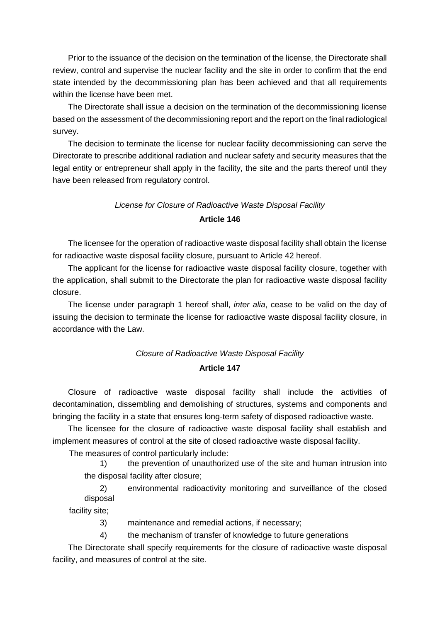Prior to the issuance of the decision on the termination of the license, the Directorate shall review, control and supervise the nuclear facility and the site in order to confirm that the end state intended by the decommissioning plan has been achieved and that all requirements within the license have been met.

The Directorate shall issue a decision on the termination of the decommissioning license based on the assessment of the decommissioning report and the report on the final radiological survey.

The decision to terminate the license for nuclear facility decommissioning can serve the Directorate to prescribe additional radiation and nuclear safety and security measures that the legal entity or entrepreneur shall apply in the facility, the site and the parts thereof until they have been released from regulatory control.

# *License for Closure of Radioactive Waste Disposal Facility*

#### **Article 146**

The licensee for the operation of radioactive waste disposal facility shall obtain the license for radioactive waste disposal facility closure, pursuant to Article 42 hereof.

The applicant for the license for radioactive waste disposal facility closure, together with the application, shall submit to the Directorate the plan for radioactive waste disposal facility closure.

The license under paragraph 1 hereof shall, *inter alia*, cease to be valid on the day of issuing the decision to terminate the license for radioactive waste disposal facility closure, in accordance with the Law.

# *Closure of Radioactive Waste Disposal Facility*  **Article 147**

Closure of radioactive waste disposal facility shall include the activities of decontamination, dissembling and demolishing of structures, systems and components and bringing the facility in a state that ensures long-term safety of disposed radioactive waste.

The licensee for the closure of radioactive waste disposal facility shall establish and implement measures of control at the site of closed radioactive waste disposal facility.

The measures of control particularly include:

1) the prevention of unauthorized use of the site and human intrusion into the disposal facility after closure;

2) environmental radioactivity monitoring and surveillance of the closed disposal

facility site;

3) maintenance and remedial actions, if necessary;

4) the mechanism of transfer of knowledge to future generations

The Directorate shall specify requirements for the closure of radioactive waste disposal facility, and measures of control at the site.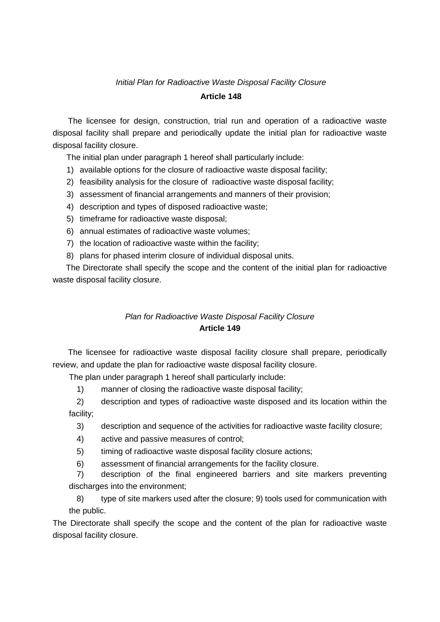#### *Initial Plan for Radioactive Waste Disposal Facility Closure*

#### **Article 148**

The licensee for design, construction, trial run and operation of a radioactive waste disposal facility shall prepare and periodically update the initial plan for radioactive waste disposal facility closure.

The initial plan under paragraph 1 hereof shall particularly include:

- 1) available options for the closure of radioactive waste disposal facility;
- 2) feasibility analysis for the closure of radioactive waste disposal facility;
- 3) assessment of financial arrangements and manners of their provision;
- 4) description and types of disposed radioactive waste;
- 5) timeframe for radioactive waste disposal;
- 6) annual estimates of radioactive waste volumes;
- 7) the location of radioactive waste within the facility;
- 8) plans for phased interim closure of individual disposal units.

The Directorate shall specify the scope and the content of the initial plan for radioactive waste disposal facility closure.

# *Plan for Radioactive Waste Disposal Facility Closure*  **Article 149**

The licensee for radioactive waste disposal facility closure shall prepare, periodically review, and update the plan for radioactive waste disposal facility closure.

The plan under paragraph 1 hereof shall particularly include:

1) manner of closing the radioactive waste disposal facility;

2) description and types of radioactive waste disposed and its location within the facility;

- 3) description and sequence of the activities for radioactive waste facility closure;
- 4) active and passive measures of control;
- 5) timing of radioactive waste disposal facility closure actions;

6) assessment of financial arrangements for the facility closure.

7) description of the final engineered barriers and site markers preventing discharges into the environment;

8) type of site markers used after the closure; 9) tools used for communication with the public.

The Directorate shall specify the scope and the content of the plan for radioactive waste disposal facility closure.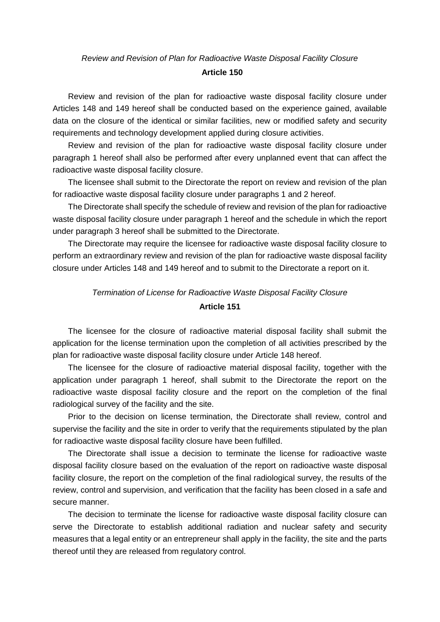#### *Review and Revision of Plan for Radioactive Waste Disposal Facility Closure*

#### **Article 150**

Review and revision of the plan for radioactive waste disposal facility closure under Articles 148 and 149 hereof shall be conducted based on the experience gained, available data on the closure of the identical or similar facilities, new or modified safety and security requirements and technology development applied during closure activities.

Review and revision of the plan for radioactive waste disposal facility closure under paragraph 1 hereof shall also be performed after every unplanned event that can affect the radioactive waste disposal facility closure.

The licensee shall submit to the Directorate the report on review and revision of the plan for radioactive waste disposal facility closure under paragraphs 1 and 2 hereof.

The Directorate shall specify the schedule of review and revision of the plan for radioactive waste disposal facility closure under paragraph 1 hereof and the schedule in which the report under paragraph 3 hereof shall be submitted to the Directorate.

The Directorate may require the licensee for radioactive waste disposal facility closure to perform an extraordinary review and revision of the plan for radioactive waste disposal facility closure under Articles 148 and 149 hereof and to submit to the Directorate a report on it.

#### *Termination of License for Radioactive Waste Disposal Facility Closure*

#### **Article 151**

The licensee for the closure of radioactive material disposal facility shall submit the application for the license termination upon the completion of all activities prescribed by the plan for radioactive waste disposal facility closure under Article 148 hereof.

The licensee for the closure of radioactive material disposal facility, together with the application under paragraph 1 hereof, shall submit to the Directorate the report on the radioactive waste disposal facility closure and the report on the completion of the final radiological survey of the facility and the site.

Prior to the decision on license termination, the Directorate shall review, control and supervise the facility and the site in order to verify that the requirements stipulated by the plan for radioactive waste disposal facility closure have been fulfilled.

The Directorate shall issue a decision to terminate the license for radioactive waste disposal facility closure based on the evaluation of the report on radioactive waste disposal facility closure, the report on the completion of the final radiological survey, the results of the review, control and supervision, and verification that the facility has been closed in a safe and secure manner.

The decision to terminate the license for radioactive waste disposal facility closure can serve the Directorate to establish additional radiation and nuclear safety and security measures that a legal entity or an entrepreneur shall apply in the facility, the site and the parts thereof until they are released from regulatory control.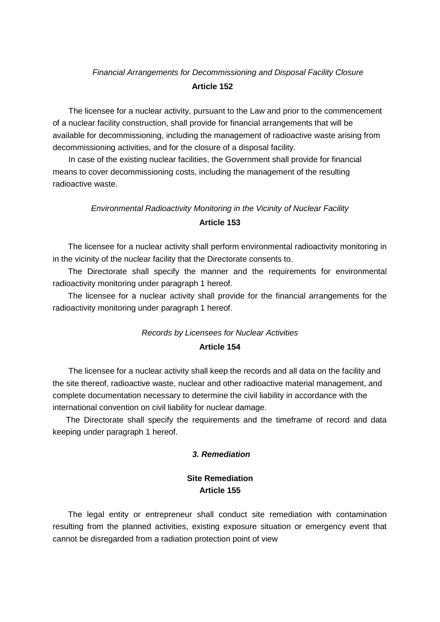#### *Financial Arrangements for Decommissioning and Disposal Facility Closure*

#### **Article 152**

The licensee for a nuclear activity, pursuant to the Law and prior to the commencement of a nuclear facility construction, shall provide for financial arrangements that will be available for decommissioning, including the management of radioactive waste arising from decommissioning activities, and for the closure of a disposal facility.

In case of the existing nuclear facilities, the Government shall provide for financial means to cover decommissioning costs, including the management of the resulting radioactive waste.

# *Environmental Radioactivity Monitoring in the Vicinity of Nuclear Facility*  **Article 153**

The licensee for a nuclear activity shall perform environmental radioactivity monitoring in in the vicinity of the nuclear facility that the Directorate consents to.

The Directorate shall specify the manner and the requirements for environmental radioactivity monitoring under paragraph 1 hereof.

The licensee for a nuclear activity shall provide for the financial arrangements for the radioactivity monitoring under paragraph 1 hereof.

### *Records by Licensees for Nuclear Activities*  **Article 154**

The licensee for a nuclear activity shall keep the records and all data on the facility and the site thereof, radioactive waste, nuclear and other radioactive material management, and complete documentation necessary to determine the civil liability in accordance with the international convention on civil liability for nuclear damage.

The Directorate shall specify the requirements and the timeframe of record and data keeping under paragraph 1 hereof.

#### *3. Remediation*

### **Site Remediation Article 155**

The legal entity or entrepreneur shall conduct site remediation with contamination resulting from the planned activities, existing exposure situation or emergency event that cannot be disregarded from a radiation protection point of view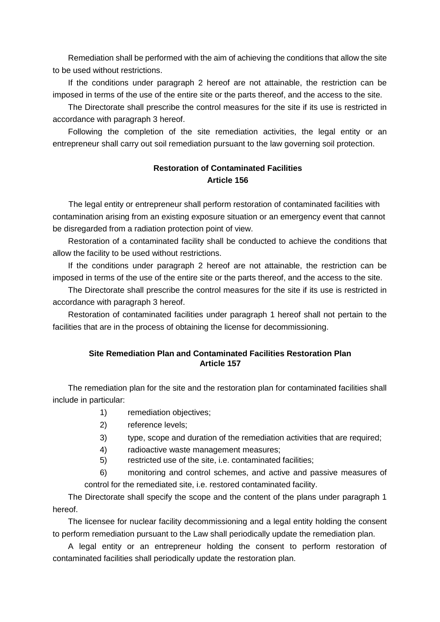Remediation shall be performed with the aim of achieving the conditions that allow the site to be used without restrictions.

If the conditions under paragraph 2 hereof are not attainable, the restriction can be imposed in terms of the use of the entire site or the parts thereof, and the access to the site.

The Directorate shall prescribe the control measures for the site if its use is restricted in accordance with paragraph 3 hereof.

Following the completion of the site remediation activities, the legal entity or an entrepreneur shall carry out soil remediation pursuant to the law governing soil protection.

### **Restoration of Contaminated Facilities Article 156**

The legal entity or entrepreneur shall perform restoration of contaminated facilities with contamination arising from an existing exposure situation or an emergency event that cannot be disregarded from a radiation protection point of view.

Restoration of a contaminated facility shall be conducted to achieve the conditions that allow the facility to be used without restrictions.

If the conditions under paragraph 2 hereof are not attainable, the restriction can be imposed in terms of the use of the entire site or the parts thereof, and the access to the site.

The Directorate shall prescribe the control measures for the site if its use is restricted in accordance with paragraph 3 hereof.

Restoration of contaminated facilities under paragraph 1 hereof shall not pertain to the facilities that are in the process of obtaining the license for decommissioning.

#### **Site Remediation Plan and Contaminated Facilities Restoration Plan Article 157**

The remediation plan for the site and the restoration plan for contaminated facilities shall include in particular:

- 1) remediation objectives;
- 2) reference levels;
- 3) type, scope and duration of the remediation activities that are required;
- 4) radioactive waste management measures;
- 5) restricted use of the site, i.e. contaminated facilities;

6) monitoring and control schemes, and active and passive measures of control for the remediated site, i.e. restored contaminated facility.

The Directorate shall specify the scope and the content of the plans under paragraph 1 hereof.

The licensee for nuclear facility decommissioning and a legal entity holding the consent to perform remediation pursuant to the Law shall periodically update the remediation plan.

A legal entity or an entrepreneur holding the consent to perform restoration of contaminated facilities shall periodically update the restoration plan.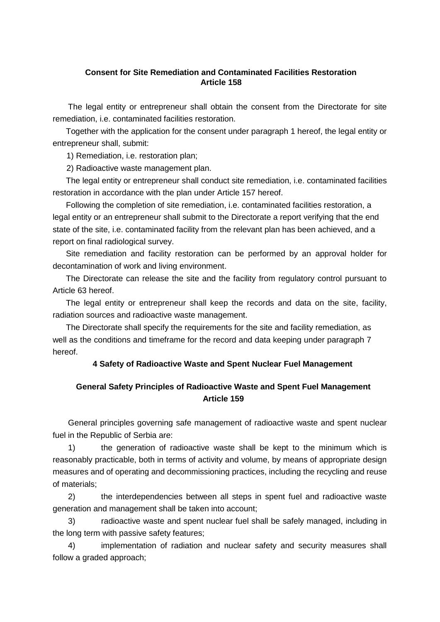#### **Consent for Site Remediation and Contaminated Facilities Restoration Article 158**

The legal entity or entrepreneur shall obtain the consent from the Directorate for site remediation, i.e. contaminated facilities restoration.

Together with the application for the consent under paragraph 1 hereof, the legal entity or entrepreneur shall, submit:

1) Remediation, i.e. restoration plan;

2) Radioactive waste management plan.

The legal entity or entrepreneur shall conduct site remediation, i.e. contaminated facilities restoration in accordance with the plan under Article 157 hereof.

Following the completion of site remediation, i.e. contaminated facilities restoration, a legal entity or an entrepreneur shall submit to the Directorate a report verifying that the end state of the site, i.e. contaminated facility from the relevant plan has been achieved, and a report on final radiological survey.

Site remediation and facility restoration can be performed by an approval holder for decontamination of work and living environment.

The Directorate can release the site and the facility from regulatory control pursuant to Article 63 hereof.

The legal entity or entrepreneur shall keep the records and data on the site, facility, radiation sources and radioactive waste management.

The Directorate shall specify the requirements for the site and facility remediation, as well as the conditions and timeframe for the record and data keeping under paragraph 7 hereof.

#### **4 Safety of Radioactive Waste and Spent Nuclear Fuel Management**

# **General Safety Principles of Radioactive Waste and Spent Fuel Management Article 159**

General principles governing safe management of radioactive waste and spent nuclear fuel in the Republic of Serbia are:

1) the generation of radioactive waste shall be kept to the minimum which is reasonably practicable, both in terms of activity and volume, by means of appropriate design measures and of operating and decommissioning practices, including the recycling and reuse of materials;

2) the interdependencies between all steps in spent fuel and radioactive waste generation and management shall be taken into account;

3) radioactive waste and spent nuclear fuel shall be safely managed, including in the long term with passive safety features;

4) implementation of radiation and nuclear safety and security measures shall follow a graded approach;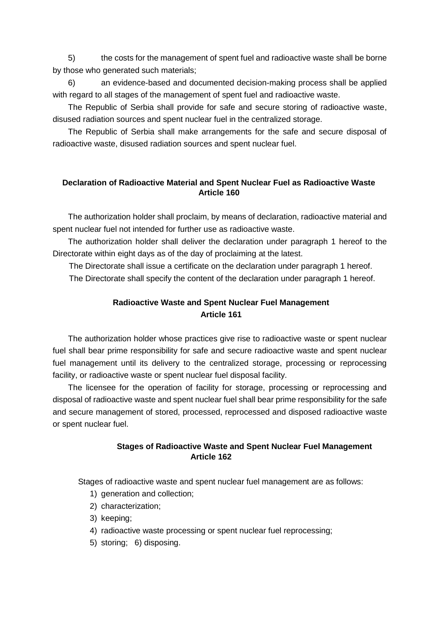5) the costs for the management of spent fuel and radioactive waste shall be borne by those who generated such materials;

6) an evidence-based and documented decision-making process shall be applied with regard to all stages of the management of spent fuel and radioactive waste.

The Republic of Serbia shall provide for safe and secure storing of radioactive waste, disused radiation sources and spent nuclear fuel in the centralized storage.

The Republic of Serbia shall make arrangements for the safe and secure disposal of radioactive waste, disused radiation sources and spent nuclear fuel.

### **Declaration of Radioactive Material and Spent Nuclear Fuel as Radioactive Waste Article 160**

The authorization holder shall proclaim, by means of declaration, radioactive material and spent nuclear fuel not intended for further use as radioactive waste.

The authorization holder shall deliver the declaration under paragraph 1 hereof to the Directorate within eight days as of the day of proclaiming at the latest.

The Directorate shall issue a certificate on the declaration under paragraph 1 hereof.

The Directorate shall specify the content of the declaration under paragraph 1 hereof.

# **Radioactive Waste and Spent Nuclear Fuel Management Article 161**

The authorization holder whose practices give rise to radioactive waste or spent nuclear fuel shall bear prime responsibility for safe and secure radioactive waste and spent nuclear fuel management until its delivery to the centralized storage, processing or reprocessing facility, or radioactive waste or spent nuclear fuel disposal facility.

The licensee for the operation of facility for storage, processing or reprocessing and disposal of radioactive waste and spent nuclear fuel shall bear prime responsibility for the safe and secure management of stored, processed, reprocessed and disposed radioactive waste or spent nuclear fuel.

### **Stages of Radioactive Waste and Spent Nuclear Fuel Management Article 162**

Stages of radioactive waste and spent nuclear fuel management are as follows:

- 1) generation and collection;
- 2) characterization;
- 3) keeping;
- 4) radioactive waste processing or spent nuclear fuel reprocessing;
- 5) storing; 6) disposing.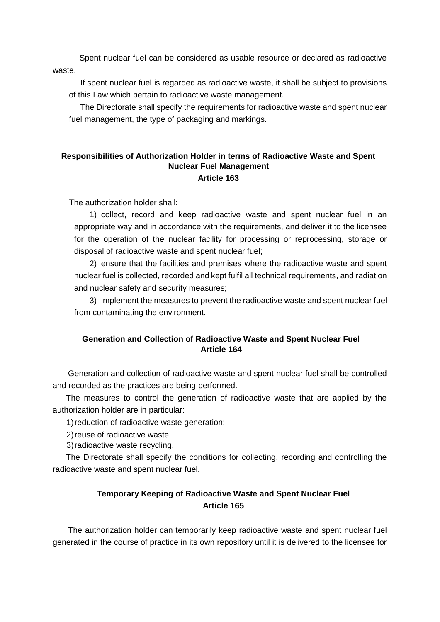Spent nuclear fuel can be considered as usable resource or declared as radioactive waste.

 If spent nuclear fuel is regarded as radioactive waste, it shall be subject to provisions of this Law which pertain to radioactive waste management.

 The Directorate shall specify the requirements for radioactive waste and spent nuclear fuel management, the type of packaging and markings.

#### **Responsibilities of Authorization Holder in terms of Radioactive Waste and Spent Nuclear Fuel Management Article 163**

The authorization holder shall:

1) collect, record and keep radioactive waste and spent nuclear fuel in an appropriate way and in accordance with the requirements, and deliver it to the licensee for the operation of the nuclear facility for processing or reprocessing, storage or disposal of radioactive waste and spent nuclear fuel;

2) ensure that the facilities and premises where the radioactive waste and spent nuclear fuel is collected, recorded and kept fulfil all technical requirements, and radiation and nuclear safety and security measures;

3) implement the measures to prevent the radioactive waste and spent nuclear fuel from contaminating the environment.

#### **Generation and Collection of Radioactive Waste and Spent Nuclear Fuel Article 164**

Generation and collection of radioactive waste and spent nuclear fuel shall be controlled and recorded as the practices are being performed.

The measures to control the generation of radioactive waste that are applied by the authorization holder are in particular:

1)reduction of radioactive waste generation;

2)reuse of radioactive waste;

3)radioactive waste recycling.

The Directorate shall specify the conditions for collecting, recording and controlling the radioactive waste and spent nuclear fuel.

# **Temporary Keeping of Radioactive Waste and Spent Nuclear Fuel Article 165**

The authorization holder can temporarily keep radioactive waste and spent nuclear fuel generated in the course of practice in its own repository until it is delivered to the licensee for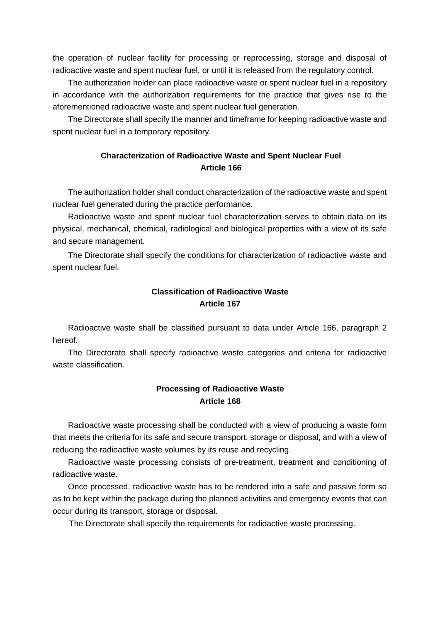the operation of nuclear facility for processing or reprocessing, storage and disposal of radioactive waste and spent nuclear fuel, or until it is released from the regulatory control.

The authorization holder can place radioactive waste or spent nuclear fuel in a repository in accordance with the authorization requirements for the practice that gives rise to the aforementioned radioactive waste and spent nuclear fuel generation.

The Directorate shall specify the manner and timeframe for keeping radioactive waste and spent nuclear fuel in a temporary repository.

### **Characterization of Radioactive Waste and Spent Nuclear Fuel Article 166**

The authorization holder shall conduct characterization of the radioactive waste and spent nuclear fuel generated during the practice performance.

Radioactive waste and spent nuclear fuel characterization serves to obtain data on its physical, mechanical, chemical, radiological and biological properties with a view of its safe and secure management.

The Directorate shall specify the conditions for characterization of radioactive waste and spent nuclear fuel.

# **Classification of Radioactive Waste Article 167**

Radioactive waste shall be classified pursuant to data under Article 166, paragraph 2 hereof.

The Directorate shall specify radioactive waste categories and criteria for radioactive waste classification.

### **Processing of Radioactive Waste Article 168**

Radioactive waste processing shall be conducted with a view of producing a waste form that meets the criteria for its safe and secure transport, storage or disposal, and with a view of reducing the radioactive waste volumes by its reuse and recycling.

Radioactive waste processing consists of pre-treatment, treatment and conditioning of radioactive waste.

Once processed, radioactive waste has to be rendered into a safe and passive form so as to be kept within the package during the planned activities and emergency events that can occur during its transport, storage or disposal.

The Directorate shall specify the requirements for radioactive waste processing.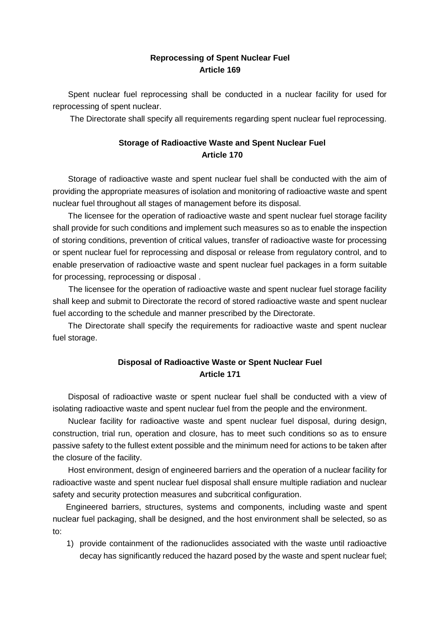### **Reprocessing of Spent Nuclear Fuel Article 169**

Spent nuclear fuel reprocessing shall be conducted in a nuclear facility for used for reprocessing of spent nuclear.

The Directorate shall specify all requirements regarding spent nuclear fuel reprocessing.

# **Storage of Radioactive Waste and Spent Nuclear Fuel Article 170**

Storage of radioactive waste and spent nuclear fuel shall be conducted with the aim of providing the appropriate measures of isolation and monitoring of radioactive waste and spent nuclear fuel throughout all stages of management before its disposal.

The licensee for the operation of radioactive waste and spent nuclear fuel storage facility shall provide for such conditions and implement such measures so as to enable the inspection of storing conditions, prevention of critical values, transfer of radioactive waste for processing or spent nuclear fuel for reprocessing and disposal or release from regulatory control, and to enable preservation of radioactive waste and spent nuclear fuel packages in a form suitable for processing, reprocessing or disposal .

The licensee for the operation of radioactive waste and spent nuclear fuel storage facility shall keep and submit to Directorate the record of stored radioactive waste and spent nuclear fuel according to the schedule and manner prescribed by the Directorate.

The Directorate shall specify the requirements for radioactive waste and spent nuclear fuel storage.

# **Disposal of Radioactive Waste or Spent Nuclear Fuel Article 171**

Disposal of radioactive waste or spent nuclear fuel shall be conducted with a view of isolating radioactive waste and spent nuclear fuel from the people and the environment.

Nuclear facility for radioactive waste and spent nuclear fuel disposal, during design, construction, trial run, operation and closure, has to meet such conditions so as to ensure passive safety to the fullest extent possible and the minimum need for actions to be taken after the closure of the facility.

Host environment, design of engineered barriers and the operation of a nuclear facility for radioactive waste and spent nuclear fuel disposal shall ensure multiple radiation and nuclear safety and security protection measures and subcritical configuration.

Engineered barriers, structures, systems and components, including waste and spent nuclear fuel packaging, shall be designed, and the host environment shall be selected, so as to:

1) provide containment of the radionuclides associated with the waste until radioactive decay has significantly reduced the hazard posed by the waste and spent nuclear fuel;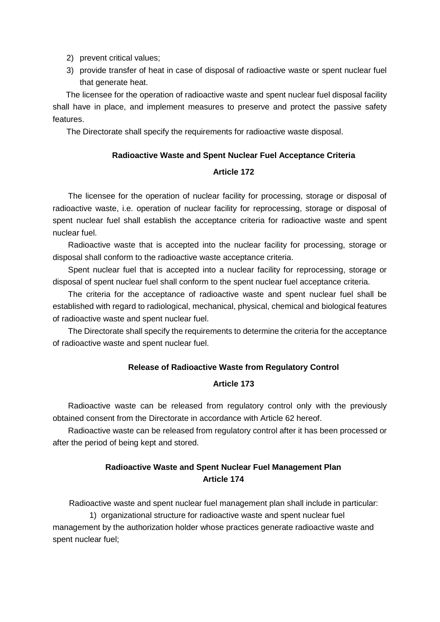- 2) prevent critical values;
- 3) provide transfer of heat in case of disposal of radioactive waste or spent nuclear fuel that generate heat.

The licensee for the operation of radioactive waste and spent nuclear fuel disposal facility shall have in place, and implement measures to preserve and protect the passive safety features.

The Directorate shall specify the requirements for radioactive waste disposal.

#### **Radioactive Waste and Spent Nuclear Fuel Acceptance Criteria**

#### **Article 172**

The licensee for the operation of nuclear facility for processing, storage or disposal of radioactive waste, i.e. operation of nuclear facility for reprocessing, storage or disposal of spent nuclear fuel shall establish the acceptance criteria for radioactive waste and spent nuclear fuel.

Radioactive waste that is accepted into the nuclear facility for processing, storage or disposal shall conform to the radioactive waste acceptance criteria.

Spent nuclear fuel that is accepted into a nuclear facility for reprocessing, storage or disposal of spent nuclear fuel shall conform to the spent nuclear fuel acceptance criteria.

The criteria for the acceptance of radioactive waste and spent nuclear fuel shall be established with regard to radiological, mechanical, physical, chemical and biological features of radioactive waste and spent nuclear fuel.

The Directorate shall specify the requirements to determine the criteria for the acceptance of radioactive waste and spent nuclear fuel.

#### **Release of Radioactive Waste from Regulatory Control**

#### **Article 173**

Radioactive waste can be released from regulatory control only with the previously obtained consent from the Directorate in accordance with Article 62 hereof.

Radioactive waste can be released from regulatory control after it has been processed or after the period of being kept and stored.

# **Radioactive Waste and Spent Nuclear Fuel Management Plan Article 174**

Radioactive waste and spent nuclear fuel management plan shall include in particular: 1) organizational structure for radioactive waste and spent nuclear fuel management by the authorization holder whose practices generate radioactive waste and spent nuclear fuel;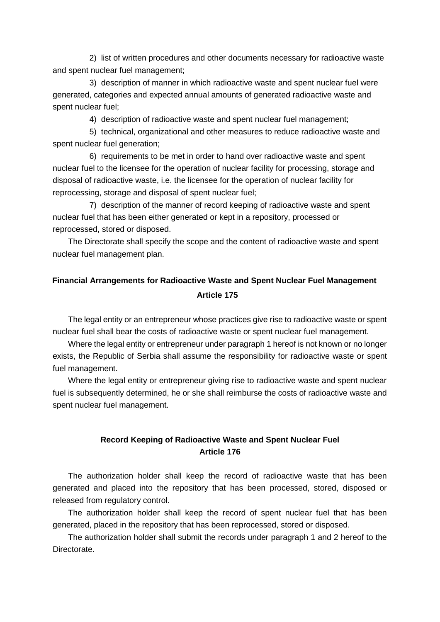2) list of written procedures and other documents necessary for radioactive waste and spent nuclear fuel management;

3) description of manner in which radioactive waste and spent nuclear fuel were generated, categories and expected annual amounts of generated radioactive waste and spent nuclear fuel;

4) description of radioactive waste and spent nuclear fuel management;

5) technical, organizational and other measures to reduce radioactive waste and spent nuclear fuel generation;

6) requirements to be met in order to hand over radioactive waste and spent nuclear fuel to the licensee for the operation of nuclear facility for processing, storage and disposal of radioactive waste, i.e. the licensee for the operation of nuclear facility for reprocessing, storage and disposal of spent nuclear fuel;

7) description of the manner of record keeping of radioactive waste and spent nuclear fuel that has been either generated or kept in a repository, processed or reprocessed, stored or disposed.

The Directorate shall specify the scope and the content of radioactive waste and spent nuclear fuel management plan.

# **Financial Arrangements for Radioactive Waste and Spent Nuclear Fuel Management Article 175**

The legal entity or an entrepreneur whose practices give rise to radioactive waste or spent nuclear fuel shall bear the costs of radioactive waste or spent nuclear fuel management.

Where the legal entity or entrepreneur under paragraph 1 hereof is not known or no longer exists, the Republic of Serbia shall assume the responsibility for radioactive waste or spent fuel management.

Where the legal entity or entrepreneur giving rise to radioactive waste and spent nuclear fuel is subsequently determined, he or she shall reimburse the costs of radioactive waste and spent nuclear fuel management.

### **Record Keeping of Radioactive Waste and Spent Nuclear Fuel Article 176**

The authorization holder shall keep the record of radioactive waste that has been generated and placed into the repository that has been processed, stored, disposed or released from regulatory control.

The authorization holder shall keep the record of spent nuclear fuel that has been generated, placed in the repository that has been reprocessed, stored or disposed.

The authorization holder shall submit the records under paragraph 1 and 2 hereof to the Directorate.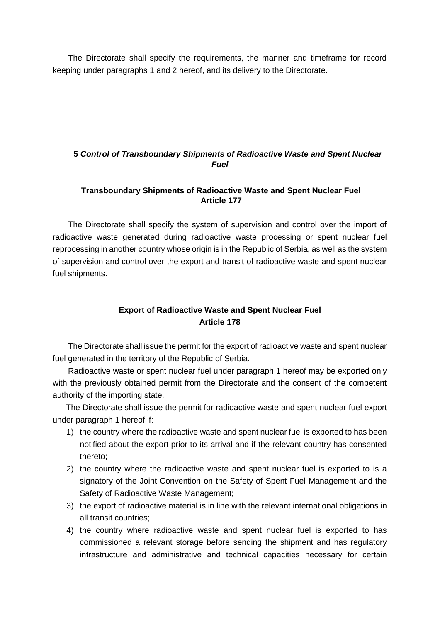The Directorate shall specify the requirements, the manner and timeframe for record keeping under paragraphs 1 and 2 hereof, and its delivery to the Directorate.

### **5** *Control of Transboundary Shipments of Radioactive Waste and Spent Nuclear Fuel*

### **Transboundary Shipments of Radioactive Waste and Spent Nuclear Fuel Article 177**

The Directorate shall specify the system of supervision and control over the import of radioactive waste generated during radioactive waste processing or spent nuclear fuel reprocessing in another country whose origin is in the Republic of Serbia, as well as the system of supervision and control over the export and transit of radioactive waste and spent nuclear fuel shipments.

# **Export of Radioactive Waste and Spent Nuclear Fuel Article 178**

The Directorate shall issue the permit for the export of radioactive waste and spent nuclear fuel generated in the territory of the Republic of Serbia.

Radioactive waste or spent nuclear fuel under paragraph 1 hereof may be exported only with the previously obtained permit from the Directorate and the consent of the competent authority of the importing state.

The Directorate shall issue the permit for radioactive waste and spent nuclear fuel export under paragraph 1 hereof if:

- 1) the country where the radioactive waste and spent nuclear fuel is exported to has been notified about the export prior to its arrival and if the relevant country has consented thereto;
- 2) the country where the radioactive waste and spent nuclear fuel is exported to is a signatory of the Joint Convention on the Safety of Spent Fuel Management and the Safety of Radioactive Waste Management;
- 3) the export of radioactive material is in line with the relevant international obligations in all transit countries;
- 4) the country where radioactive waste and spent nuclear fuel is exported to has commissioned a relevant storage before sending the shipment and has regulatory infrastructure and administrative and technical capacities necessary for certain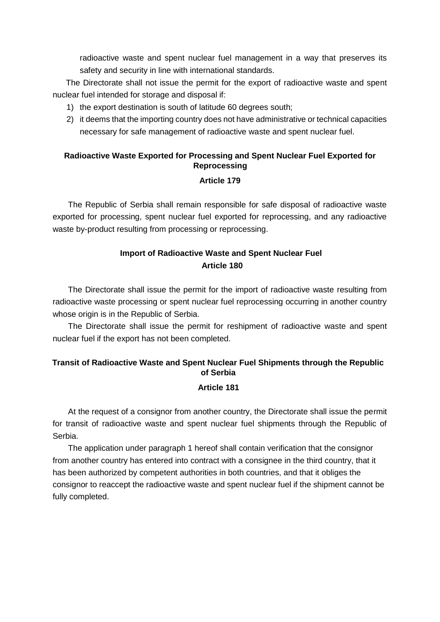radioactive waste and spent nuclear fuel management in a way that preserves its safety and security in line with international standards.

The Directorate shall not issue the permit for the export of radioactive waste and spent nuclear fuel intended for storage and disposal if:

- 1) the export destination is south of latitude 60 degrees south;
- 2) it deems that the importing country does not have administrative or technical capacities necessary for safe management of radioactive waste and spent nuclear fuel.

# **Radioactive Waste Exported for Processing and Spent Nuclear Fuel Exported for Reprocessing**

#### **Article 179**

The Republic of Serbia shall remain responsible for safe disposal of radioactive waste exported for processing, spent nuclear fuel exported for reprocessing, and any radioactive waste by-product resulting from processing or reprocessing.

# **Import of Radioactive Waste and Spent Nuclear Fuel Article 180**

The Directorate shall issue the permit for the import of radioactive waste resulting from radioactive waste processing or spent nuclear fuel reprocessing occurring in another country whose origin is in the Republic of Serbia.

The Directorate shall issue the permit for reshipment of radioactive waste and spent nuclear fuel if the export has not been completed.

# **Transit of Radioactive Waste and Spent Nuclear Fuel Shipments through the Republic of Serbia**

#### **Article 181**

At the request of a consignor from another country, the Directorate shall issue the permit for transit of radioactive waste and spent nuclear fuel shipments through the Republic of Serbia.

The application under paragraph 1 hereof shall contain verification that the consignor from another country has entered into contract with a consignee in the third country, that it has been authorized by competent authorities in both countries, and that it obliges the consignor to reaccept the radioactive waste and spent nuclear fuel if the shipment cannot be fully completed.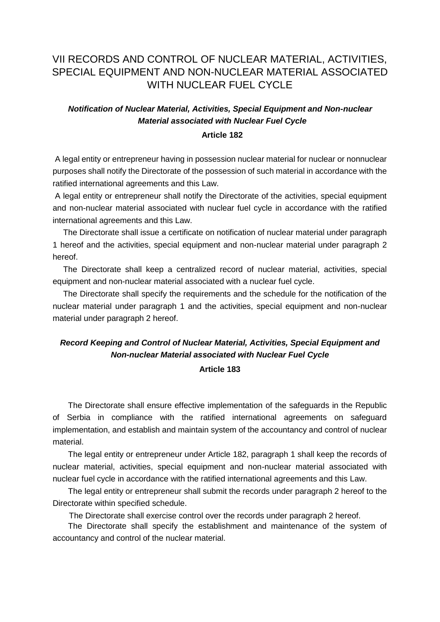# VII RECORDS AND CONTROL OF NUCLEAR MATERIAL, ACTIVITIES, SPECIAL EQUIPMENT AND NON-NUCLEAR MATERIAL ASSOCIATED WITH NUCLEAR FUEL CYCLE

# *Notification of Nuclear Material, Activities, Special Equipment and Non-nuclear Material associated with Nuclear Fuel Cycle*

#### **Article 182**

A legal entity or entrepreneur having in possession nuclear material for nuclear or nonnuclear purposes shall notify the Directorate of the possession of such material in accordance with the ratified international agreements and this Law.

A legal entity or entrepreneur shall notify the Directorate of the activities, special equipment and non-nuclear material associated with nuclear fuel cycle in accordance with the ratified international agreements and this Law.

The Directorate shall issue a certificate on notification of nuclear material under paragraph 1 hereof and the activities, special equipment and non-nuclear material under paragraph 2 hereof.

The Directorate shall keep a centralized record of nuclear material, activities, special equipment and non-nuclear material associated with a nuclear fuel cycle.

The Directorate shall specify the requirements and the schedule for the notification of the nuclear material under paragraph 1 and the activities, special equipment and non-nuclear material under paragraph 2 hereof.

# *Record Keeping and Control of Nuclear Material, Activities, Special Equipment and Non-nuclear Material associated with Nuclear Fuel Cycle*

#### **Article 183**

The Directorate shall ensure effective implementation of the safeguards in the Republic of Serbia in compliance with the ratified international agreements on safeguard implementation, and establish and maintain system of the accountancy and control of nuclear material.

The legal entity or entrepreneur under Article 182, paragraph 1 shall keep the records of nuclear material, activities, special equipment and non-nuclear material associated with nuclear fuel cycle in accordance with the ratified international agreements and this Law.

The legal entity or entrepreneur shall submit the records under paragraph 2 hereof to the Directorate within specified schedule.

The Directorate shall exercise control over the records under paragraph 2 hereof.

The Directorate shall specify the establishment and maintenance of the system of accountancy and control of the nuclear material.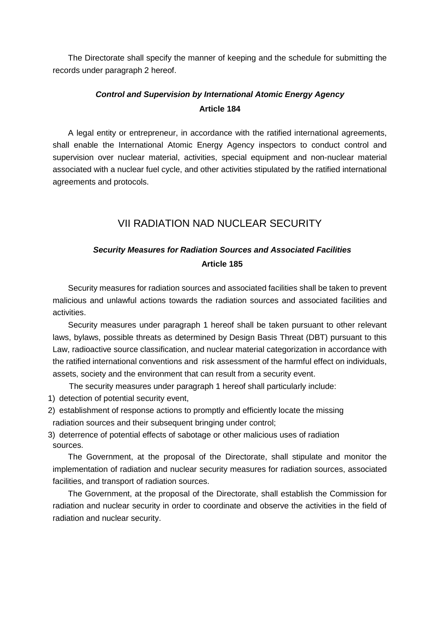The Directorate shall specify the manner of keeping and the schedule for submitting the records under paragraph 2 hereof.

# *Control and Supervision by International Atomic Energy Agency*  **Article 184**

A legal entity or entrepreneur, in accordance with the ratified international agreements, shall enable the International Atomic Energy Agency inspectors to conduct control and supervision over nuclear material, activities, special equipment and non-nuclear material associated with a nuclear fuel cycle, and other activities stipulated by the ratified international agreements and protocols.

# VII RADIATION NAD NUCLEAR SECURITY

# *Security Measures for Radiation Sources and Associated Facilities*  **Article 185**

Security measures for radiation sources and associated facilities shall be taken to prevent malicious and unlawful actions towards the radiation sources and associated facilities and activities.

Security measures under paragraph 1 hereof shall be taken pursuant to other relevant laws, bylaws, possible threats as determined by Design Basis Threat (DBT) pursuant to this Law, radioactive source classification, and nuclear material categorization in accordance with the ratified international conventions and risk assessment of the harmful effect on individuals, assets, society and the environment that can result from a security event.

The security measures under paragraph 1 hereof shall particularly include:

- 1) detection of potential security event,
- 2) establishment of response actions to promptly and efficiently locate the missing radiation sources and their subsequent bringing under control;
- 3) deterrence of potential effects of sabotage or other malicious uses of radiation sources.

The Government, at the proposal of the Directorate, shall stipulate and monitor the implementation of radiation and nuclear security measures for radiation sources, associated facilities, and transport of radiation sources.

The Government, at the proposal of the Directorate, shall establish the Commission for radiation and nuclear security in order to coordinate and observe the activities in the field of radiation and nuclear security.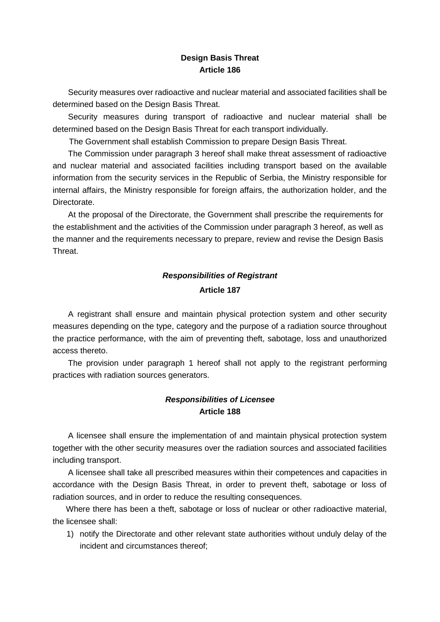### **Design Basis Threat Article 186**

Security measures over radioactive and nuclear material and associated facilities shall be determined based on the Design Basis Threat.

Security measures during transport of radioactive and nuclear material shall be determined based on the Design Basis Threat for each transport individually.

The Government shall establish Commission to prepare Design Basis Threat.

The Commission under paragraph 3 hereof shall make threat assessment of radioactive and nuclear material and associated facilities including transport based on the available information from the security services in the Republic of Serbia, the Ministry responsible for internal affairs, the Ministry responsible for foreign affairs, the authorization holder, and the Directorate.

At the proposal of the Directorate, the Government shall prescribe the requirements for the establishment and the activities of the Commission under paragraph 3 hereof, as well as the manner and the requirements necessary to prepare, review and revise the Design Basis Threat.

# *Responsibilities of Registrant*  **Article 187**

A registrant shall ensure and maintain physical protection system and other security measures depending on the type, category and the purpose of a radiation source throughout the practice performance, with the aim of preventing theft, sabotage, loss and unauthorized access thereto.

The provision under paragraph 1 hereof shall not apply to the registrant performing practices with radiation sources generators.

# *Responsibilities of Licensee*  **Article 188**

A licensee shall ensure the implementation of and maintain physical protection system together with the other security measures over the radiation sources and associated facilities including transport.

A licensee shall take all prescribed measures within their competences and capacities in accordance with the Design Basis Threat, in order to prevent theft, sabotage or loss of radiation sources, and in order to reduce the resulting consequences.

Where there has been a theft, sabotage or loss of nuclear or other radioactive material, the licensee shall:

1) notify the Directorate and other relevant state authorities without unduly delay of the incident and circumstances thereof;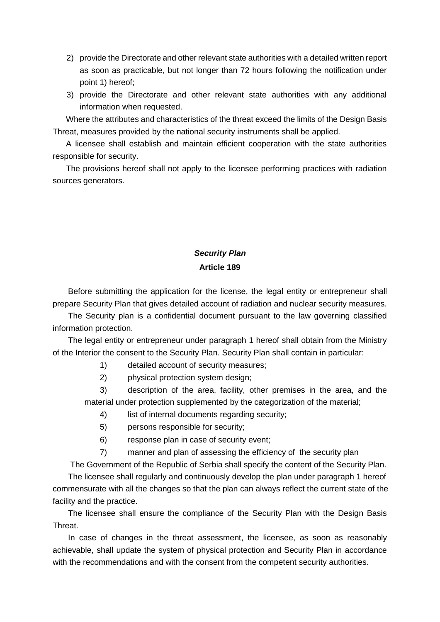- 2) provide the Directorate and other relevant state authorities with a detailed written report as soon as practicable, but not longer than 72 hours following the notification under point 1) hereof;
- 3) provide the Directorate and other relevant state authorities with any additional information when requested.

Where the attributes and characteristics of the threat exceed the limits of the Design Basis Threat, measures provided by the national security instruments shall be applied.

A licensee shall establish and maintain efficient cooperation with the state authorities responsible for security.

The provisions hereof shall not apply to the licensee performing practices with radiation sources generators.

# *Security Plan*  **Article 189**

Before submitting the application for the license, the legal entity or entrepreneur shall prepare Security Plan that gives detailed account of radiation and nuclear security measures.

The Security plan is a confidential document pursuant to the law governing classified information protection.

The legal entity or entrepreneur under paragraph 1 hereof shall obtain from the Ministry of the Interior the consent to the Security Plan. Security Plan shall contain in particular:

1) detailed account of security measures;

2) physical protection system design;

3) description of the area, facility, other premises in the area, and the material under protection supplemented by the categorization of the material;

4) list of internal documents regarding security;

- 5) persons responsible for security;
- 6) response plan in case of security event;
- 7) manner and plan of assessing the efficiency of the security plan

The Government of the Republic of Serbia shall specify the content of the Security Plan. The licensee shall regularly and continuously develop the plan under paragraph 1 hereof commensurate with all the changes so that the plan can always reflect the current state of the facility and the practice.

The licensee shall ensure the compliance of the Security Plan with the Design Basis Threat.

In case of changes in the threat assessment, the licensee, as soon as reasonably achievable, shall update the system of physical protection and Security Plan in accordance with the recommendations and with the consent from the competent security authorities.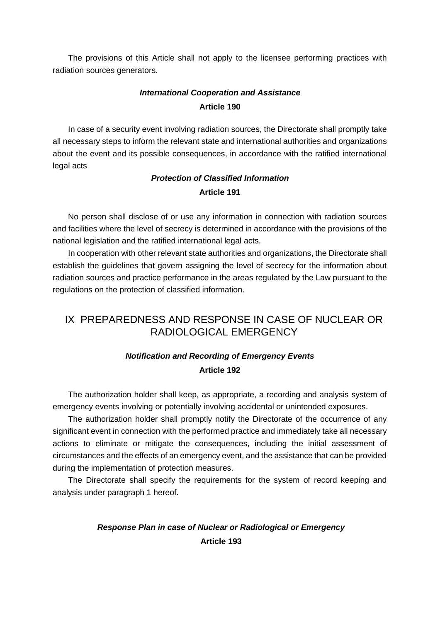The provisions of this Article shall not apply to the licensee performing practices with radiation sources generators.

# *International Cooperation and Assistance*  **Article 190**

In case of a security event involving radiation sources, the Directorate shall promptly take all necessary steps to inform the relevant state and international authorities and organizations about the event and its possible consequences, in accordance with the ratified international legal acts

# *Protection of Classified Information*  **Article 191**

No person shall disclose of or use any information in connection with radiation sources and facilities where the level of secrecy is determined in accordance with the provisions of the national legislation and the ratified international legal acts.

In cooperation with other relevant state authorities and organizations, the Directorate shall establish the guidelines that govern assigning the level of secrecy for the information about radiation sources and practice performance in the areas regulated by the Law pursuant to the regulations on the protection of classified information.

# IX PREPAREDNESS AND RESPONSE IN CASE OF NUCLEAR OR RADIOLOGICAL EMERGENCY

# *Notification and Recording of Emergency Events*  **Article 192**

The authorization holder shall keep, as appropriate, a recording and analysis system of emergency events involving or potentially involving accidental or unintended exposures.

The authorization holder shall promptly notify the Directorate of the occurrence of any significant event in connection with the performed practice and immediately take all necessary actions to eliminate or mitigate the consequences, including the initial assessment of circumstances and the effects of an emergency event, and the assistance that can be provided during the implementation of protection measures.

The Directorate shall specify the requirements for the system of record keeping and analysis under paragraph 1 hereof.

# *Response Plan in case of Nuclear or Radiological or Emergency*  **Article 193**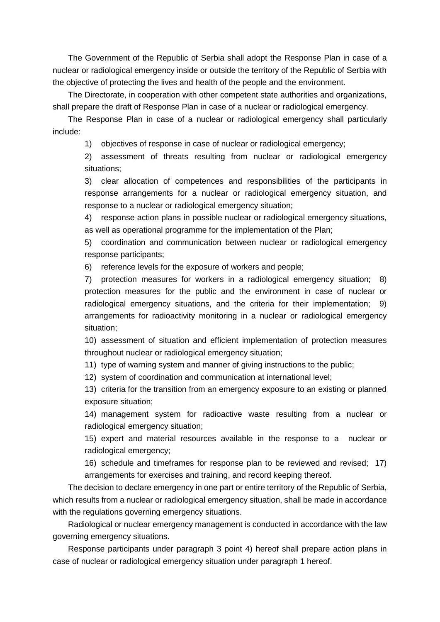The Government of the Republic of Serbia shall adopt the Response Plan in case of a nuclear or radiological emergency inside or outside the territory of the Republic of Serbia with the objective of protecting the lives and health of the people and the environment.

The Directorate, in cooperation with other competent state authorities and organizations, shall prepare the draft of Response Plan in case of a nuclear or radiological emergency.

The Response Plan in case of a nuclear or radiological emergency shall particularly include:

1) objectives of response in case of nuclear or radiological emergency;

2) assessment of threats resulting from nuclear or radiological emergency situations;

3) clear allocation of competences and responsibilities of the participants in response arrangements for a nuclear or radiological emergency situation, and response to a nuclear or radiological emergency situation;

4) response action plans in possible nuclear or radiological emergency situations, as well as operational programme for the implementation of the Plan;

5) coordination and communication between nuclear or radiological emergency response participants;

6) reference levels for the exposure of workers and people;

7) protection measures for workers in a radiological emergency situation; 8) protection measures for the public and the environment in case of nuclear or radiological emergency situations, and the criteria for their implementation; 9) arrangements for radioactivity monitoring in a nuclear or radiological emergency situation;

10) assessment of situation and efficient implementation of protection measures throughout nuclear or radiological emergency situation;

11) type of warning system and manner of giving instructions to the public;

12) system of coordination and communication at international level;

13) criteria for the transition from an emergency exposure to an existing or planned exposure situation;

14) management system for radioactive waste resulting from a nuclear or radiological emergency situation;

15) expert and material resources available in the response to a nuclear or radiological emergency;

16) schedule and timeframes for response plan to be reviewed and revised; 17) arrangements for exercises and training, and record keeping thereof.

The decision to declare emergency in one part or entire territory of the Republic of Serbia, which results from a nuclear or radiological emergency situation, shall be made in accordance with the regulations governing emergency situations.

Radiological or nuclear emergency management is conducted in accordance with the law governing emergency situations.

Response participants under paragraph 3 point 4) hereof shall prepare action plans in case of nuclear or radiological emergency situation under paragraph 1 hereof.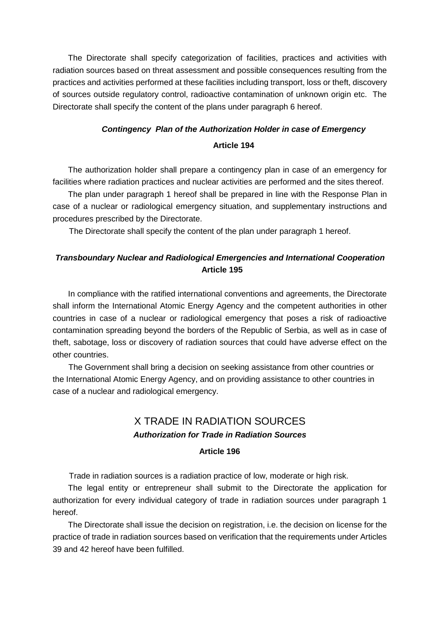The Directorate shall specify categorization of facilities, practices and activities with radiation sources based on threat assessment and possible consequences resulting from the practices and activities performed at these facilities including transport, loss or theft, discovery of sources outside regulatory control, radioactive contamination of unknown origin etc. The Directorate shall specify the content of the plans under paragraph 6 hereof.

# *Contingency Plan of the Authorization Holder in case of Emergency* **Article 194**

The authorization holder shall prepare a contingency plan in case of an emergency for facilities where radiation practices and nuclear activities are performed and the sites thereof.

The plan under paragraph 1 hereof shall be prepared in line with the Response Plan in case of a nuclear or radiological emergency situation, and supplementary instructions and procedures prescribed by the Directorate.

The Directorate shall specify the content of the plan under paragraph 1 hereof.

# *Transboundary Nuclear and Radiological Emergencies and International Cooperation*  **Article 195**

In compliance with the ratified international conventions and agreements, the Directorate shall inform the International Atomic Energy Agency and the competent authorities in other countries in case of a nuclear or radiological emergency that poses a risk of radioactive contamination spreading beyond the borders of the Republic of Serbia, as well as in case of theft, sabotage, loss or discovery of radiation sources that could have adverse effect on the other countries.

The Government shall bring a decision on seeking assistance from other countries or the International Atomic Energy Agency, and on providing assistance to other countries in case of a nuclear and radiological emergency.

# X TRADE IN RADIATION SOURCES *Authorization for Trade in Radiation Sources*

# **Article 196**

Trade in radiation sources is a radiation practice of low, moderate or high risk.

The legal entity or entrepreneur shall submit to the Directorate the application for authorization for every individual category of trade in radiation sources under paragraph 1 hereof.

The Directorate shall issue the decision on registration, i.e. the decision on license for the practice of trade in radiation sources based on verification that the requirements under Articles 39 and 42 hereof have been fulfilled.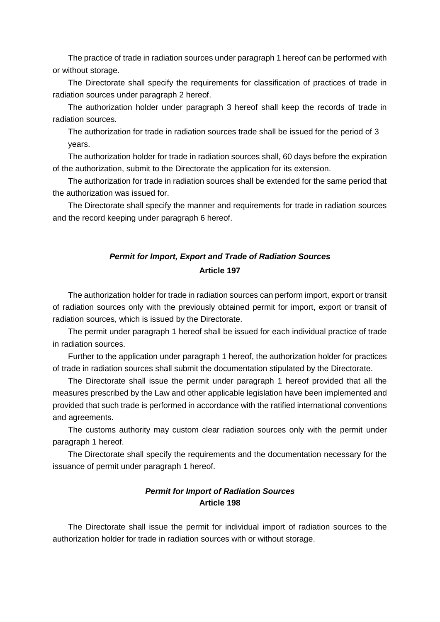The practice of trade in radiation sources under paragraph 1 hereof can be performed with or without storage.

The Directorate shall specify the requirements for classification of practices of trade in radiation sources under paragraph 2 hereof.

The authorization holder under paragraph 3 hereof shall keep the records of trade in radiation sources.

The authorization for trade in radiation sources trade shall be issued for the period of 3 years.

The authorization holder for trade in radiation sources shall, 60 days before the expiration of the authorization, submit to the Directorate the application for its extension.

The authorization for trade in radiation sources shall be extended for the same period that the authorization was issued for.

The Directorate shall specify the manner and requirements for trade in radiation sources and the record keeping under paragraph 6 hereof.

# *Permit for Import, Export and Trade of Radiation Sources*  **Article 197**

The authorization holder for trade in radiation sources can perform import, export or transit of radiation sources only with the previously obtained permit for import, export or transit of radiation sources, which is issued by the Directorate.

The permit under paragraph 1 hereof shall be issued for each individual practice of trade in radiation sources.

Further to the application under paragraph 1 hereof, the authorization holder for practices of trade in radiation sources shall submit the documentation stipulated by the Directorate.

The Directorate shall issue the permit under paragraph 1 hereof provided that all the measures prescribed by the Law and other applicable legislation have been implemented and provided that such trade is performed in accordance with the ratified international conventions and agreements.

The customs authority may custom clear radiation sources only with the permit under paragraph 1 hereof.

The Directorate shall specify the requirements and the documentation necessary for the issuance of permit under paragraph 1 hereof.

### *Permit for Import of Radiation Sources*  **Article 198**

The Directorate shall issue the permit for individual import of radiation sources to the authorization holder for trade in radiation sources with or without storage.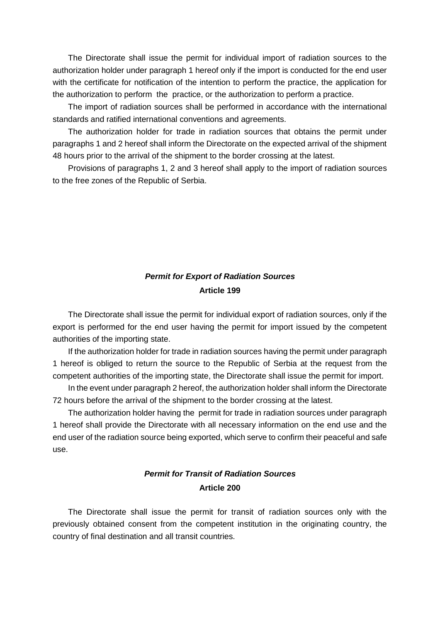The Directorate shall issue the permit for individual import of radiation sources to the authorization holder under paragraph 1 hereof only if the import is conducted for the end user with the certificate for notification of the intention to perform the practice, the application for the authorization to perform the practice, or the authorization to perform a practice.

The import of radiation sources shall be performed in accordance with the international standards and ratified international conventions and agreements.

The authorization holder for trade in radiation sources that obtains the permit under paragraphs 1 and 2 hereof shall inform the Directorate on the expected arrival of the shipment 48 hours prior to the arrival of the shipment to the border crossing at the latest.

Provisions of paragraphs 1, 2 and 3 hereof shall apply to the import of radiation sources to the free zones of the Republic of Serbia.

# *Permit for Export of Radiation Sources*  **Article 199**

The Directorate shall issue the permit for individual export of radiation sources, only if the export is performed for the end user having the permit for import issued by the competent authorities of the importing state.

If the authorization holder for trade in radiation sources having the permit under paragraph 1 hereof is obliged to return the source to the Republic of Serbia at the request from the competent authorities of the importing state, the Directorate shall issue the permit for import.

In the event under paragraph 2 hereof, the authorization holder shall inform the Directorate 72 hours before the arrival of the shipment to the border crossing at the latest.

The authorization holder having the permit for trade in radiation sources under paragraph 1 hereof shall provide the Directorate with all necessary information on the end use and the end user of the radiation source being exported, which serve to confirm their peaceful and safe use.

# *Permit for Transit of Radiation Sources*  **Article 200**

The Directorate shall issue the permit for transit of radiation sources only with the previously obtained consent from the competent institution in the originating country, the country of final destination and all transit countries.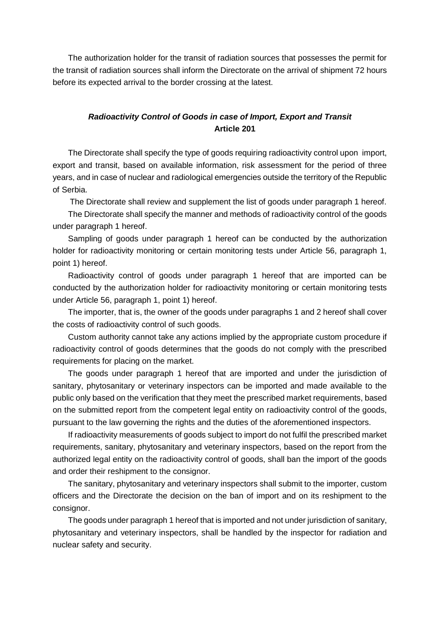The authorization holder for the transit of radiation sources that possesses the permit for the transit of radiation sources shall inform the Directorate on the arrival of shipment 72 hours before its expected arrival to the border crossing at the latest.

### *Radioactivity Control of Goods in case of Import, Export and Transit*  **Article 201**

The Directorate shall specify the type of goods requiring radioactivity control upon import, export and transit, based on available information, risk assessment for the period of three years, and in case of nuclear and radiological emergencies outside the territory of the Republic of Serbia.

The Directorate shall review and supplement the list of goods under paragraph 1 hereof.

The Directorate shall specify the manner and methods of radioactivity control of the goods under paragraph 1 hereof.

Sampling of goods under paragraph 1 hereof can be conducted by the authorization holder for radioactivity monitoring or certain monitoring tests under Article 56, paragraph 1, point 1) hereof.

Radioactivity control of goods under paragraph 1 hereof that are imported can be conducted by the authorization holder for radioactivity monitoring or certain monitoring tests under Article 56, paragraph 1, point 1) hereof.

The importer, that is, the owner of the goods under paragraphs 1 and 2 hereof shall cover the costs of radioactivity control of such goods.

Custom authority cannot take any actions implied by the appropriate custom procedure if radioactivity control of goods determines that the goods do not comply with the prescribed requirements for placing on the market.

The goods under paragraph 1 hereof that are imported and under the jurisdiction of sanitary, phytosanitary or veterinary inspectors can be imported and made available to the public only based on the verification that they meet the prescribed market requirements, based on the submitted report from the competent legal entity on radioactivity control of the goods, pursuant to the law governing the rights and the duties of the aforementioned inspectors.

If radioactivity measurements of goods subject to import do not fulfil the prescribed market requirements, sanitary, phytosanitary and veterinary inspectors, based on the report from the authorized legal entity on the radioactivity control of goods, shall ban the import of the goods and order their reshipment to the consignor.

The sanitary, phytosanitary and veterinary inspectors shall submit to the importer, custom officers and the Directorate the decision on the ban of import and on its reshipment to the consignor.

The goods under paragraph 1 hereof that is imported and not under jurisdiction of sanitary, phytosanitary and veterinary inspectors, shall be handled by the inspector for radiation and nuclear safety and security.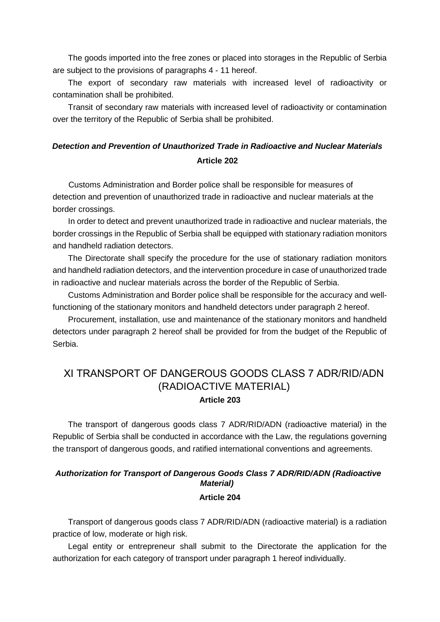The goods imported into the free zones or placed into storages in the Republic of Serbia are subject to the provisions of paragraphs 4 - 11 hereof.

The export of secondary raw materials with increased level of radioactivity or contamination shall be prohibited.

Transit of secondary raw materials with increased level of radioactivity or contamination over the territory of the Republic of Serbia shall be prohibited.

# *Detection and Prevention of Unauthorized Trade in Radioactive and Nuclear Materials*  **Article 202**

Customs Administration and Border police shall be responsible for measures of detection and prevention of unauthorized trade in radioactive and nuclear materials at the border crossings.

In order to detect and prevent unauthorized trade in radioactive and nuclear materials, the border crossings in the Republic of Serbia shall be equipped with stationary radiation monitors and handheld radiation detectors.

The Directorate shall specify the procedure for the use of stationary radiation monitors and handheld radiation detectors, and the intervention procedure in case of unauthorized trade in radioactive and nuclear materials across the border of the Republic of Serbia.

Customs Administration and Border police shall be responsible for the accuracy and wellfunctioning of the stationary monitors and handheld detectors under paragraph 2 hereof.

Procurement, installation, use and maintenance of the stationary monitors and handheld detectors under paragraph 2 hereof shall be provided for from the budget of the Republic of Serbia.

# ХI TRANSPORT OF DANGEROUS GOODS CLASS 7 ADR/RID/ADN (RADIOACTIVE MATERIAL) **Article 203**

The transport of dangerous goods class 7 ADR/RID/ADN (radioactive material) in the Republic of Serbia shall be conducted in accordance with the Law, the regulations governing the transport of dangerous goods, and ratified international conventions and agreements.

### *Authorization for Transport of Dangerous Goods Class 7 ADR/RID/ADN (Radioactive Material)*  **Article 204**

Transport of dangerous goods class 7 ADR/RID/ADN (radioactive material) is a radiation practice of low, moderate or high risk.

Legal entity or entrepreneur shall submit to the Directorate the application for the authorization for each category of transport under paragraph 1 hereof individually.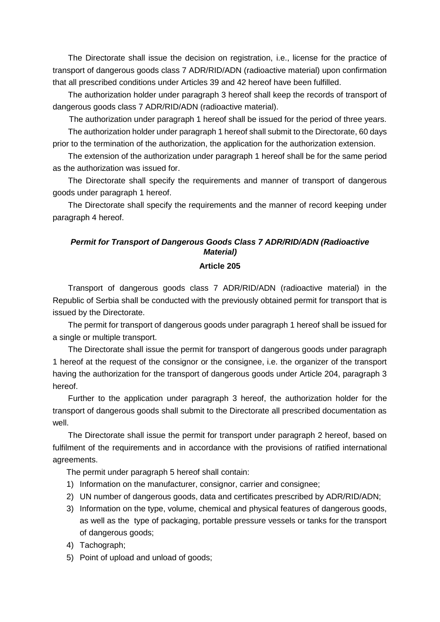The Directorate shall issue the decision on registration, i.e., license for the practice of transport of dangerous goods class 7 ADR/RID/ADN (radioactive material) upon confirmation that all prescribed conditions under Articles 39 and 42 hereof have been fulfilled.

The authorization holder under paragraph 3 hereof shall keep the records of transport of dangerous goods class 7 ADR/RID/ADN (radioactive material).

The authorization under paragraph 1 hereof shall be issued for the period of three years.

The authorization holder under paragraph 1 hereof shall submit to the Directorate, 60 days prior to the termination of the authorization, the application for the authorization extension.

The extension of the authorization under paragraph 1 hereof shall be for the same period as the authorization was issued for.

The Directorate shall specify the requirements and manner of transport of dangerous goods under paragraph 1 hereof.

The Directorate shall specify the requirements and the manner of record keeping under paragraph 4 hereof.

# *Permit for Transport of Dangerous Goods Class 7 ADR/RID/ADN (Radioactive Material)*

#### **Article 205**

Transport of dangerous goods class 7 ADR/RID/ADN (radioactive material) in the Republic of Serbia shall be conducted with the previously obtained permit for transport that is issued by the Directorate.

The permit for transport of dangerous goods under paragraph 1 hereof shall be issued for a single or multiple transport.

The Directorate shall issue the permit for transport of dangerous goods under paragraph 1 hereof at the request of the consignor or the consignee, i.e. the organizer of the transport having the authorization for the transport of dangerous goods under Article 204, paragraph 3 hereof.

Further to the application under paragraph 3 hereof, the authorization holder for the transport of dangerous goods shall submit to the Directorate all prescribed documentation as well.

The Directorate shall issue the permit for transport under paragraph 2 hereof, based on fulfilment of the requirements and in accordance with the provisions of ratified international agreements.

The permit under paragraph 5 hereof shall contain:

- 1) Information on the manufacturer, consignor, carrier and consignee;
- 2) UN number of dangerous goods, data and certificates prescribed by ADR/RID/ADN;
- 3) Information on the type, volume, chemical and physical features of dangerous goods, as well as the type of packaging, portable pressure vessels or tanks for the transport of dangerous goods;
- 4) Tachograph;
- 5) Point of upload and unload of goods;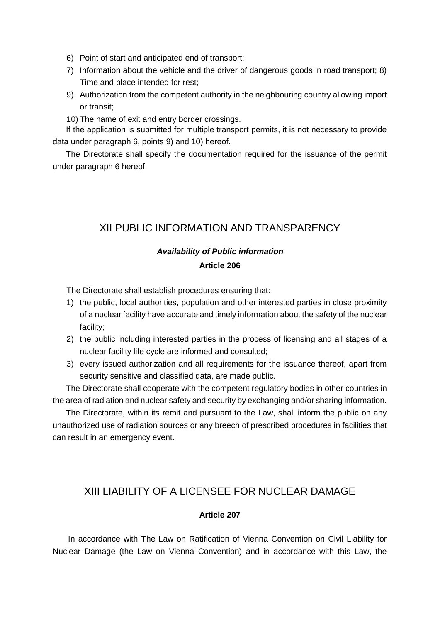- 6) Point of start and anticipated end of transport;
- 7) Information about the vehicle and the driver of dangerous goods in road transport; 8) Time and place intended for rest;
- 9) Authorization from the competent authority in the neighbouring country allowing import or transit;
- 10) The name of exit and entry border crossings.

If the application is submitted for multiple transport permits, it is not necessary to provide data under paragraph 6, points 9) and 10) hereof.

The Directorate shall specify the documentation required for the issuance of the permit under paragraph 6 hereof.

# XII PUBLIC INFORMATION AND TRANSPARENCY

# *Availability of Public information*

#### **Article 206**

The Directorate shall establish procedures ensuring that:

- 1) the public, local authorities, population and other interested parties in close proximity of a nuclear facility have accurate and timely information about the safety of the nuclear facility;
- 2) the public including interested parties in the process of licensing and all stages of a nuclear facility life cycle are informed and consulted;
- 3) every issued authorization and all requirements for the issuance thereof, apart from security sensitive and classified data, are made public.

The Directorate shall cooperate with the competent regulatory bodies in other countries in the area of radiation and nuclear safety and security by exchanging and/or sharing information.

The Directorate, within its remit and pursuant to the Law, shall inform the public on any unauthorized use of radiation sources or any breech of prescribed procedures in facilities that can result in an emergency event.

# XIII LIABILITY OF A LICENSEE FOR NUCLEAR DAMAGE

#### **Article 207**

In accordance with The Law on Ratification of Vienna Convention on Civil Liability for Nuclear Damage (the Law on Vienna Convention) and in accordance with this Law, the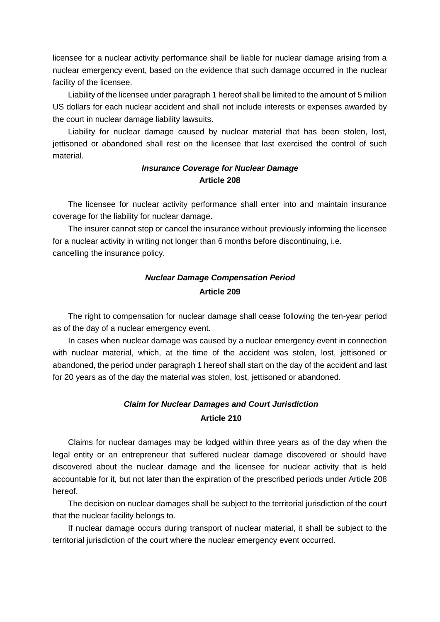licensee for a nuclear activity performance shall be liable for nuclear damage arising from a nuclear emergency event, based on the evidence that such damage occurred in the nuclear facility of the licensee.

Liability of the licensee under paragraph 1 hereof shall be limited to the amount of 5 million US dollars for each nuclear accident and shall not include interests or expenses awarded by the court in nuclear damage liability lawsuits.

Liability for nuclear damage caused by nuclear material that has been stolen, lost, jettisoned or abandoned shall rest on the licensee that last exercised the control of such material.

### *Insurance Coverage for Nuclear Damage*  **Article 208**

The licensee for nuclear activity performance shall enter into and maintain insurance coverage for the liability for nuclear damage.

The insurer cannot stop or cancel the insurance without previously informing the licensee for a nuclear activity in writing not longer than 6 months before discontinuing, i.e. cancelling the insurance policy.

# *Nuclear Damage Compensation Period*  **Article 209**

The right to compensation for nuclear damage shall cease following the ten-year period as of the day of a nuclear emergency event.

In cases when nuclear damage was caused by a nuclear emergency event in connection with nuclear material, which, at the time of the accident was stolen, lost, jettisoned or abandoned, the period under paragraph 1 hereof shall start on the day of the accident and last for 20 years as of the day the material was stolen, lost, jettisoned or abandoned.

# *Claim for Nuclear Damages and Court Jurisdiction*  **Article 210**

Claims for nuclear damages may be lodged within three years as of the day when the legal entity or an entrepreneur that suffered nuclear damage discovered or should have discovered about the nuclear damage and the licensee for nuclear activity that is held accountable for it, but not later than the expiration of the prescribed periods under Article 208 hereof.

The decision on nuclear damages shall be subject to the territorial jurisdiction of the court that the nuclear facility belongs to.

If nuclear damage occurs during transport of nuclear material, it shall be subject to the territorial jurisdiction of the court where the nuclear emergency event occurred.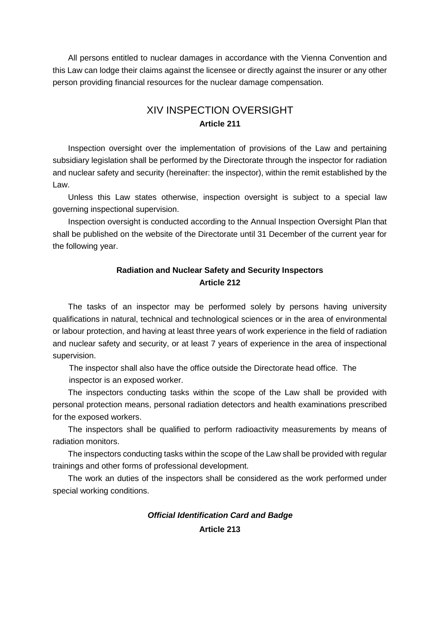All persons entitled to nuclear damages in accordance with the Vienna Convention and this Law can lodge their claims against the licensee or directly against the insurer or any other person providing financial resources for the nuclear damage compensation.

# XIV INSPECTION OVERSIGHT **Article 211**

Inspection oversight over the implementation of provisions of the Law and pertaining subsidiary legislation shall be performed by the Directorate through the inspector for radiation and nuclear safety and security (hereinafter: the inspector), within the remit established by the Law.

Unless this Law states otherwise, inspection oversight is subject to a special law governing inspectional supervision.

Inspection oversight is conducted according to the Annual Inspection Oversight Plan that shall be published on the website of the Directorate until 31 December of the current year for the following year.

### **Radiation and Nuclear Safety and Security Inspectors Article 212**

The tasks of an inspector may be performed solely by persons having university qualifications in natural, technical and technological sciences or in the area of environmental or labour protection, and having at least three years of work experience in the field of radiation and nuclear safety and security, or at least 7 years of experience in the area of inspectional supervision.

The inspector shall also have the office outside the Directorate head office. The inspector is an exposed worker.

The inspectors conducting tasks within the scope of the Law shall be provided with personal protection means, personal radiation detectors and health examinations prescribed for the exposed workers.

The inspectors shall be qualified to perform radioactivity measurements by means of radiation monitors.

The inspectors conducting tasks within the scope of the Law shall be provided with regular trainings and other forms of professional development.

The work an duties of the inspectors shall be considered as the work performed under special working conditions.

#### *Official Identification Card and Badge*

**Article 213**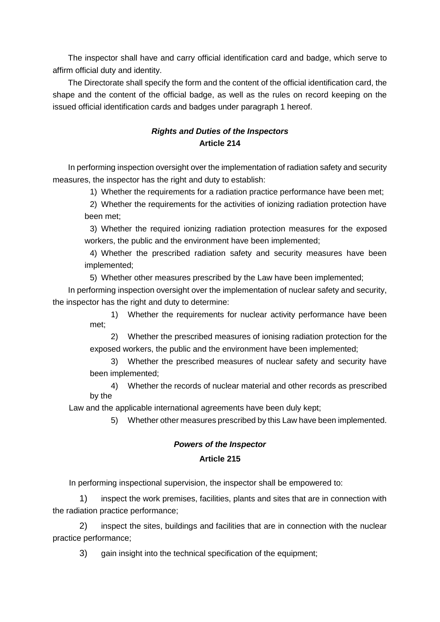The inspector shall have and carry official identification card and badge, which serve to affirm official duty and identity.

The Directorate shall specify the form and the content of the official identification card, the shape and the content of the official badge, as well as the rules on record keeping on the issued official identification cards and badges under paragraph 1 hereof.

# *Rights and Duties of the Inspectors*  **Article 214**

In performing inspection oversight over the implementation of radiation safety and security measures, the inspector has the right and duty to establish:

1) Whether the requirements for a radiation practice performance have been met;

2) Whether the requirements for the activities of ionizing radiation protection have been met;

3) Whether the required ionizing radiation protection measures for the exposed workers, the public and the environment have been implemented;

4) Whether the prescribed radiation safety and security measures have been implemented;

5) Whether other measures prescribed by the Law have been implemented;

In performing inspection oversight over the implementation of nuclear safety and security, the inspector has the right and duty to determine:

1) Whether the requirements for nuclear activity performance have been met;

2) Whether the prescribed measures of ionising radiation protection for the exposed workers, the public and the environment have been implemented;

3) Whether the prescribed measures of nuclear safety and security have been implemented;

4) Whether the records of nuclear material and other records as prescribed by the

Law and the applicable international agreements have been duly kept;

5) Whether other measures prescribed by this Law have been implemented.

# *Powers of the Inspector*  **Article 215**

In performing inspectional supervision, the inspector shall be empowered to:

1) inspect the work premises, facilities, plants and sites that are in connection with the radiation practice performance;

2) inspect the sites, buildings and facilities that are in connection with the nuclear practice performance;

3) gain insight into the technical specification of the equipment;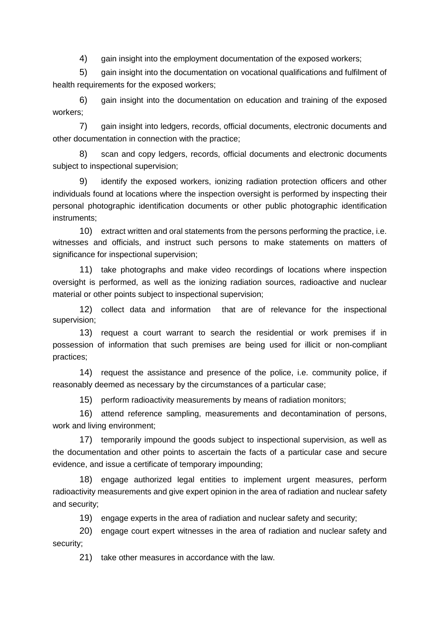4) gain insight into the employment documentation of the exposed workers;

5) gain insight into the documentation on vocational qualifications and fulfilment of health requirements for the exposed workers;

6) gain insight into the documentation on education and training of the exposed workers;

7) gain insight into ledgers, records, official documents, electronic documents and other documentation in connection with the practice;

8) scan and copy ledgers, records, official documents and electronic documents subject to inspectional supervision;

9) identify the exposed workers, ionizing radiation protection officers and other individuals found at locations where the inspection oversight is performed by inspecting their personal photographic identification documents or other public photographic identification instruments;

10) extract written and oral statements from the persons performing the practice, i.e. witnesses and officials, and instruct such persons to make statements on matters of significance for inspectional supervision;

11) take photographs and make video recordings of locations where inspection oversight is performed, as well as the ionizing radiation sources, radioactive and nuclear material or other points subject to inspectional supervision;

12) collect data and information that are of relevance for the inspectional supervision;

13) request a court warrant to search the residential or work premises if in possession of information that such premises are being used for illicit or non-compliant practices;

14) request the assistance and presence of the police, i.e. community police, if reasonably deemed as necessary by the circumstances of a particular case;

15) perform radioactivity measurements by means of radiation monitors;

16) attend reference sampling, measurements and decontamination of persons, work and living environment;

17) temporarily impound the goods subject to inspectional supervision, as well as the documentation and other points to ascertain the facts of a particular case and secure evidence, and issue a certificate of temporary impounding;

18) engage authorized legal entities to implement urgent measures, perform radioactivity measurements and give expert opinion in the area of radiation and nuclear safety and security;

19) engage experts in the area of radiation and nuclear safety and security;

20) engage court expert witnesses in the area of radiation and nuclear safety and security;

21) take other measures in accordance with the law.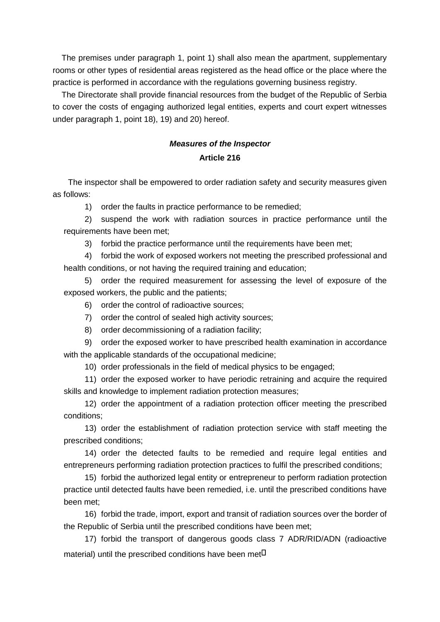The premises under paragraph 1, point 1) shall also mean the apartment, supplementary rooms or other types of residential areas registered as the head office or the place where the practice is performed in accordance with the regulations governing business registry.

 The Directorate shall provide financial resources from the budget of the Republic of Serbia to cover the costs of engaging authorized legal entities, experts and court expert witnesses under paragraph 1, point 18), 19) and 20) hereof.

# *Measures of the Inspector*  **Article 216**

The inspector shall be empowered to order radiation safety and security measures given as follows:

1) order the faults in practice performance to be remedied;

2) suspend the work with radiation sources in practice performance until the requirements have been met;

3) forbid the practice performance until the requirements have been met;

4) forbid the work of exposed workers not meeting the prescribed professional and health conditions, or not having the required training and education;

5) order the required measurement for assessing the level of exposure of the exposed workers, the public and the patients;

6) order the control of radioactive sources;

- 7) order the control of sealed high activity sources;
- 8) order decommissioning of a radiation facility;

9) order the exposed worker to have prescribed health examination in accordance with the applicable standards of the occupational medicine;

10) order professionals in the field of medical physics to be engaged;

11) order the exposed worker to have periodic retraining and acquire the required skills and knowledge to implement radiation protection measures;

12) order the appointment of a radiation protection officer meeting the prescribed conditions;

13) order the establishment of radiation protection service with staff meeting the prescribed conditions;

14) order the detected faults to be remedied and require legal entities and entrepreneurs performing radiation protection practices to fulfil the prescribed conditions;

15) forbid the authorized legal entity or entrepreneur to perform radiation protection practice until detected faults have been remedied, i.e. until the prescribed conditions have been met;

16) forbid the trade, import, export and transit of radiation sources over the border of the Republic of Serbia until the prescribed conditions have been met;

17) forbid the transport of dangerous goods class 7 ADR/RID/ADN (radioactive material) until the prescribed conditions have been met $\Box$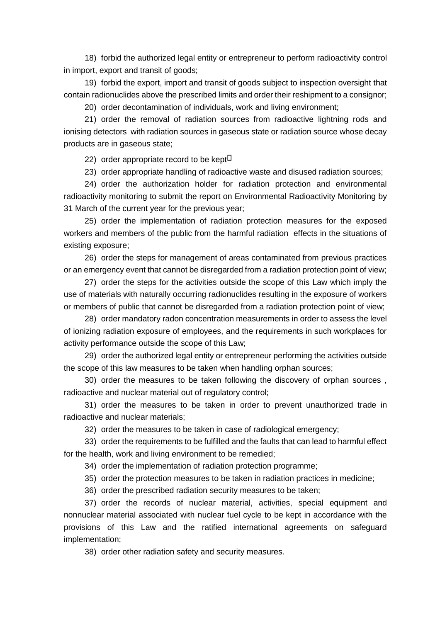18) forbid the authorized legal entity or entrepreneur to perform radioactivity control in import, export and transit of goods;

19) forbid the export, import and transit of goods subject to inspection oversight that contain radionuclides above the prescribed limits and order their reshipment to a consignor;

20) order decontamination of individuals, work and living environment;

21) order the removal of radiation sources from radioactive lightning rods and ionising detectors with radiation sources in gaseous state or radiation source whose decay products are in gaseous state;

22) order appropriate record to be kept<sup> $\Box$ </sup>

23) order appropriate handling of radioactive waste and disused radiation sources;

24) order the authorization holder for radiation protection and environmental radioactivity monitoring to submit the report on Environmental Radioactivity Monitoring by 31 March of the current year for the previous year;

25) order the implementation of radiation protection measures for the exposed workers and members of the public from the harmful radiation effects in the situations of existing exposure;

26) order the steps for management of areas contaminated from previous practices or an emergency event that cannot be disregarded from a radiation protection point of view;

27) order the steps for the activities outside the scope of this Law which imply the use of materials with naturally occurring radionuclides resulting in the exposure of workers or members of public that cannot be disregarded from a radiation protection point of view;

28) order mandatory radon concentration measurements in order to assess the level of ionizing radiation exposure of employees, and the requirements in such workplaces for activity performance outside the scope of this Law;

29) order the authorized legal entity or entrepreneur performing the activities outside the scope of this law measures to be taken when handling orphan sources;

30) order the measures to be taken following the discovery of orphan sources , radioactive and nuclear material out of regulatory control;

31) order the measures to be taken in order to prevent unauthorized trade in radioactive and nuclear materials;

32) order the measures to be taken in case of radiological emergency;

33) order the requirements to be fulfilled and the faults that can lead to harmful effect for the health, work and living environment to be remedied;

34) order the implementation of radiation protection programme;

35) order the protection measures to be taken in radiation practices in medicine;

36) order the prescribed radiation security measures to be taken;

37) order the records of nuclear material, activities, special equipment and nonnuclear material associated with nuclear fuel cycle to be kept in accordance with the provisions of this Law and the ratified international agreements on safeguard implementation;

38) order other radiation safety and security measures.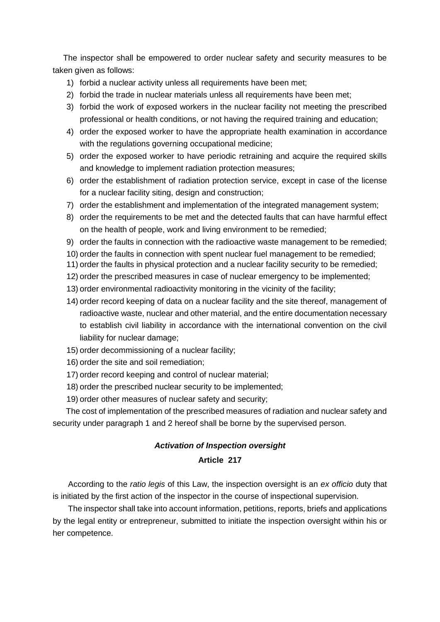The inspector shall be empowered to order nuclear safety and security measures to be taken given as follows:

- 1) forbid a nuclear activity unless all requirements have been met;
- 2) forbid the trade in nuclear materials unless all requirements have been met;
- 3) forbid the work of exposed workers in the nuclear facility not meeting the prescribed professional or health conditions, or not having the required training and education;
- 4) order the exposed worker to have the appropriate health examination in accordance with the regulations governing occupational medicine;
- 5) order the exposed worker to have periodic retraining and acquire the required skills and knowledge to implement radiation protection measures;
- 6) order the establishment of radiation protection service, except in case of the license for a nuclear facility siting, design and construction;
- 7) order the establishment and implementation of the integrated management system;
- 8) order the requirements to be met and the detected faults that can have harmful effect on the health of people, work and living environment to be remedied;
- 9) order the faults in connection with the radioactive waste management to be remedied;
- 10) order the faults in connection with spent nuclear fuel management to be remedied;
- 11) order the faults in physical protection and a nuclear facility security to be remedied;
- 12) order the prescribed measures in case of nuclear emergency to be implemented;
- 13) order environmental radioactivity monitoring in the vicinity of the facility;
- 14) order record keeping of data on a nuclear facility and the site thereof, management of radioactive waste, nuclear and other material, and the entire documentation necessary to establish civil liability in accordance with the international convention on the civil liability for nuclear damage;
- 15) order decommissioning of a nuclear facility;
- 16) order the site and soil remediation;
- 17) order record keeping and control of nuclear material;
- 18) order the prescribed nuclear security to be implemented;
- 19) order other measures of nuclear safety and security;

The cost of implementation of the prescribed measures of radiation and nuclear safety and security under paragraph 1 and 2 hereof shall be borne by the supervised person.

# *Activation of Inspection oversight*

## **Article 217**

According to the *ratio legis* of this Law, the inspection oversight is an *ex officio* duty that is initiated by the first action of the inspector in the course of inspectional supervision.

The inspector shall take into account information, petitions, reports, briefs and applications by the legal entity or entrepreneur, submitted to initiate the inspection oversight within his or her competence.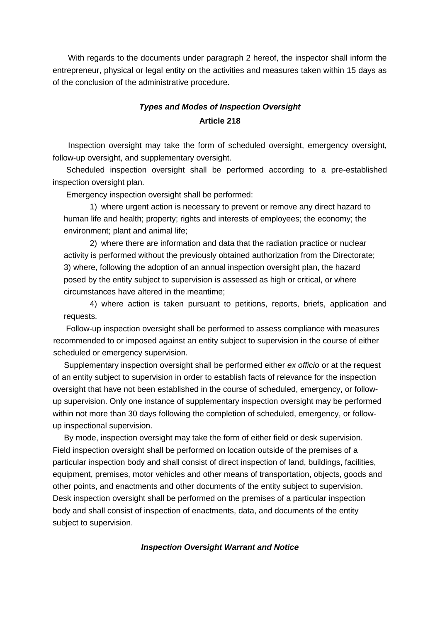With regards to the documents under paragraph 2 hereof, the inspector shall inform the entrepreneur, physical or legal entity on the activities and measures taken within 15 days as of the conclusion of the administrative procedure.

# *Types and Modes of Inspection Oversight* **Article 218**

Inspection oversight may take the form of scheduled oversight, emergency oversight, follow-up oversight, and supplementary oversight.

 Scheduled inspection oversight shall be performed according to a pre-established inspection oversight plan.

Emergency inspection oversight shall be performed:

1) where urgent action is necessary to prevent or remove any direct hazard to human life and health; property; rights and interests of employees; the economy; the environment; plant and animal life;

2) where there are information and data that the radiation practice or nuclear activity is performed without the previously obtained authorization from the Directorate; 3) where, following the adoption of an annual inspection oversight plan, the hazard posed by the entity subject to supervision is assessed as high or critical, or where circumstances have altered in the meantime;

4) where action is taken pursuant to petitions, reports, briefs, application and requests.

Follow-up inspection oversight shall be performed to assess compliance with measures recommended to or imposed against an entity subject to supervision in the course of either scheduled or emergency supervision.

 Supplementary inspection oversight shall be performed either *ex officio* or at the request of an entity subject to supervision in order to establish facts of relevance for the inspection oversight that have not been established in the course of scheduled, emergency, or followup supervision. Only one instance of supplementary inspection oversight may be performed within not more than 30 days following the completion of scheduled, emergency, or followup inspectional supervision.

 By mode, inspection oversight may take the form of either field or desk supervision. Field inspection oversight shall be performed on location outside of the premises of a particular inspection body and shall consist of direct inspection of land, buildings, facilities, equipment, premises, motor vehicles and other means of transportation, objects, goods and other points, and enactments and other documents of the entity subject to supervision. Desk inspection oversight shall be performed on the premises of a particular inspection body and shall consist of inspection of enactments, data, and documents of the entity subject to supervision.

### *Inspection Oversight Warrant and Notice*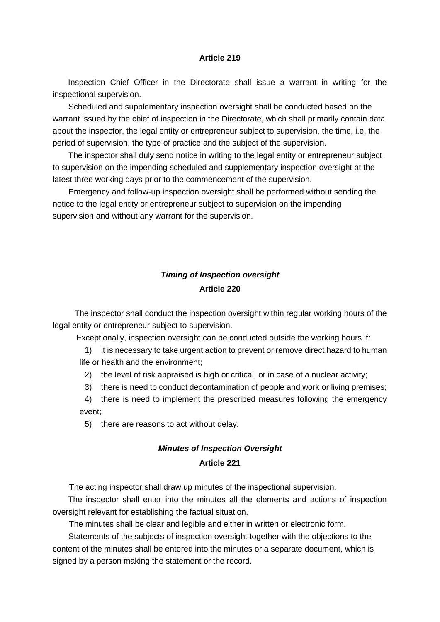#### **Article 219**

Inspection Chief Officer in the Directorate shall issue a warrant in writing for the inspectional supervision.

Scheduled and supplementary inspection oversight shall be conducted based on the warrant issued by the chief of inspection in the Directorate, which shall primarily contain data about the inspector, the legal entity or entrepreneur subject to supervision, the time, i.e. the period of supervision, the type of practice and the subject of the supervision.

The inspector shall duly send notice in writing to the legal entity or entrepreneur subject to supervision on the impending scheduled and supplementary inspection oversight at the latest three working days prior to the commencement of the supervision.

Emergency and follow-up inspection oversight shall be performed without sending the notice to the legal entity or entrepreneur subject to supervision on the impending supervision and without any warrant for the supervision.

# *Timing of Inspection oversight* **Article 220**

 The inspector shall conduct the inspection oversight within regular working hours of the legal entity or entrepreneur subject to supervision.

Exceptionally, inspection oversight can be conducted outside the working hours if:

1) it is necessary to take urgent action to prevent or remove direct hazard to human life or health and the environment;

2) the level of risk appraised is high or critical, or in case of a nuclear activity;

3) there is need to conduct decontamination of people and work or living premises;

4) there is need to implement the prescribed measures following the emergency event;

5) there are reasons to act without delay.

## *Minutes of Inspection Oversight*

### **Article 221**

The acting inspector shall draw up minutes of the inspectional supervision.

The inspector shall enter into the minutes all the elements and actions of inspection oversight relevant for establishing the factual situation.

The minutes shall be clear and legible and either in written or electronic form.

Statements of the subjects of inspection oversight together with the objections to the content of the minutes shall be entered into the minutes or a separate document, which is signed by a person making the statement or the record.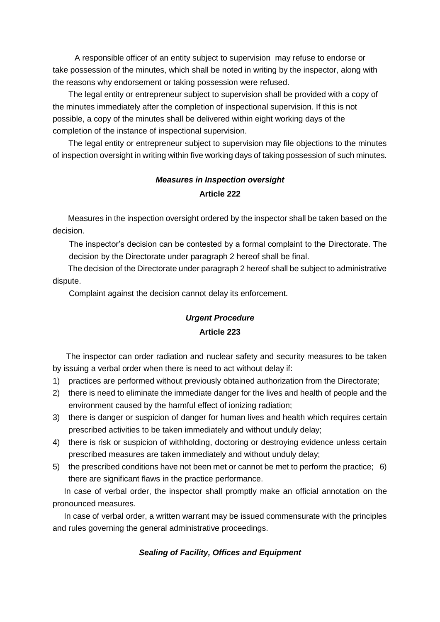A responsible officer of an entity subject to supervision may refuse to endorse or take possession of the minutes, which shall be noted in writing by the inspector, along with the reasons why endorsement or taking possession were refused.

The legal entity or entrepreneur subject to supervision shall be provided with a copy of the minutes immediately after the completion of inspectional supervision. If this is not possible, a copy of the minutes shall be delivered within eight working days of the completion of the instance of inspectional supervision.

 The legal entity or entrepreneur subject to supervision may file objections to the minutes of inspection oversight in writing within five working days of taking possession of such minutes.

# *Measures in Inspection oversight* **Article 222**

Measures in the inspection oversight ordered by the inspector shall be taken based on the decision.

The inspector's decision can be contested by a formal complaint to the Directorate. The decision by the Directorate under paragraph 2 hereof shall be final.

The decision of the Directorate under paragraph 2 hereof shall be subject to administrative dispute.

Complaint against the decision cannot delay its enforcement.

# *Urgent Procedure*

## **Article 223**

 The inspector can order radiation and nuclear safety and security measures to be taken by issuing a verbal order when there is need to act without delay if:

- 1) practices are performed without previously obtained authorization from the Directorate;
- 2) there is need to eliminate the immediate danger for the lives and health of people and the environment caused by the harmful effect of ionizing radiation;
- 3) there is danger or suspicion of danger for human lives and health which requires certain prescribed activities to be taken immediately and without unduly delay;
- 4) there is risk or suspicion of withholding, doctoring or destroying evidence unless certain prescribed measures are taken immediately and without unduly delay;
- 5) the prescribed conditions have not been met or cannot be met to perform the practice; 6) there are significant flaws in the practice performance.

 In case of verbal order, the inspector shall promptly make an official annotation on the pronounced measures.

 In case of verbal order, a written warrant may be issued commensurate with the principles and rules governing the general administrative proceedings.

# *Sealing of Facility, Offices and Equipment*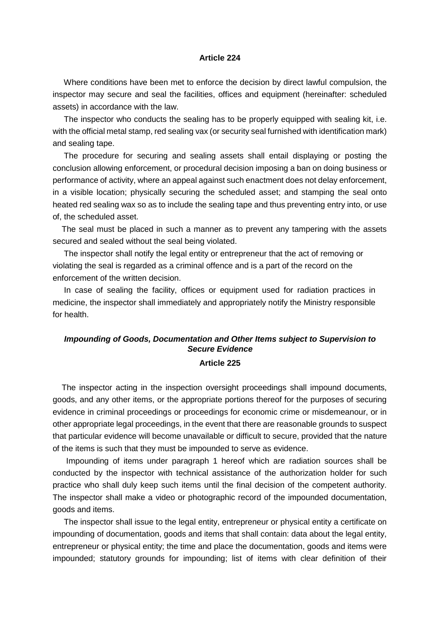#### **Article 224**

 Where conditions have been met to enforce the decision by direct lawful compulsion, the inspector may secure and seal the facilities, offices and equipment (hereinafter: scheduled assets) in accordance with the law.

 The inspector who conducts the sealing has to be properly equipped with sealing kit, i.e. with the official metal stamp, red sealing vax (or security seal furnished with identification mark) and sealing tape.

 The procedure for securing and sealing assets shall entail displaying or posting the conclusion allowing enforcement, or procedural decision imposing a ban on doing business or performance of activity, where an appeal against such enactment does not delay enforcement, in a visible location; physically securing the scheduled asset; and stamping the seal onto heated red sealing wax so as to include the sealing tape and thus preventing entry into, or use of, the scheduled asset.

 The seal must be placed in such a manner as to prevent any tampering with the assets secured and sealed without the seal being violated.

 The inspector shall notify the legal entity or entrepreneur that the act of removing or violating the seal is regarded as a criminal offence and is a part of the record on the enforcement of the written decision.

 In case of sealing the facility, offices or equipment used for radiation practices in medicine, the inspector shall immediately and appropriately notify the Ministry responsible for health.

# *Impounding of Goods, Documentation and Other Items subject to Supervision to Secure Evidence*

### **Article 225**

 The inspector acting in the inspection oversight proceedings shall impound documents, goods, and any other items, or the appropriate portions thereof for the purposes of securing evidence in criminal proceedings or proceedings for economic crime or misdemeanour, or in other appropriate legal proceedings, in the event that there are reasonable grounds to suspect that particular evidence will become unavailable or difficult to secure, provided that the nature of the items is such that they must be impounded to serve as evidence.

 Impounding of items under paragraph 1 hereof which are radiation sources shall be conducted by the inspector with technical assistance of the authorization holder for such practice who shall duly keep such items until the final decision of the competent authority. The inspector shall make a video or photographic record of the impounded documentation, goods and items.

 The inspector shall issue to the legal entity, entrepreneur or physical entity a certificate on impounding of documentation, goods and items that shall contain: data about the legal entity, entrepreneur or physical entity; the time and place the documentation, goods and items were impounded; statutory grounds for impounding; list of items with clear definition of their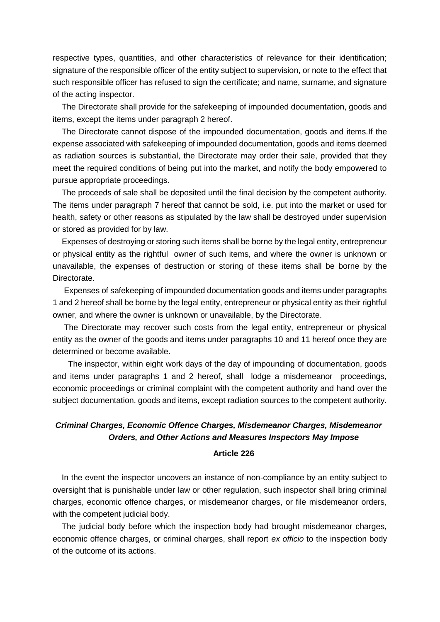respective types, quantities, and other characteristics of relevance for their identification; signature of the responsible officer of the entity subject to supervision, or note to the effect that such responsible officer has refused to sign the certificate; and name, surname, and signature of the acting inspector.

 The Directorate shall provide for the safekeeping of impounded documentation, goods and items, except the items under paragraph 2 hereof.

 The Directorate cannot dispose of the impounded documentation, goods and items.If the expense associated with safekeeping of impounded documentation, goods and items deemed as radiation sources is substantial, the Directorate may order their sale, provided that they meet the required conditions of being put into the market, and notify the body empowered to pursue appropriate proceedings.

 The proceeds of sale shall be deposited until the final decision by the competent authority. The items under paragraph 7 hereof that cannot be sold, i.e. put into the market or used for health, safety or other reasons as stipulated by the law shall be destroyed under supervision or stored as provided for by law.

 Expenses of destroying or storing such items shall be borne by the legal entity, entrepreneur or physical entity as the rightful owner of such items, and where the owner is unknown or unavailable, the expenses of destruction or storing of these items shall be borne by the Directorate.

 Expenses of safekeeping of impounded documentation goods and items under paragraphs 1 and 2 hereof shall be borne by the legal entity, entrepreneur or physical entity as their rightful owner, and where the owner is unknown or unavailable, by the Directorate.

 The Directorate may recover such costs from the legal entity, entrepreneur or physical entity as the owner of the goods and items under paragraphs 10 and 11 hereof once they are determined or become available.

The inspector, within eight work days of the day of impounding of documentation, goods and items under paragraphs 1 and 2 hereof, shall lodge a misdemeanor proceedings, economic proceedings or criminal complaint with the competent authority and hand over the subject documentation, goods and items, except radiation sources to the competent authority.

## *Criminal Charges, Economic Offence Charges, Misdemeanor Charges, Misdemeanor Orders, and Other Actions and Measures Inspectors May Impose*

### **Article 226**

 In the event the inspector uncovers an instance of non-compliance by an entity subject to oversight that is punishable under law or other regulation, such inspector shall bring criminal charges, economic offence charges, or misdemeanor charges, or file misdemeanor orders, with the competent judicial body.

 The judicial body before which the inspection body had brought misdemeanor charges, economic offence charges, or criminal charges, shall report *ex officio* to the inspection body of the outcome of its actions.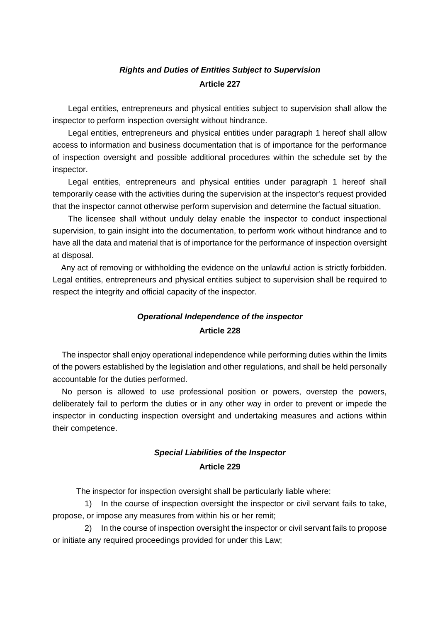# *Rights and Duties of Entities Subject to Supervision*  **Article 227**

Legal entities, entrepreneurs and physical entities subject to supervision shall allow the inspector to perform inspection oversight without hindrance.

Legal entities, entrepreneurs and physical entities under paragraph 1 hereof shall allow access to information and business documentation that is of importance for the performance of inspection oversight and possible additional procedures within the schedule set by the inspector.

Legal entities, entrepreneurs and physical entities under paragraph 1 hereof shall temporarily cease with the activities during the supervision at the inspector's request provided that the inspector cannot otherwise perform supervision and determine the factual situation.

The licensee shall without unduly delay enable the inspector to conduct inspectional supervision, to gain insight into the documentation, to perform work without hindrance and to have all the data and material that is of importance for the performance of inspection oversight at disposal.

 Any act of removing or withholding the evidence on the unlawful action is strictly forbidden. Legal entities, entrepreneurs and physical entities subject to supervision shall be required to respect the integrity and official capacity of the inspector.

# *Operational Independence of the inspector*  **Article 228**

 The inspector shall enjoy operational independence while performing duties within the limits of the powers established by the legislation and other regulations, and shall be held personally accountable for the duties performed.

 No person is allowed to use professional position or powers, overstep the powers, deliberately fail to perform the duties or in any other way in order to prevent or impede the inspector in conducting inspection oversight and undertaking measures and actions within their competence.

# *Special Liabilities of the Inspector*  **Article 229**

The inspector for inspection oversight shall be particularly liable where:

1) In the course of inspection oversight the inspector or civil servant fails to take, propose, or impose any measures from within his or her remit;

2) In the course of inspection oversight the inspector or civil servant fails to propose or initiate any required proceedings provided for under this Law;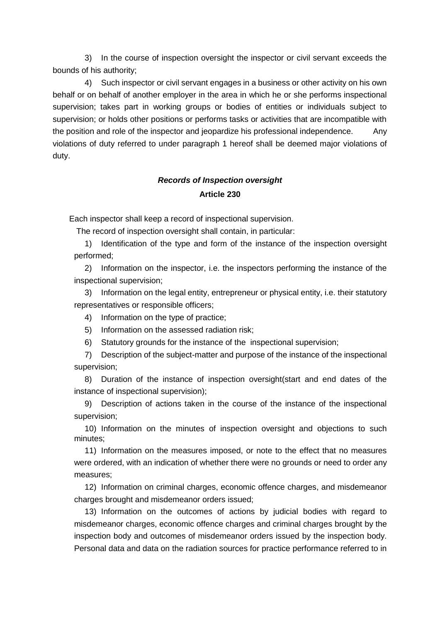3) In the course of inspection oversight the inspector or civil servant exceeds the bounds of his authority;

4) Such inspector or civil servant engages in a business or other activity on his own behalf or on behalf of another employer in the area in which he or she performs inspectional supervision; takes part in working groups or bodies of entities or individuals subject to supervision; or holds other positions or performs tasks or activities that are incompatible with the position and role of the inspector and jeopardize his professional independence. Any violations of duty referred to under paragraph 1 hereof shall be deemed major violations of duty.

# *Records of Inspection oversight* **Article 230**

Each inspector shall keep a record of inspectional supervision.

The record of inspection oversight shall contain, in particular:

1) Identification of the type and form of the instance of the inspection oversight performed;

2) Information on the inspector, i.e. the inspectors performing the instance of the inspectional supervision;

3) Information on the legal entity, entrepreneur or physical entity, i.e. their statutory representatives or responsible officers;

4) Information on the type of practice;

5) Information on the assessed radiation risk;

6) Statutory grounds for the instance of the inspectional supervision;

7) Description of the subject-matter and purpose of the instance of the inspectional supervision;

8) Duration of the instance of inspection oversight(start and end dates of the instance of inspectional supervision);

9) Description of actions taken in the course of the instance of the inspectional supervision;

10) Information on the minutes of inspection oversight and objections to such minutes;

11) Information on the measures imposed, or note to the effect that no measures were ordered, with an indication of whether there were no grounds or need to order any measures;

12) Information on criminal charges, economic offence charges, and misdemeanor charges brought and misdemeanor orders issued;

13) Information on the outcomes of actions by judicial bodies with regard to misdemeanor charges, economic offence charges and criminal charges brought by the inspection body and outcomes of misdemeanor orders issued by the inspection body. Personal data and data on the radiation sources for practice performance referred to in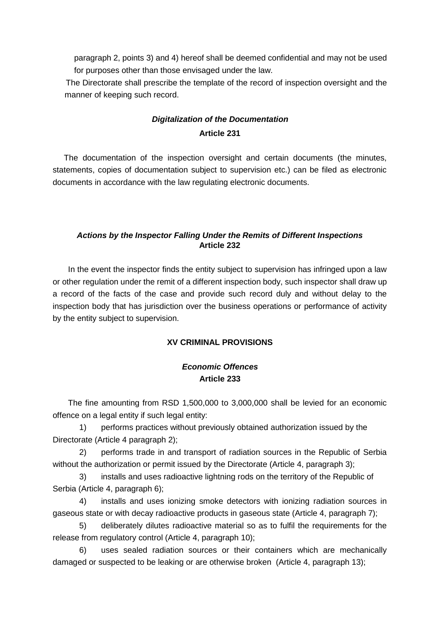paragraph 2, points 3) and 4) hereof shall be deemed confidential and may not be used for purposes other than those envisaged under the law.

 The Directorate shall prescribe the template of the record of inspection oversight and the manner of keeping such record.

# *Digitalization of the Documentation*  **Article 231**

 The documentation of the inspection oversight and certain documents (the minutes, statements, copies of documentation subject to supervision etc.) can be filed as electronic documents in accordance with the law regulating electronic documents.

## *Actions by the Inspector Falling Under the Remits of Different Inspections*  **Article 232**

In the event the inspector finds the entity subject to supervision has infringed upon a law or other regulation under the remit of a different inspection body, such inspector shall draw up a record of the facts of the case and provide such record duly and without delay to the inspection body that has jurisdiction over the business operations or performance of activity by the entity subject to supervision.

## **XV CRIMINAL PROVISIONS**

## *Economic Offences*  **Article 233**

The fine amounting from RSD 1,500,000 to 3,000,000 shall be levied for an economic offence on a legal entity if such legal entity:

1) performs practices without previously obtained authorization issued by the Directorate (Article 4 paragraph 2);

2) performs trade in and transport of radiation sources in the Republic of Serbia without the authorization or permit issued by the Directorate (Article 4, paragraph 3);

3) installs and uses radioactive lightning rods on the territory of the Republic of Serbia (Article 4, paragraph 6);

4) installs and uses ionizing smoke detectors with ionizing radiation sources in gaseous state or with decay radioactive products in gaseous state (Article 4, paragraph 7);

5) deliberately dilutes radioactive material so as to fulfil the requirements for the release from regulatory control (Article 4, paragraph 10);

6) uses sealed radiation sources or their containers which are mechanically damaged or suspected to be leaking or are otherwise broken (Article 4, paragraph 13);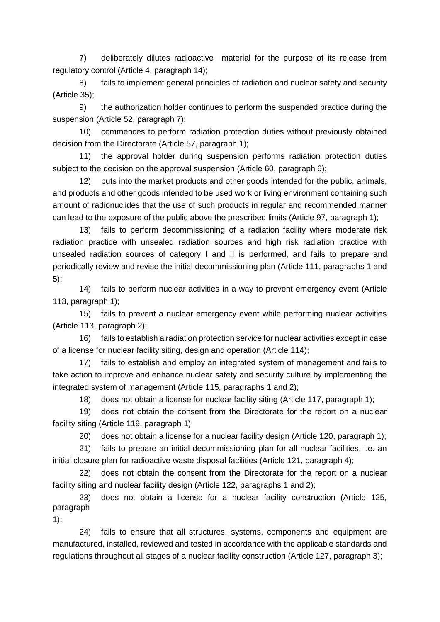7) deliberately dilutes radioactive material for the purpose of its release from regulatory control (Article 4, paragraph 14);

8) fails to implement general principles of radiation and nuclear safety and security (Article 35);

9) the authorization holder continues to perform the suspended practice during the suspension (Article 52, paragraph 7);

10) commences to perform radiation protection duties without previously obtained decision from the Directorate (Article 57, paragraph 1);

11) the approval holder during suspension performs radiation protection duties subject to the decision on the approval suspension (Article 60, paragraph 6);

12) puts into the market products and other goods intended for the public, animals, and products and other goods intended to be used work or living environment containing such amount of radionuclides that the use of such products in regular and recommended manner can lead to the exposure of the public above the prescribed limits (Article 97, paragraph 1);

13) fails to perform decommissioning of a radiation facility where moderate risk radiation practice with unsealed radiation sources and high risk radiation practice with unsealed radiation sources of category I and II is performed, and fails to prepare and periodically review and revise the initial decommissioning plan (Article 111, paragraphs 1 and 5);

14) fails to perform nuclear activities in a way to prevent emergency event (Article 113, paragraph 1);

15) fails to prevent a nuclear emergency event while performing nuclear activities (Article 113, paragraph 2);

16) fails to establish a radiation protection service for nuclear activities except in case of a license for nuclear facility siting, design and operation (Article 114);

17) fails to establish and employ an integrated system of management and fails to take action to improve and enhance nuclear safety and security culture by implementing the integrated system of management (Article 115, paragraphs 1 and 2);

18) does not obtain a license for nuclear facility siting (Article 117, paragraph 1);

19) does not obtain the consent from the Directorate for the report on a nuclear facility siting (Article 119, paragraph 1);

20) does not obtain a license for a nuclear facility design (Article 120, paragraph 1);

21) fails to prepare an initial decommissioning plan for all nuclear facilities, i.e. an initial closure plan for radioactive waste disposal facilities (Article 121, paragraph 4);

22) does not obtain the consent from the Directorate for the report on a nuclear facility siting and nuclear facility design (Article 122, paragraphs 1 and 2);

23) does not obtain a license for a nuclear facility construction (Article 125, paragraph

 $1)$ ;

24) fails to ensure that all structures, systems, components and equipment are manufactured, installed, reviewed and tested in accordance with the applicable standards and regulations throughout all stages of a nuclear facility construction (Article 127, paragraph 3);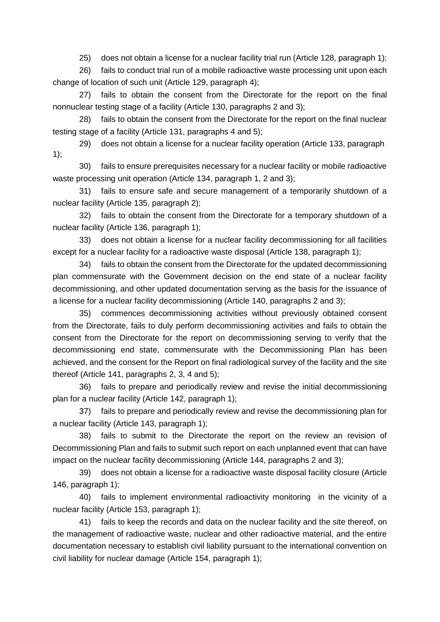25) does not obtain a license for a nuclear facility trial run (Article 128, paragraph 1);

26) fails to conduct trial run of a mobile radioactive waste processing unit upon each change of location of such unit (Article 129, paragraph 4);

27) fails to obtain the consent from the Directorate for the report on the final nonnuclear testing stage of a facility (Article 130, paragraphs 2 and 3);

28) fails to obtain the consent from the Directorate for the report on the final nuclear testing stage of a facility (Article 131, paragraphs 4 and 5);

29) does not obtain a license for a nuclear facility operation (Article 133, paragraph 1);

30) fails to ensure prerequisites necessary for a nuclear facility or mobile radioactive waste processing unit operation (Article 134, paragraph 1, 2 and 3);

31) fails to ensure safe and secure management of a temporarily shutdown of a nuclear facility (Article 135, paragraph 2);

32) fails to obtain the consent from the Directorate for a temporary shutdown of a nuclear facility (Article 136, paragraph 1);

33) does not obtain a license for a nuclear facility decommissioning for all facilities except for a nuclear facility for a radioactive waste disposal (Article 138, paragraph 1);

34) fails to obtain the consent from the Directorate for the updated decommissioning plan commensurate with the Government decision on the end state of a nuclear facility decommissioning, and other updated documentation serving as the basis for the issuance of a license for a nuclear facility decommissioning (Article 140, paragraphs 2 and 3);

35) commences decommissioning activities without previously obtained consent from the Directorate, fails to duly perform decommissioning activities and fails to obtain the consent from the Directorate for the report on decommissioning serving to verify that the decommissioning end state, commensurate with the Decommissioning Plan has been achieved, and the consent for the Report on final radiological survey of the facility and the site thereof (Article 141, paragraphs 2, 3, 4 and 5);

36) fails to prepare and periodically review and revise the initial decommissioning plan for a nuclear facility (Article 142, paragraph 1);

37) fails to prepare and periodically review and revise the decommissioning plan for a nuclear facility (Article 143, paragraph 1);

38) fails to submit to the Directorate the report on the review an revision of Decommissioning Plan and fails to submit such report on each unplanned event that can have impact on the nuclear facility decommissioning (Article 144, paragraphs 2 and 3);

39) does not obtain a license for a radioactive waste disposal facility closure (Article 146, paragraph 1);

40) fails to implement environmental radioactivity monitoring in the vicinity of a nuclear facility (Article 153, paragraph 1);

41) fails to keep the records and data on the nuclear facility and the site thereof, on the management of radioactive waste, nuclear and other radioactive material, and the entire documentation necessary to establish civil liability pursuant to the international convention on civil liability for nuclear damage (Article 154, paragraph 1);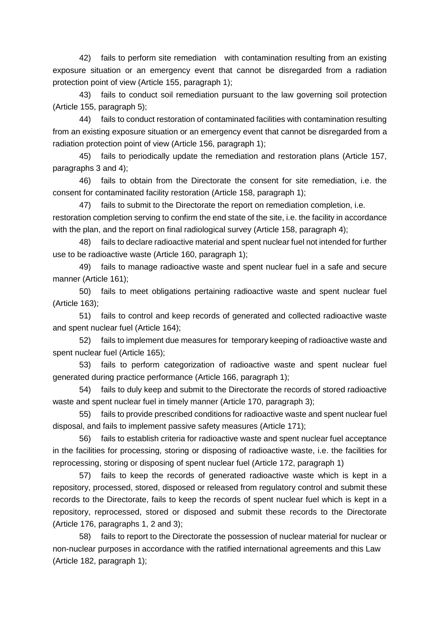42) fails to perform site remediation with contamination resulting from an existing exposure situation or an emergency event that cannot be disregarded from a radiation protection point of view (Article 155, paragraph 1);

43) fails to conduct soil remediation pursuant to the law governing soil protection (Article 155, paragraph 5);

44) fails to conduct restoration of contaminated facilities with contamination resulting from an existing exposure situation or an emergency event that cannot be disregarded from a radiation protection point of view (Article 156, paragraph 1);

45) fails to periodically update the remediation and restoration plans (Article 157, paragraphs 3 and 4);

46) fails to obtain from the Directorate the consent for site remediation, i.e. the consent for contaminated facility restoration (Article 158, paragraph 1);

47) fails to submit to the Directorate the report on remediation completion, i.e. restoration completion serving to confirm the end state of the site, i.e. the facility in accordance with the plan, and the report on final radiological survey (Article 158, paragraph 4);

48) fails to declare radioactive material and spent nuclear fuel not intended for further use to be radioactive waste (Article 160, paragraph 1);

49) fails to manage radioactive waste and spent nuclear fuel in a safe and secure manner (Article 161);

50) fails to meet obligations pertaining radioactive waste and spent nuclear fuel (Article 163);

51) fails to control and keep records of generated and collected radioactive waste and spent nuclear fuel (Article 164);

52) fails to implement due measures for temporary keeping of radioactive waste and spent nuclear fuel (Article 165);

53) fails to perform categorization of radioactive waste and spent nuclear fuel generated during practice performance (Article 166, paragraph 1);

54) fails to duly keep and submit to the Directorate the records of stored radioactive waste and spent nuclear fuel in timely manner (Article 170, paragraph 3);

55) fails to provide prescribed conditions for radioactive waste and spent nuclear fuel disposal, and fails to implement passive safety measures (Article 171);

56) fails to establish criteria for radioactive waste and spent nuclear fuel acceptance in the facilities for processing, storing or disposing of radioactive waste, i.e. the facilities for reprocessing, storing or disposing of spent nuclear fuel (Article 172, paragraph 1)

57) fails to keep the records of generated radioactive waste which is kept in a repository, processed, stored, disposed or released from regulatory control and submit these records to the Directorate, fails to keep the records of spent nuclear fuel which is kept in a repository, reprocessed, stored or disposed and submit these records to the Directorate (Article 176, paragraphs 1, 2 and 3);

58) fails to report to the Directorate the possession of nuclear material for nuclear or non-nuclear purposes in accordance with the ratified international agreements and this Law (Article 182, paragraph 1);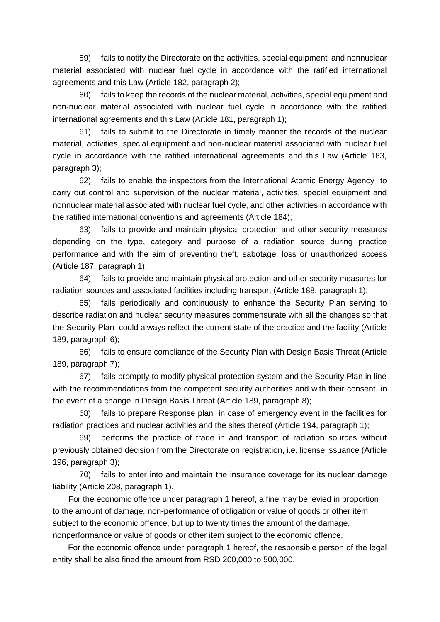59) fails to notify the Directorate on the activities, special equipment and nonnuclear material associated with nuclear fuel cycle in accordance with the ratified international agreements and this Law (Article 182, paragraph 2);

60) fails to keep the records of the nuclear material, activities, special equipment and non-nuclear material associated with nuclear fuel cycle in accordance with the ratified international agreements and this Law (Article 181, paragraph 1);

61) fails to submit to the Directorate in timely manner the records of the nuclear material, activities, special equipment and non-nuclear material associated with nuclear fuel cycle in accordance with the ratified international agreements and this Law (Article 183, paragraph 3);

62) fails to enable the inspectors from the International Atomic Energy Agency to carry out control and supervision of the nuclear material, activities, special equipment and nonnuclear material associated with nuclear fuel cycle, and other activities in accordance with the ratified international conventions and agreements (Article 184);

63) fails to provide and maintain physical protection and other security measures depending on the type, category and purpose of a radiation source during practice performance and with the aim of preventing theft, sabotage, loss or unauthorized access (Article 187, paragraph 1);

64) fails to provide and maintain physical protection and other security measures for radiation sources and associated facilities including transport (Article 188, paragraph 1);

65) fails periodically and continuously to enhance the Security Plan serving to describe radiation and nuclear security measures commensurate with all the changes so that the Security Plan could always reflect the current state of the practice and the facility (Article 189, paragraph 6);

66) fails to ensure compliance of the Security Plan with Design Basis Threat (Article 189, paragraph 7);

67) fails promptly to modify physical protection system and the Security Plan in line with the recommendations from the competent security authorities and with their consent, in the event of a change in Design Basis Threat (Article 189, paragraph 8);

68) fails to prepare Response plan in case of emergency event in the facilities for radiation practices and nuclear activities and the sites thereof (Article 194, paragraph 1);

69) performs the practice of trade in and transport of radiation sources without previously obtained decision from the Directorate on registration, i.e. license issuance (Article 196, paragraph 3);

70) fails to enter into and maintain the insurance coverage for its nuclear damage liability (Article 208, paragraph 1).

For the economic offence under paragraph 1 hereof, a fine may be levied in proportion to the amount of damage, non-performance of obligation or value of goods or other item subject to the economic offence, but up to twenty times the amount of the damage, nonperformance or value of goods or other item subject to the economic offence.

For the economic offence under paragraph 1 hereof, the responsible person of the legal entity shall be also fined the amount from RSD 200,000 to 500,000.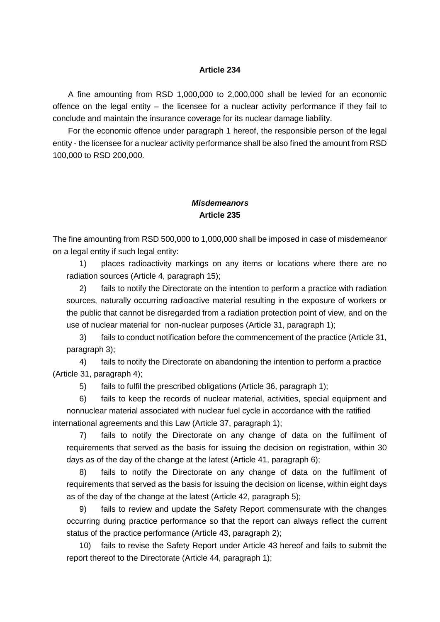### **Article 234**

A fine amounting from RSD 1,000,000 to 2,000,000 shall be levied for an economic offence on the legal entity – the licensee for a nuclear activity performance if they fail to conclude and maintain the insurance coverage for its nuclear damage liability.

For the economic offence under paragraph 1 hereof, the responsible person of the legal entity - the licensee for a nuclear activity performance shall be also fined the amount from RSD 100,000 to RSD 200,000.

## *Misdemeanors*  **Article 235**

The fine amounting from RSD 500,000 to 1,000,000 shall be imposed in case of misdemeanor on a legal entity if such legal entity:

1) places radioactivity markings on any items or locations where there are no radiation sources (Article 4, paragraph 15);

2) fails to notify the Directorate on the intention to perform a practice with radiation sources, naturally occurring radioactive material resulting in the exposure of workers or the public that cannot be disregarded from a radiation protection point of view, and on the use of nuclear material for non-nuclear purposes (Article 31, paragraph 1);

3) fails to conduct notification before the commencement of the practice (Article 31, paragraph 3);

4) fails to notify the Directorate on abandoning the intention to perform a practice (Article 31, paragraph 4);

5) fails to fulfil the prescribed obligations (Article 36, paragraph 1);

6) fails to keep the records of nuclear material, activities, special equipment and nonnuclear material associated with nuclear fuel cycle in accordance with the ratified international agreements and this Law (Article 37, paragraph 1);

7) fails to notify the Directorate on any change of data on the fulfilment of requirements that served as the basis for issuing the decision on registration, within 30 days as of the day of the change at the latest (Article 41, paragraph 6);

8) fails to notify the Directorate on any change of data on the fulfilment of requirements that served as the basis for issuing the decision on license, within eight days as of the day of the change at the latest (Article 42, paragraph 5);

9) fails to review and update the Safety Report commensurate with the changes occurring during practice performance so that the report can always reflect the current status of the practice performance (Article 43, paragraph 2);

10) fails to revise the Safety Report under Article 43 hereof and fails to submit the report thereof to the Directorate (Article 44, paragraph 1);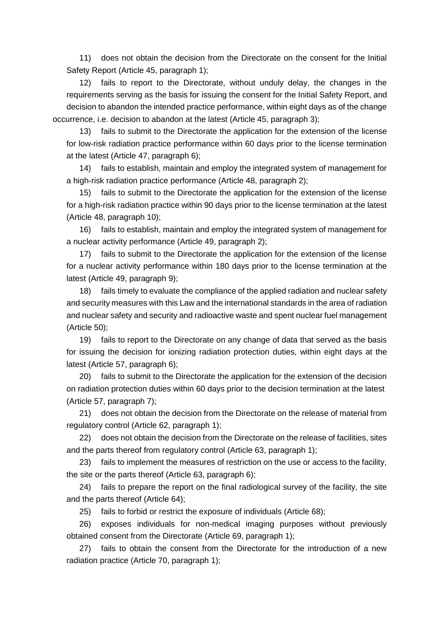11) does not obtain the decision from the Directorate on the consent for the Initial Safety Report (Article 45, paragraph 1);

12) fails to report to the Directorate, without unduly delay, the changes in the requirements serving as the basis for issuing the consent for the Initial Safety Report, and decision to abandon the intended practice performance, within eight days as of the change occurrence, i.e. decision to abandon at the latest (Article 45, paragraph 3);

13) fails to submit to the Directorate the application for the extension of the license for low-risk radiation practice performance within 60 days prior to the license termination at the latest (Article 47, paragraph 6);

14) fails to establish, maintain and employ the integrated system of management for a high-risk radiation practice performance (Article 48, paragraph 2);

15) fails to submit to the Directorate the application for the extension of the license for a high-risk radiation practice within 90 days prior to the license termination at the latest (Article 48, paragraph 10);

16) fails to establish, maintain and employ the integrated system of management for a nuclear activity performance (Article 49, paragraph 2);

17) fails to submit to the Directorate the application for the extension of the license for a nuclear activity performance within 180 days prior to the license termination at the latest (Article 49, paragraph 9);

18) fails timely to evaluate the compliance of the applied radiation and nuclear safety and security measures with this Law and the international standards in the area of radiation and nuclear safety and security and radioactive waste and spent nuclear fuel management (Article 50);

19) fails to report to the Directorate on any change of data that served as the basis for issuing the decision for ionizing radiation protection duties, within eight days at the latest (Article 57, paragraph 6);

20) fails to submit to the Directorate the application for the extension of the decision on radiation protection duties within 60 days prior to the decision termination at the latest (Article 57, paragraph 7);

21) does not obtain the decision from the Directorate on the release of material from regulatory control (Article 62, paragraph 1);

22) does not obtain the decision from the Directorate on the release of facilities, sites and the parts thereof from regulatory control (Article 63, paragraph 1);

23) fails to implement the measures of restriction on the use or access to the facility, the site or the parts thereof (Article 63, paragraph 6);

24) fails to prepare the report on the final radiological survey of the facility, the site and the parts thereof (Article 64);

25) fails to forbid or restrict the exposure of individuals (Article 68);

26) exposes individuals for non-medical imaging purposes without previously obtained consent from the Directorate (Article 69, paragraph 1);

27) fails to obtain the consent from the Directorate for the introduction of a new radiation practice (Article 70, paragraph 1);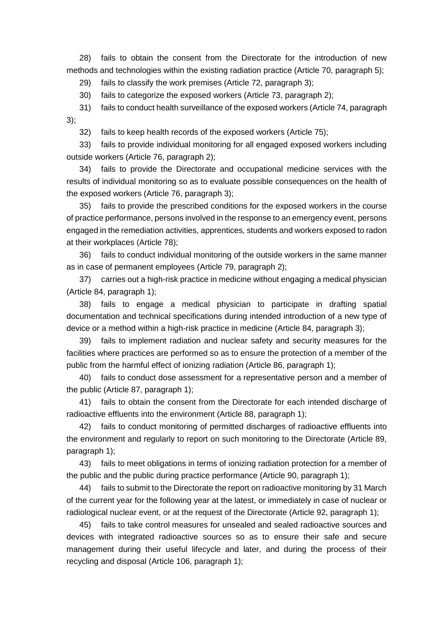28) fails to obtain the consent from the Directorate for the introduction of new methods and technologies within the existing radiation practice (Article 70, paragraph 5);

29) fails to classify the work premises (Article 72, paragraph 3);

30) fails to categorize the exposed workers (Article 73, paragraph 2);

31) fails to conduct health surveillance of the exposed workers (Article 74, paragraph 3);

32) fails to keep health records of the exposed workers (Article 75);

33) fails to provide individual monitoring for all engaged exposed workers including outside workers (Article 76, paragraph 2);

34) fails to provide the Directorate and occupational medicine services with the results of individual monitoring so as to evaluate possible consequences on the health of the exposed workers (Article 76, paragraph 3);

35) fails to provide the prescribed conditions for the exposed workers in the course of practice performance, persons involved in the response to an emergency event, persons engaged in the remediation activities, apprentices, students and workers exposed to radon at their workplaces (Article 78);

36) fails to conduct individual monitoring of the outside workers in the same manner as in case of permanent employees (Article 79, paragraph 2);

37) carries out a high-risk practice in medicine without engaging a medical physician (Article 84, paragraph 1);

38) fails to engage a medical physician to participate in drafting spatial documentation and technical specifications during intended introduction of a new type of device or a method within a high-risk practice in medicine (Article 84, paragraph 3);

39) fails to implement radiation and nuclear safety and security measures for the facilities where practices are performed so as to ensure the protection of a member of the public from the harmful effect of ionizing radiation (Article 86, paragraph 1);

40) fails to conduct dose assessment for a representative person and a member of the public (Article 87, paragraph 1);

41) fails to obtain the consent from the Directorate for each intended discharge of radioactive effluents into the environment (Article 88, paragraph 1);

42) fails to conduct monitoring of permitted discharges of radioactive effluents into the environment and regularly to report on such monitoring to the Directorate (Article 89, paragraph 1);

43) fails to meet obligations in terms of ionizing radiation protection for a member of the public and the public during practice performance (Article 90, paragraph 1);

44) fails to submit to the Directorate the report on radioactive monitoring by 31 March of the current year for the following year at the latest, or immediately in case of nuclear or radiological nuclear event, or at the request of the Directorate (Article 92, paragraph 1);

45) fails to take control measures for unsealed and sealed radioactive sources and devices with integrated radioactive sources so as to ensure their safe and secure management during their useful lifecycle and later, and during the process of their recycling and disposal (Article 106, paragraph 1);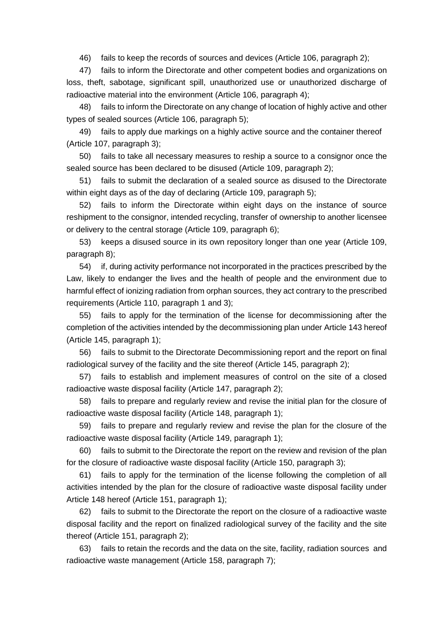46) fails to keep the records of sources and devices (Article 106, paragraph 2);

47) fails to inform the Directorate and other competent bodies and organizations on loss, theft, sabotage, significant spill, unauthorized use or unauthorized discharge of radioactive material into the environment (Article 106, paragraph 4);

48) fails to inform the Directorate on any change of location of highly active and other types of sealed sources (Article 106, paragraph 5);

49) fails to apply due markings on a highly active source and the container thereof (Article 107, paragraph 3);

50) fails to take all necessary measures to reship a source to a consignor once the sealed source has been declared to be disused (Article 109, paragraph 2);

51) fails to submit the declaration of a sealed source as disused to the Directorate within eight days as of the day of declaring (Article 109, paragraph 5);

52) fails to inform the Directorate within eight days on the instance of source reshipment to the consignor, intended recycling, transfer of ownership to another licensee or delivery to the central storage (Article 109, paragraph 6);

53) keeps a disused source in its own repository longer than one year (Article 109, paragraph 8);

54) if, during activity performance not incorporated in the practices prescribed by the Law, likely to endanger the lives and the health of people and the environment due to harmful effect of ionizing radiation from orphan sources, they act contrary to the prescribed requirements (Article 110, paragraph 1 and 3);

55) fails to apply for the termination of the license for decommissioning after the completion of the activities intended by the decommissioning plan under Article 143 hereof (Article 145, paragraph 1);

56) fails to submit to the Directorate Decommissioning report and the report on final radiological survey of the facility and the site thereof (Article 145, paragraph 2);

57) fails to establish and implement measures of control on the site of a closed radioactive waste disposal facility (Article 147, paragraph 2);

58) fails to prepare and regularly review and revise the initial plan for the closure of radioactive waste disposal facility (Article 148, paragraph 1);

59) fails to prepare and regularly review and revise the plan for the closure of the radioactive waste disposal facility (Article 149, paragraph 1);

60) fails to submit to the Directorate the report on the review and revision of the plan for the closure of radioactive waste disposal facility (Article 150, paragraph 3);

61) fails to apply for the termination of the license following the completion of all activities intended by the plan for the closure of radioactive waste disposal facility under Article 148 hereof (Article 151, paragraph 1);

62) fails to submit to the Directorate the report on the closure of a radioactive waste disposal facility and the report on finalized radiological survey of the facility and the site thereof (Article 151, paragraph 2);

63) fails to retain the records and the data on the site, facility, radiation sources and radioactive waste management (Article 158, paragraph 7);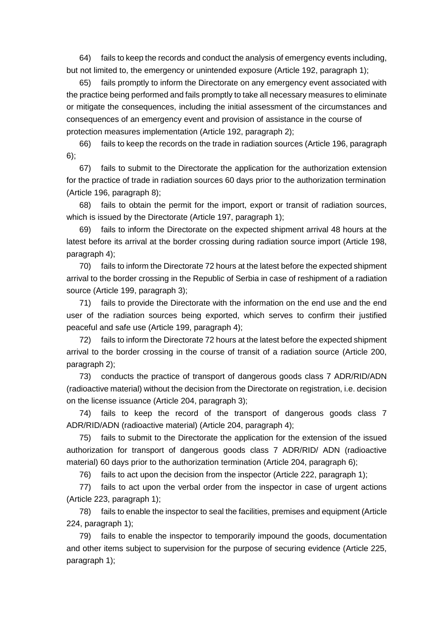64) fails to keep the records and conduct the analysis of emergency events including, but not limited to, the emergency or unintended exposure (Article 192, paragraph 1);

65) fails promptly to inform the Directorate on any emergency event associated with the practice being performed and fails promptly to take all necessary measures to eliminate or mitigate the consequences, including the initial assessment of the circumstances and consequences of an emergency event and provision of assistance in the course of protection measures implementation (Article 192, paragraph 2);

66) fails to keep the records on the trade in radiation sources (Article 196, paragraph 6);

67) fails to submit to the Directorate the application for the authorization extension for the practice of trade in radiation sources 60 days prior to the authorization termination (Article 196, paragraph 8);

68) fails to obtain the permit for the import, export or transit of radiation sources, which is issued by the Directorate (Article 197, paragraph 1);

69) fails to inform the Directorate on the expected shipment arrival 48 hours at the latest before its arrival at the border crossing during radiation source import (Article 198, paragraph 4);

70) fails to inform the Directorate 72 hours at the latest before the expected shipment arrival to the border crossing in the Republic of Serbia in case of reshipment of a radiation source (Article 199, paragraph 3);

71) fails to provide the Directorate with the information on the end use and the end user of the radiation sources being exported, which serves to confirm their justified peaceful and safe use (Article 199, paragraph 4);

72) fails to inform the Directorate 72 hours at the latest before the expected shipment arrival to the border crossing in the course of transit of a radiation source (Article 200, paragraph 2);

73) conducts the practice of transport of dangerous goods class 7 ADR/RID/ADN (radioactive material) without the decision from the Directorate on registration, i.e. decision on the license issuance (Article 204, paragraph 3);

74) fails to keep the record of the transport of dangerous goods class 7 ADR/RID/ADN (radioactive material) (Article 204, paragraph 4);

75) fails to submit to the Directorate the application for the extension of the issued authorization for transport of dangerous goods class 7 ADR/RID/ ADN (radioactive material) 60 days prior to the authorization termination (Article 204, paragraph 6);

76) fails to act upon the decision from the inspector (Article 222, paragraph 1);

77) fails to act upon the verbal order from the inspector in case of urgent actions (Article 223, paragraph 1);

78) fails to enable the inspector to seal the facilities, premises and equipment (Article 224, paragraph 1);

79) fails to enable the inspector to temporarily impound the goods, documentation and other items subject to supervision for the purpose of securing evidence (Article 225, paragraph 1);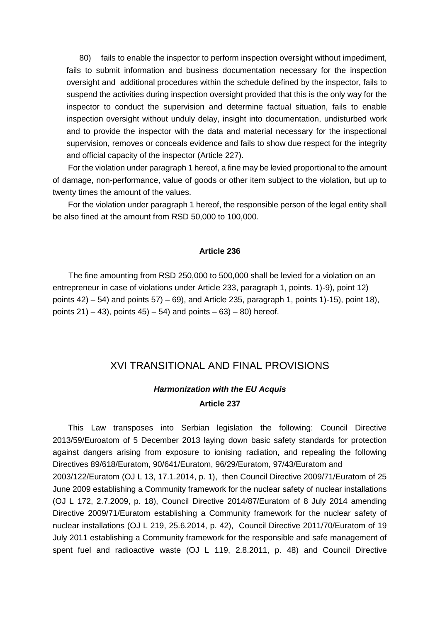80) fails to enable the inspector to perform inspection oversight without impediment, fails to submit information and business documentation necessary for the inspection oversight and additional procedures within the schedule defined by the inspector, fails to suspend the activities during inspection oversight provided that this is the only way for the inspector to conduct the supervision and determine factual situation, fails to enable inspection oversight without unduly delay, insight into documentation, undisturbed work and to provide the inspector with the data and material necessary for the inspectional supervision, removes or conceals evidence and fails to show due respect for the integrity and official capacity of the inspector (Article 227).

For the violation under paragraph 1 hereof, a fine may be levied proportional to the amount of damage, non-performance, value of goods or other item subject to the violation, but up to twenty times the amount of the values.

For the violation under paragraph 1 hereof, the responsible person of the legal entity shall be also fined at the amount from RSD 50,000 to 100,000.

#### **Article 236**

The fine amounting from RSD 250,000 to 500,000 shall be levied for a violation on an entrepreneur in case of violations under Article 233, paragraph 1, points. 1)-9), point 12) points  $42$ ) – 54) and points  $57$ ) – 69), and Article 235, paragraph 1, points 1)-15), point 18), points  $21$  – 43), points  $45$  – 54) and points – 63) – 80) hereof.

## XVI TRANSITIONAL AND FINAL PROVISIONS

# *Harmonization with the EU Acquis*  **Article 237**

This Law transposes into Serbian legislation the following: Council Directive 2013/59/Euroatom of 5 December 2013 laying down basic safety standards for protection against dangers arising from exposure to ionising radiation, and repealing the following Directives 89/618/Euratom, 90/641/Euratom, 96/29/Euratom, 97/43/Euratom and 2003/122/Euratom (OJ L 13, 17.1.2014, p. 1), then Council Directive 2009/71/Euratom of 25 June 2009 establishing a Community framework for the nuclear safety of nuclear installations (OJ L 172, 2.7.2009, p. 18), Council Directive 2014/87/Euratom of 8 July 2014 amending Directive 2009/71/Euratom establishing a Community framework for the nuclear safety of nuclear installations (OJ L 219, 25.6.2014, p. 42), Council Directive 2011/70/Euratom of 19 July 2011 establishing a Community framework for the responsible and safe management of spent fuel and radioactive waste (OJ L 119, 2.8.2011, p. 48) and Council Directive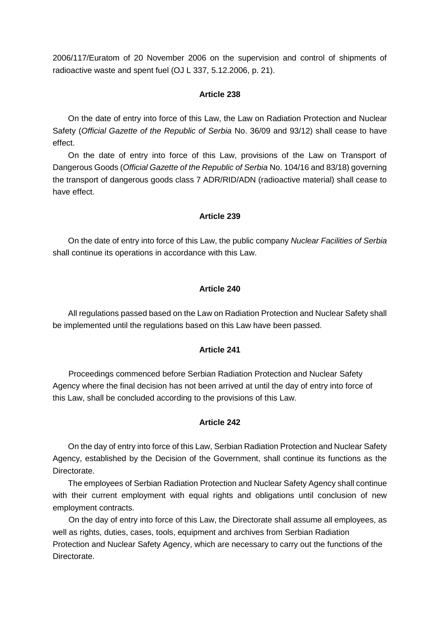2006/117/Euratom of 20 November 2006 on the supervision and control of shipments of radioactive waste and spent fuel (OJ L 337, 5.12.2006, p. 21).

### **Article 238**

On the date of entry into force of this Law, the Law on Radiation Protection and Nuclear Safety (*Official Gazette of the Republic of Serbia* No. 36/09 and 93/12) shall cease to have effect.

On the date of entry into force of this Law, provisions of the Law on Transport of Dangerous Goods (*Official Gazette of the Republic of Serbia* No. 104/16 and 83/18) governing the transport of dangerous goods class 7 ADR/RID/ADN (radioactive material) shall cease to have effect.

### **Article 239**

On the date of entry into force of this Law, the public company *Nuclear Facilities of Serbia* shall continue its operations in accordance with this Law.

## **Article 240**

All regulations passed based on the Law on Radiation Protection and Nuclear Safety shall be implemented until the regulations based on this Law have been passed.

### **Article 241**

Proceedings commenced before Serbian Radiation Protection and Nuclear Safety Agency where the final decision has not been arrived at until the day of entry into force of this Law, shall be concluded according to the provisions of this Law.

### **Article 242**

On the day of entry into force of this Law, Serbian Radiation Protection and Nuclear Safety Agency, established by the Decision of the Government, shall continue its functions as the Directorate.

The employees of Serbian Radiation Protection and Nuclear Safety Agency shall continue with their current employment with equal rights and obligations until conclusion of new employment contracts.

On the day of entry into force of this Law, the Directorate shall assume all employees, as well as rights, duties, cases, tools, equipment and archives from Serbian Radiation Protection and Nuclear Safety Agency, which are necessary to carry out the functions of the Directorate.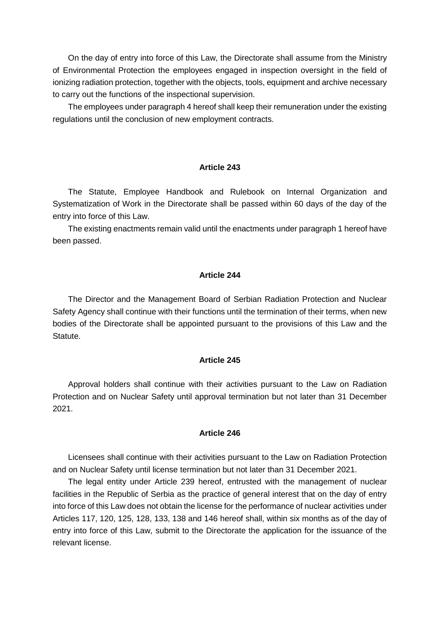On the day of entry into force of this Law, the Directorate shall assume from the Ministry of Environmental Protection the employees engaged in inspection oversight in the field of ionizing radiation protection, together with the objects, tools, equipment and archive necessary to carry out the functions of the inspectional supervision.

The employees under paragraph 4 hereof shall keep their remuneration under the existing regulations until the conclusion of new employment contracts.

#### **Article 243**

The Statute, Employee Handbook and Rulebook on Internal Organization and Systematization of Work in the Directorate shall be passed within 60 days of the day of the entry into force of this Law.

The existing enactments remain valid until the enactments under paragraph 1 hereof have been passed.

### **Article 244**

The Director and the Management Board of Serbian Radiation Protection and Nuclear Safety Agency shall continue with their functions until the termination of their terms, when new bodies of the Directorate shall be appointed pursuant to the provisions of this Law and the Statute.

### **Article 245**

Approval holders shall continue with their activities pursuant to the Law on Radiation Protection and on Nuclear Safety until approval termination but not later than 31 December 2021.

### **Article 246**

Licensees shall continue with their activities pursuant to the Law on Radiation Protection and on Nuclear Safety until license termination but not later than 31 December 2021.

The legal entity under Article 239 hereof, entrusted with the management of nuclear facilities in the Republic of Serbia as the practice of general interest that on the day of entry into force of this Law does not obtain the license for the performance of nuclear activities under Articles 117, 120, 125, 128, 133, 138 and 146 hereof shall, within six months as of the day of entry into force of this Law, submit to the Directorate the application for the issuance of the relevant license.